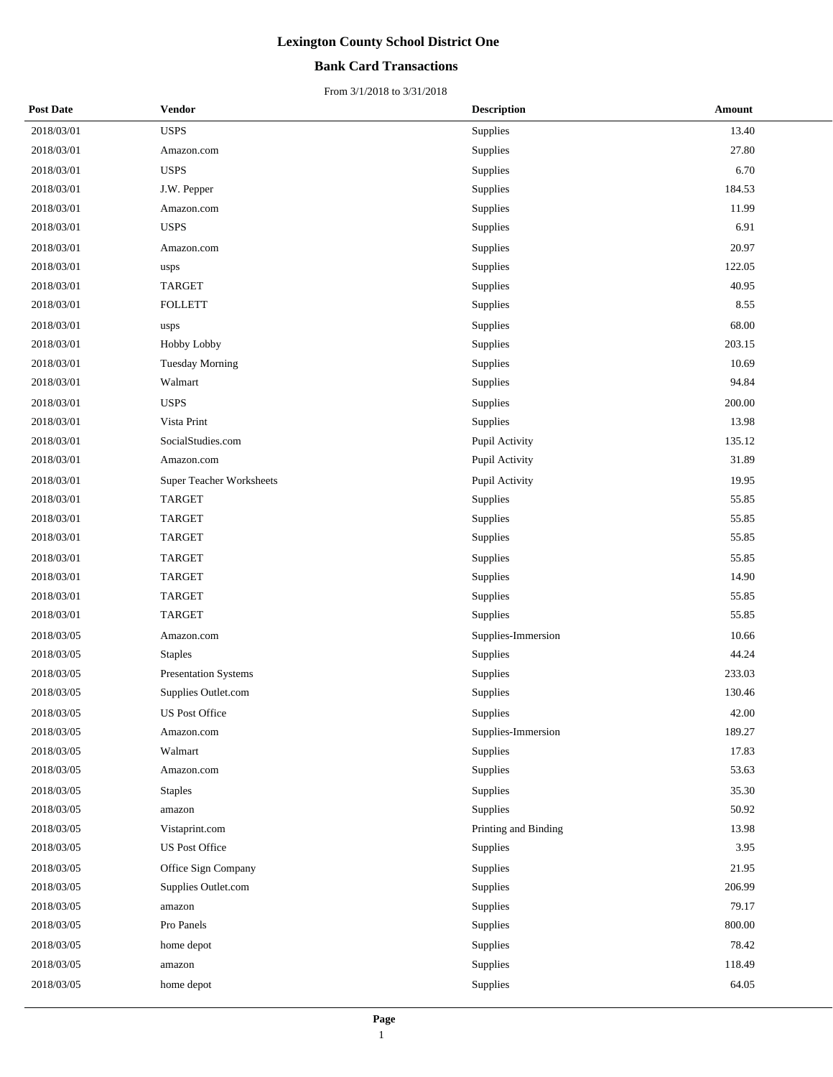### **Bank Card Transactions**

| <b>Post Date</b> | <b>Vendor</b>            | <b>Description</b>   | Amount |
|------------------|--------------------------|----------------------|--------|
| 2018/03/01       | <b>USPS</b>              | Supplies             | 13.40  |
| 2018/03/01       | Amazon.com               | Supplies             | 27.80  |
| 2018/03/01       | <b>USPS</b>              | Supplies             | 6.70   |
| 2018/03/01       | J.W. Pepper              | Supplies             | 184.53 |
| 2018/03/01       | Amazon.com               | Supplies             | 11.99  |
| 2018/03/01       | <b>USPS</b>              | Supplies             | 6.91   |
| 2018/03/01       | Amazon.com               | Supplies             | 20.97  |
| 2018/03/01       | usps                     | Supplies             | 122.05 |
| 2018/03/01       | <b>TARGET</b>            | Supplies             | 40.95  |
| 2018/03/01       | <b>FOLLETT</b>           | Supplies             | 8.55   |
| 2018/03/01       | usps                     | Supplies             | 68.00  |
| 2018/03/01       | Hobby Lobby              | Supplies             | 203.15 |
| 2018/03/01       | <b>Tuesday Morning</b>   | Supplies             | 10.69  |
| 2018/03/01       | Walmart                  | Supplies             | 94.84  |
| 2018/03/01       | <b>USPS</b>              | Supplies             | 200.00 |
| 2018/03/01       | Vista Print              | Supplies             | 13.98  |
| 2018/03/01       | SocialStudies.com        | Pupil Activity       | 135.12 |
| 2018/03/01       | Amazon.com               | Pupil Activity       | 31.89  |
| 2018/03/01       | Super Teacher Worksheets | Pupil Activity       | 19.95  |
| 2018/03/01       | <b>TARGET</b>            | Supplies             | 55.85  |
| 2018/03/01       | <b>TARGET</b>            | Supplies             | 55.85  |
| 2018/03/01       | <b>TARGET</b>            | Supplies             | 55.85  |
| 2018/03/01       | <b>TARGET</b>            | Supplies             | 55.85  |
| 2018/03/01       | <b>TARGET</b>            | Supplies             | 14.90  |
| 2018/03/01       | <b>TARGET</b>            | Supplies             | 55.85  |
| 2018/03/01       | <b>TARGET</b>            | Supplies             | 55.85  |
| 2018/03/05       | Amazon.com               | Supplies-Immersion   | 10.66  |
| 2018/03/05       | <b>Staples</b>           | Supplies             | 44.24  |
| 2018/03/05       | Presentation Systems     | Supplies             | 233.03 |
| 2018/03/05       | Supplies Outlet.com      | Supplies             | 130.46 |
| 2018/03/05       | US Post Office           | Supplies             | 42.00  |
| 2018/03/05       | Amazon.com               | Supplies-Immersion   | 189.27 |
| 2018/03/05       | Walmart                  | Supplies             | 17.83  |
| 2018/03/05       | Amazon.com               | Supplies             | 53.63  |
| 2018/03/05       | <b>Staples</b>           | Supplies             | 35.30  |
| 2018/03/05       | amazon                   | Supplies             | 50.92  |
| 2018/03/05       | Vistaprint.com           | Printing and Binding | 13.98  |
| 2018/03/05       | <b>US Post Office</b>    | Supplies             | 3.95   |
| 2018/03/05       | Office Sign Company      | Supplies             | 21.95  |
| 2018/03/05       | Supplies Outlet.com      | Supplies             | 206.99 |
| 2018/03/05       | amazon                   | Supplies             | 79.17  |
| 2018/03/05       | Pro Panels               | Supplies             | 800.00 |
| 2018/03/05       | home depot               | Supplies             | 78.42  |
| 2018/03/05       | amazon                   | Supplies             | 118.49 |
| 2018/03/05       | home depot               | Supplies             | 64.05  |
|                  |                          |                      |        |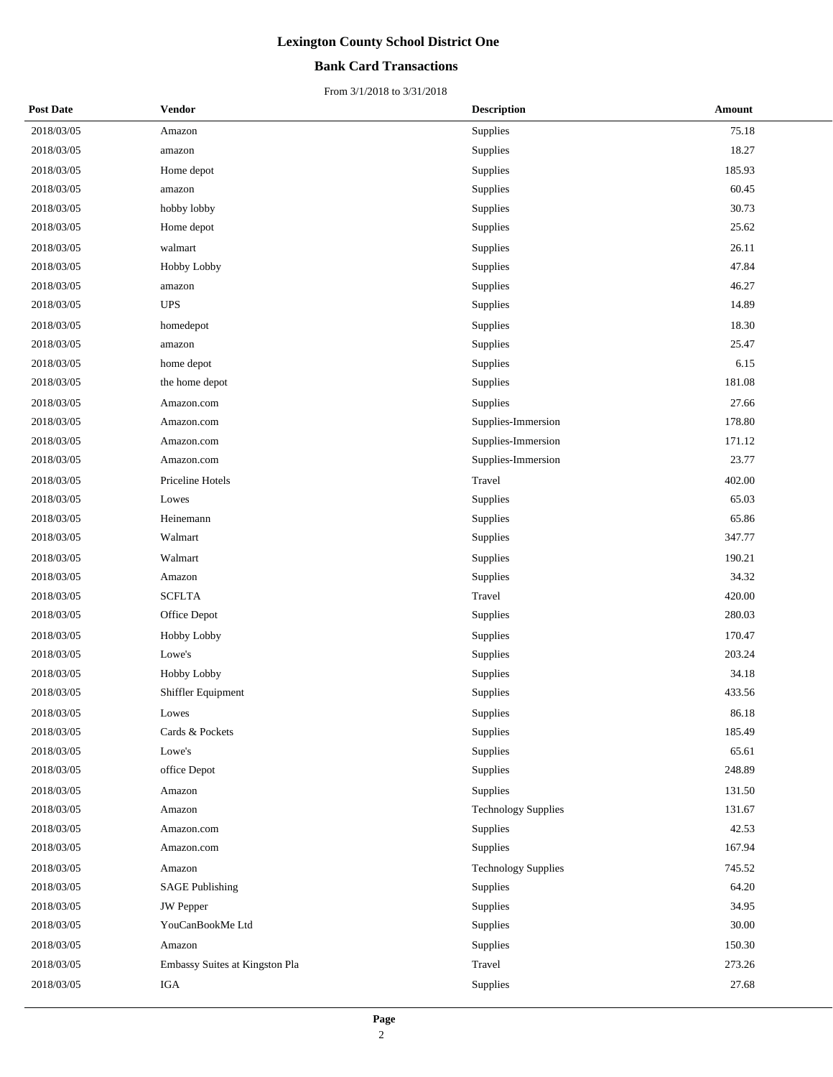### **Bank Card Transactions**

| <b>Post Date</b> | <b>Vendor</b>                  | <b>Description</b>         | <b>Amount</b> |
|------------------|--------------------------------|----------------------------|---------------|
| 2018/03/05       | Amazon                         | Supplies                   | 75.18         |
| 2018/03/05       | amazon                         | Supplies                   | 18.27         |
| 2018/03/05       | Home depot                     | Supplies                   | 185.93        |
| 2018/03/05       | amazon                         | Supplies                   | 60.45         |
| 2018/03/05       | hobby lobby                    | Supplies                   | 30.73         |
| 2018/03/05       | Home depot                     | Supplies                   | 25.62         |
| 2018/03/05       | walmart                        | Supplies                   | 26.11         |
| 2018/03/05       | Hobby Lobby                    | Supplies                   | 47.84         |
| 2018/03/05       | amazon                         | Supplies                   | 46.27         |
| 2018/03/05       | <b>UPS</b>                     | Supplies                   | 14.89         |
| 2018/03/05       | homedepot                      | Supplies                   | 18.30         |
| 2018/03/05       | amazon                         | Supplies                   | 25.47         |
| 2018/03/05       | home depot                     | Supplies                   | 6.15          |
| 2018/03/05       | the home depot                 | Supplies                   | 181.08        |
| 2018/03/05       | Amazon.com                     | Supplies                   | 27.66         |
| 2018/03/05       | Amazon.com                     | Supplies-Immersion         | 178.80        |
| 2018/03/05       | Amazon.com                     | Supplies-Immersion         | 171.12        |
| 2018/03/05       | Amazon.com                     | Supplies-Immersion         | 23.77         |
| 2018/03/05       | Priceline Hotels               | Travel                     | 402.00        |
| 2018/03/05       | Lowes                          | Supplies                   | 65.03         |
| 2018/03/05       | Heinemann                      | Supplies                   | 65.86         |
| 2018/03/05       | Walmart                        | Supplies                   | 347.77        |
| 2018/03/05       | Walmart                        | Supplies                   | 190.21        |
| 2018/03/05       | Amazon                         | Supplies                   | 34.32         |
| 2018/03/05       | <b>SCFLTA</b>                  | Travel                     | 420.00        |
| 2018/03/05       | Office Depot                   | Supplies                   | 280.03        |
| 2018/03/05       | <b>Hobby Lobby</b>             | Supplies                   | 170.47        |
| 2018/03/05       | Lowe's                         | Supplies                   | 203.24        |
| 2018/03/05       | Hobby Lobby                    | Supplies                   | 34.18         |
| 2018/03/05       | Shiffler Equipment             | Supplies                   | 433.56        |
| 2018/03/05       | Lowes                          | Supplies                   | 86.18         |
| 2018/03/05       | Cards & Pockets                | Supplies                   | 185.49        |
| 2018/03/05       | Lowe's                         | Supplies                   | 65.61         |
| 2018/03/05       | office Depot                   | Supplies                   | 248.89        |
| 2018/03/05       | Amazon                         | Supplies                   | 131.50        |
| 2018/03/05       | Amazon                         | <b>Technology Supplies</b> | 131.67        |
| 2018/03/05       | Amazon.com                     | Supplies                   | 42.53         |
| 2018/03/05       | Amazon.com                     | Supplies                   | 167.94        |
| 2018/03/05       | Amazon                         | <b>Technology Supplies</b> | 745.52        |
| 2018/03/05       | <b>SAGE Publishing</b>         | Supplies                   | 64.20         |
| 2018/03/05       | <b>JW</b> Pepper               | Supplies                   | 34.95         |
| 2018/03/05       | YouCanBookMe Ltd               | Supplies                   | 30.00         |
| 2018/03/05       | Amazon                         | Supplies                   | 150.30        |
| 2018/03/05       | Embassy Suites at Kingston Pla | Travel                     | 273.26        |
| 2018/03/05       | IGA                            | Supplies                   | 27.68         |
|                  |                                |                            |               |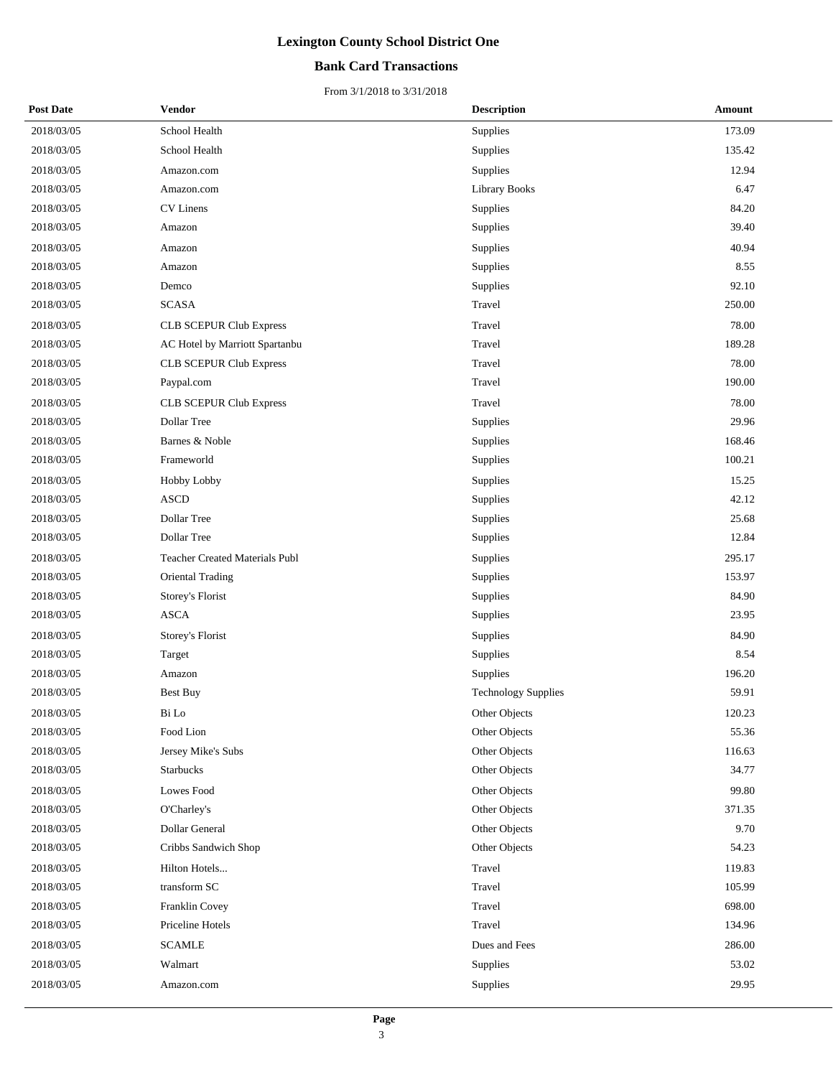### **Bank Card Transactions**

| <b>Post Date</b> | <b>Vendor</b>                         | <b>Description</b>         | Amount |
|------------------|---------------------------------------|----------------------------|--------|
| 2018/03/05       | School Health                         | Supplies                   | 173.09 |
| 2018/03/05       | School Health                         | Supplies                   | 135.42 |
| 2018/03/05       | Amazon.com                            | Supplies                   | 12.94  |
| 2018/03/05       | Amazon.com                            | <b>Library Books</b>       | 6.47   |
| 2018/03/05       | <b>CV</b> Linens                      | Supplies                   | 84.20  |
| 2018/03/05       | Amazon                                | Supplies                   | 39.40  |
| 2018/03/05       | Amazon                                | Supplies                   | 40.94  |
| 2018/03/05       | Amazon                                | Supplies                   | 8.55   |
| 2018/03/05       | Demco                                 | Supplies                   | 92.10  |
| 2018/03/05       | <b>SCASA</b>                          | Travel                     | 250.00 |
| 2018/03/05       | <b>CLB SCEPUR Club Express</b>        | Travel                     | 78.00  |
| 2018/03/05       | AC Hotel by Marriott Spartanbu        | Travel                     | 189.28 |
| 2018/03/05       | <b>CLB SCEPUR Club Express</b>        | Travel                     | 78.00  |
| 2018/03/05       | Paypal.com                            | Travel                     | 190.00 |
| 2018/03/05       | <b>CLB SCEPUR Club Express</b>        | Travel                     | 78.00  |
| 2018/03/05       | Dollar Tree                           | Supplies                   | 29.96  |
| 2018/03/05       | Barnes & Noble                        | Supplies                   | 168.46 |
| 2018/03/05       | Frameworld                            | Supplies                   | 100.21 |
| 2018/03/05       | <b>Hobby Lobby</b>                    | Supplies                   | 15.25  |
| 2018/03/05       | <b>ASCD</b>                           | Supplies                   | 42.12  |
| 2018/03/05       | Dollar Tree                           | Supplies                   | 25.68  |
| 2018/03/05       | Dollar Tree                           | Supplies                   | 12.84  |
| 2018/03/05       | <b>Teacher Created Materials Publ</b> | Supplies                   | 295.17 |
| 2018/03/05       | Oriental Trading                      | Supplies                   | 153.97 |
| 2018/03/05       | Storey's Florist                      | Supplies                   | 84.90  |
| 2018/03/05       | <b>ASCA</b>                           | Supplies                   | 23.95  |
| 2018/03/05       | <b>Storey's Florist</b>               | Supplies                   | 84.90  |
| 2018/03/05       | Target                                | Supplies                   | 8.54   |
| 2018/03/05       | Amazon                                | Supplies                   | 196.20 |
| 2018/03/05       | <b>Best Buy</b>                       | <b>Technology Supplies</b> | 59.91  |
| 2018/03/05       | Bi Lo                                 | Other Objects              | 120.23 |
| 2018/03/05       | Food Lion                             | Other Objects              | 55.36  |
| 2018/03/05       | Jersey Mike's Subs                    | Other Objects              | 116.63 |
| 2018/03/05       | <b>Starbucks</b>                      | Other Objects              | 34.77  |
| 2018/03/05       | <b>Lowes Food</b>                     | Other Objects              | 99.80  |
| 2018/03/05       | O'Charley's                           | Other Objects              | 371.35 |
| 2018/03/05       | Dollar General                        | Other Objects              | 9.70   |
| 2018/03/05       | Cribbs Sandwich Shop                  | Other Objects              | 54.23  |
| 2018/03/05       | Hilton Hotels                         | Travel                     | 119.83 |
| 2018/03/05       | transform SC                          | Travel                     | 105.99 |
| 2018/03/05       | Franklin Covey                        | Travel                     | 698.00 |
| 2018/03/05       | Priceline Hotels                      | Travel                     | 134.96 |
| 2018/03/05       | <b>SCAMLE</b>                         | Dues and Fees              | 286.00 |
| 2018/03/05       | Walmart                               | Supplies                   | 53.02  |
| 2018/03/05       | Amazon.com                            | Supplies                   | 29.95  |
|                  |                                       |                            |        |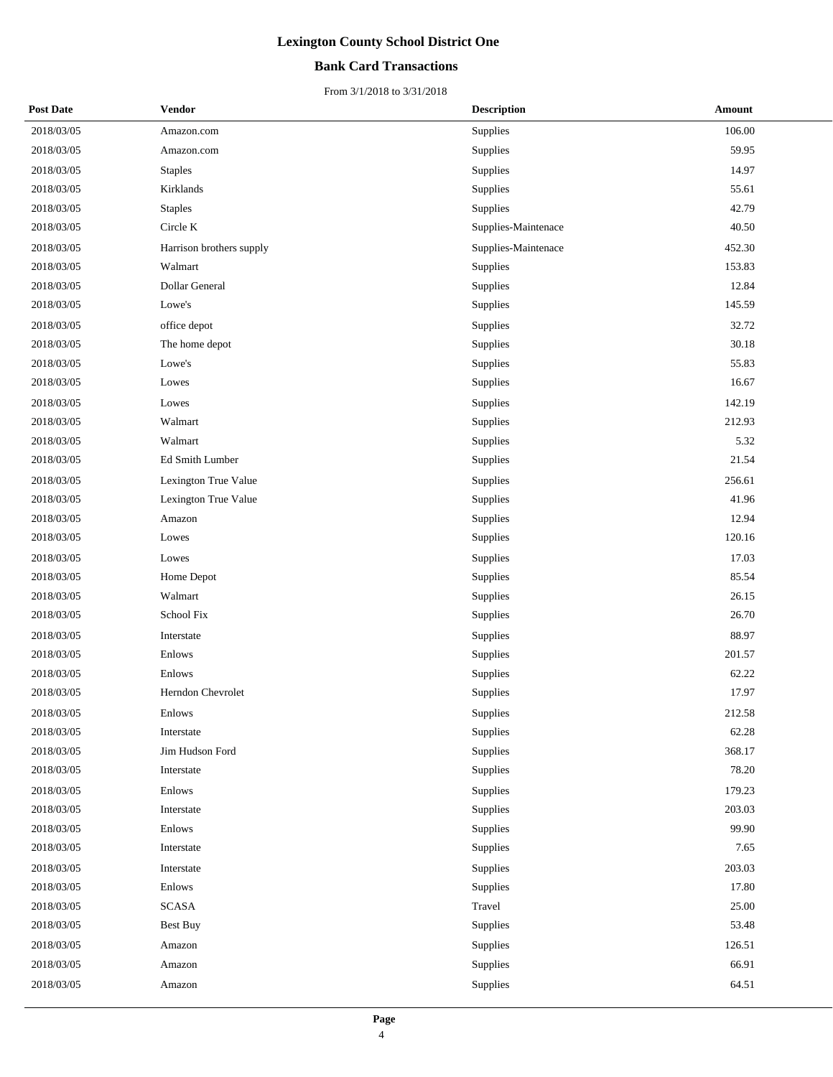### **Bank Card Transactions**

| <b>Post Date</b> | <b>Vendor</b>            | <b>Description</b>  | Amount |  |
|------------------|--------------------------|---------------------|--------|--|
| 2018/03/05       | Amazon.com               | Supplies            | 106.00 |  |
| 2018/03/05       | Amazon.com               | Supplies            | 59.95  |  |
| 2018/03/05       | <b>Staples</b>           | Supplies            | 14.97  |  |
| 2018/03/05       | Kirklands                | Supplies            | 55.61  |  |
| 2018/03/05       | <b>Staples</b>           | Supplies            | 42.79  |  |
| 2018/03/05       | Circle K                 | Supplies-Maintenace | 40.50  |  |
| 2018/03/05       | Harrison brothers supply | Supplies-Maintenace | 452.30 |  |
| 2018/03/05       | Walmart                  | Supplies            | 153.83 |  |
| 2018/03/05       | Dollar General           | Supplies            | 12.84  |  |
| 2018/03/05       | Lowe's                   | Supplies            | 145.59 |  |
| 2018/03/05       | office depot             | Supplies            | 32.72  |  |
| 2018/03/05       | The home depot           | Supplies            | 30.18  |  |
| 2018/03/05       | Lowe's                   | Supplies            | 55.83  |  |
| 2018/03/05       | Lowes                    | Supplies            | 16.67  |  |
| 2018/03/05       | Lowes                    | Supplies            | 142.19 |  |
| 2018/03/05       | Walmart                  | Supplies            | 212.93 |  |
| 2018/03/05       | Walmart                  | Supplies            | 5.32   |  |
| 2018/03/05       | Ed Smith Lumber          | Supplies            | 21.54  |  |
| 2018/03/05       | Lexington True Value     | Supplies            | 256.61 |  |
| 2018/03/05       | Lexington True Value     | Supplies            | 41.96  |  |
| 2018/03/05       | Amazon                   | Supplies            | 12.94  |  |
| 2018/03/05       | Lowes                    | Supplies            | 120.16 |  |
| 2018/03/05       | Lowes                    | Supplies            | 17.03  |  |
| 2018/03/05       | Home Depot               | Supplies            | 85.54  |  |
| 2018/03/05       | Walmart                  | Supplies            | 26.15  |  |
| 2018/03/05       | School Fix               | Supplies            | 26.70  |  |
| 2018/03/05       | Interstate               | Supplies            | 88.97  |  |
| 2018/03/05       | Enlows                   | Supplies            | 201.57 |  |
| 2018/03/05       | Enlows                   | Supplies            | 62.22  |  |
| 2018/03/05       | Herndon Chevrolet        | Supplies            | 17.97  |  |
| 2018/03/05       | Enlows                   | Supplies            | 212.58 |  |
| 2018/03/05       | Interstate               | Supplies            | 62.28  |  |
| 2018/03/05       | Jim Hudson Ford          | Supplies            | 368.17 |  |
| 2018/03/05       | Interstate               | Supplies            | 78.20  |  |
| 2018/03/05       | Enlows                   | Supplies            | 179.23 |  |
| 2018/03/05       | Interstate               | Supplies            | 203.03 |  |
| 2018/03/05       | Enlows                   | Supplies            | 99.90  |  |
| 2018/03/05       | Interstate               | Supplies            | 7.65   |  |
| 2018/03/05       | Interstate               | Supplies            | 203.03 |  |
| 2018/03/05       | Enlows                   | Supplies            | 17.80  |  |
| 2018/03/05       | <b>SCASA</b>             | Travel              | 25.00  |  |
| 2018/03/05       | <b>Best Buy</b>          | Supplies            | 53.48  |  |
| 2018/03/05       | Amazon                   | Supplies            | 126.51 |  |
| 2018/03/05       | Amazon                   | Supplies            | 66.91  |  |
| 2018/03/05       | Amazon                   | Supplies            | 64.51  |  |
|                  |                          |                     |        |  |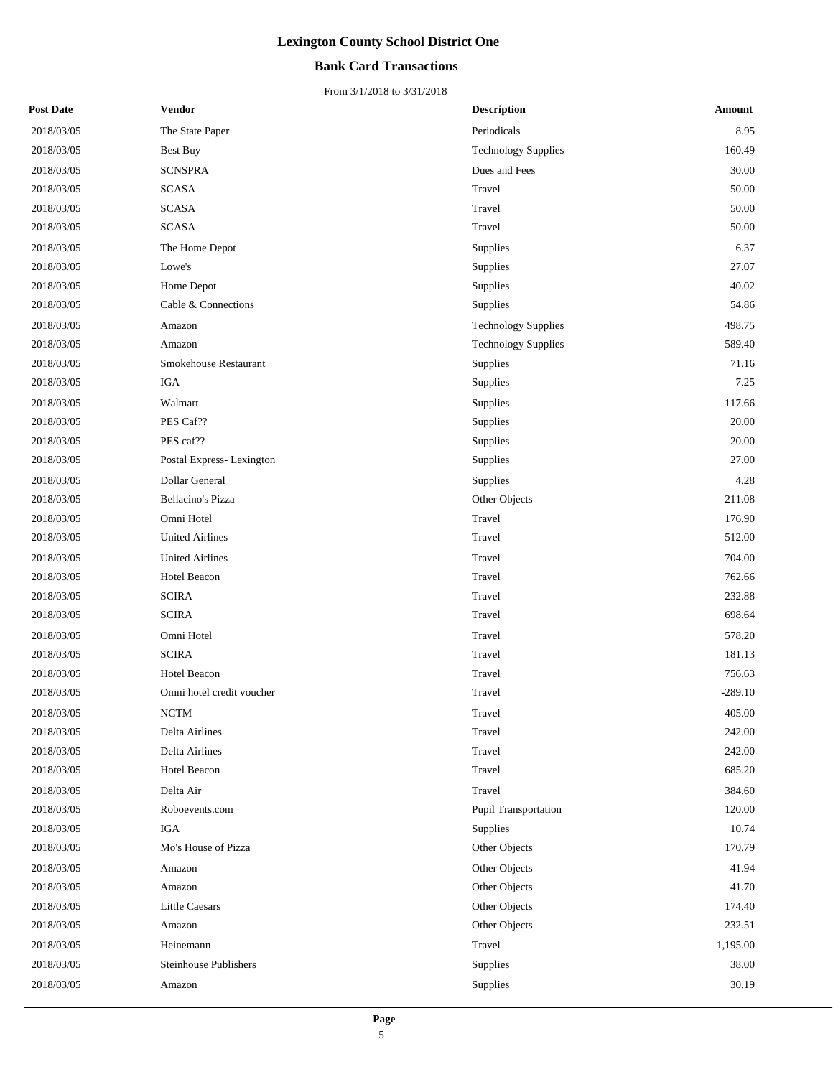### **Bank Card Transactions**

| <b>Post Date</b> | Vendor                       | <b>Description</b>         | Amount    |
|------------------|------------------------------|----------------------------|-----------|
| 2018/03/05       | The State Paper              | Periodicals                | 8.95      |
| 2018/03/05       | Best Buy                     | <b>Technology Supplies</b> | 160.49    |
| 2018/03/05       | <b>SCNSPRA</b>               | Dues and Fees              | 30.00     |
| 2018/03/05       | <b>SCASA</b>                 | Travel                     | 50.00     |
| 2018/03/05       | <b>SCASA</b>                 | Travel                     | 50.00     |
| 2018/03/05       | <b>SCASA</b>                 | Travel                     | 50.00     |
| 2018/03/05       | The Home Depot               | Supplies                   | 6.37      |
| 2018/03/05       | Lowe's                       | Supplies                   | 27.07     |
| 2018/03/05       | Home Depot                   | Supplies                   | 40.02     |
| 2018/03/05       | Cable & Connections          | Supplies                   | 54.86     |
| 2018/03/05       | Amazon                       | <b>Technology Supplies</b> | 498.75    |
| 2018/03/05       | Amazon                       | <b>Technology Supplies</b> | 589.40    |
| 2018/03/05       | Smokehouse Restaurant        | Supplies                   | 71.16     |
| 2018/03/05       | IGA                          | Supplies                   | 7.25      |
| 2018/03/05       | Walmart                      | Supplies                   | 117.66    |
| 2018/03/05       | PES Caf??                    | Supplies                   | 20.00     |
| 2018/03/05       | PES caf??                    | Supplies                   | 20.00     |
| 2018/03/05       | Postal Express-Lexington     | Supplies                   | 27.00     |
| 2018/03/05       | <b>Dollar General</b>        | Supplies                   | 4.28      |
| 2018/03/05       | <b>Bellacino's Pizza</b>     | Other Objects              | 211.08    |
| 2018/03/05       | Omni Hotel                   | Travel                     | 176.90    |
| 2018/03/05       | <b>United Airlines</b>       | Travel                     | 512.00    |
| 2018/03/05       | <b>United Airlines</b>       | Travel                     | 704.00    |
| 2018/03/05       | Hotel Beacon                 | Travel                     | 762.66    |
| 2018/03/05       | <b>SCIRA</b>                 | Travel                     | 232.88    |
| 2018/03/05       | <b>SCIRA</b>                 | Travel                     | 698.64    |
| 2018/03/05       | Omni Hotel                   | Travel                     | 578.20    |
| 2018/03/05       | <b>SCIRA</b>                 | Travel                     | 181.13    |
| 2018/03/05       | Hotel Beacon                 | Travel                     | 756.63    |
| 2018/03/05       | Omni hotel credit voucher    | Travel                     | $-289.10$ |
| 2018/03/05       | <b>NCTM</b>                  | Travel                     | 405.00    |
| 2018/03/05       | Delta Airlines               | Travel                     | 242.00    |
| 2018/03/05       | Delta Airlines               | Travel                     | 242.00    |
| 2018/03/05       | Hotel Beacon                 | Travel                     | 685.20    |
| 2018/03/05       | Delta Air                    | Travel                     | 384.60    |
| 2018/03/05       | Roboevents.com               | Pupil Transportation       | 120.00    |
| 2018/03/05       | <b>IGA</b>                   | Supplies                   | 10.74     |
| 2018/03/05       | Mo's House of Pizza          | Other Objects              | 170.79    |
| 2018/03/05       | Amazon                       | Other Objects              | 41.94     |
| 2018/03/05       | Amazon                       | Other Objects              | 41.70     |
| 2018/03/05       | <b>Little Caesars</b>        | Other Objects              | 174.40    |
| 2018/03/05       | Amazon                       | Other Objects              | 232.51    |
| 2018/03/05       | Heinemann                    | Travel                     | 1,195.00  |
| 2018/03/05       | <b>Steinhouse Publishers</b> | Supplies                   | 38.00     |
| 2018/03/05       | Amazon                       | Supplies                   | 30.19     |
|                  |                              |                            |           |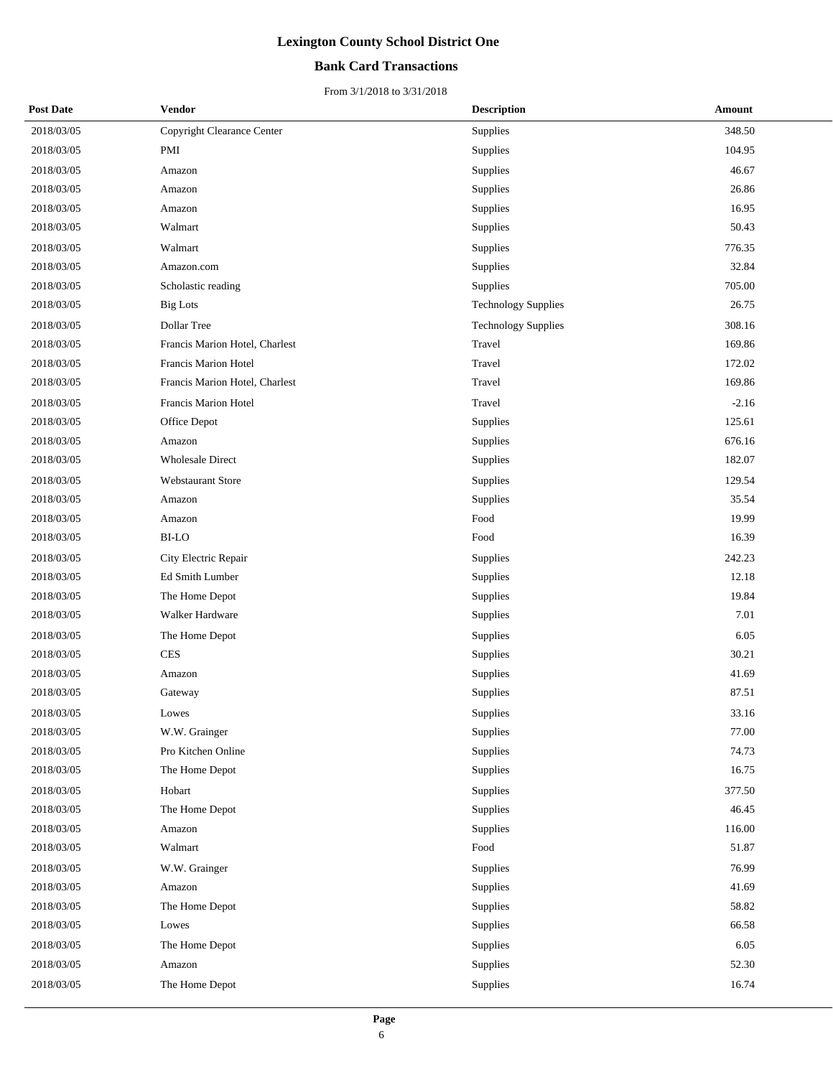### **Bank Card Transactions**

| <b>Post Date</b> | Vendor                         | <b>Description</b>         | <b>Amount</b> |
|------------------|--------------------------------|----------------------------|---------------|
| 2018/03/05       | Copyright Clearance Center     | Supplies                   | 348.50        |
| 2018/03/05       | PMI                            | Supplies                   | 104.95        |
| 2018/03/05       | Amazon                         | Supplies                   | 46.67         |
| 2018/03/05       | Amazon                         | Supplies                   | 26.86         |
| 2018/03/05       | Amazon                         | Supplies                   | 16.95         |
| 2018/03/05       | Walmart                        | Supplies                   | 50.43         |
| 2018/03/05       | Walmart                        | Supplies                   | 776.35        |
| 2018/03/05       | Amazon.com                     | Supplies                   | 32.84         |
| 2018/03/05       | Scholastic reading             | Supplies                   | 705.00        |
| 2018/03/05       | <b>Big Lots</b>                | <b>Technology Supplies</b> | 26.75         |
| 2018/03/05       | Dollar Tree                    | <b>Technology Supplies</b> | 308.16        |
| 2018/03/05       | Francis Marion Hotel, Charlest | Travel                     | 169.86        |
| 2018/03/05       | Francis Marion Hotel           | Travel                     | 172.02        |
| 2018/03/05       | Francis Marion Hotel, Charlest | Travel                     | 169.86        |
| 2018/03/05       | Francis Marion Hotel           | Travel                     | $-2.16$       |
| 2018/03/05       | Office Depot                   | Supplies                   | 125.61        |
| 2018/03/05       | Amazon                         | Supplies                   | 676.16        |
| 2018/03/05       | <b>Wholesale Direct</b>        | Supplies                   | 182.07        |
| 2018/03/05       | <b>Webstaurant Store</b>       | Supplies                   | 129.54        |
| 2018/03/05       | Amazon                         | Supplies                   | 35.54         |
| 2018/03/05       | Amazon                         | Food                       | 19.99         |
| 2018/03/05       | BI-LO                          | Food                       | 16.39         |
| 2018/03/05       | City Electric Repair           | Supplies                   | 242.23        |
| 2018/03/05       | Ed Smith Lumber                | Supplies                   | 12.18         |
| 2018/03/05       | The Home Depot                 | Supplies                   | 19.84         |
| 2018/03/05       | Walker Hardware                | Supplies                   | 7.01          |
| 2018/03/05       | The Home Depot                 | Supplies                   | 6.05          |
| 2018/03/05       | <b>CES</b>                     | Supplies                   | 30.21         |
| 2018/03/05       | Amazon                         | Supplies                   | 41.69         |
| 2018/03/05       | Gateway                        | Supplies                   | 87.51         |
| 2018/03/05       | Lowes                          | Supplies                   | 33.16         |
| 2018/03/05       | W.W. Grainger                  | Supplies                   | 77.00         |
| 2018/03/05       | Pro Kitchen Online             | Supplies                   | 74.73         |
| 2018/03/05       | The Home Depot                 | Supplies                   | 16.75         |
| 2018/03/05       | Hobart                         | Supplies                   | 377.50        |
| 2018/03/05       | The Home Depot                 | Supplies                   | 46.45         |
| 2018/03/05       | Amazon                         | Supplies                   | 116.00        |
| 2018/03/05       | Walmart                        | Food                       | 51.87         |
| 2018/03/05       | W.W. Grainger                  | Supplies                   | 76.99         |
| 2018/03/05       | Amazon                         | Supplies                   | 41.69         |
| 2018/03/05       | The Home Depot                 | Supplies                   | 58.82         |
| 2018/03/05       | Lowes                          | Supplies                   | 66.58         |
| 2018/03/05       | The Home Depot                 | Supplies                   | 6.05          |
| 2018/03/05       | Amazon                         | Supplies                   | 52.30         |
| 2018/03/05       | The Home Depot                 | Supplies                   | 16.74         |
|                  |                                |                            |               |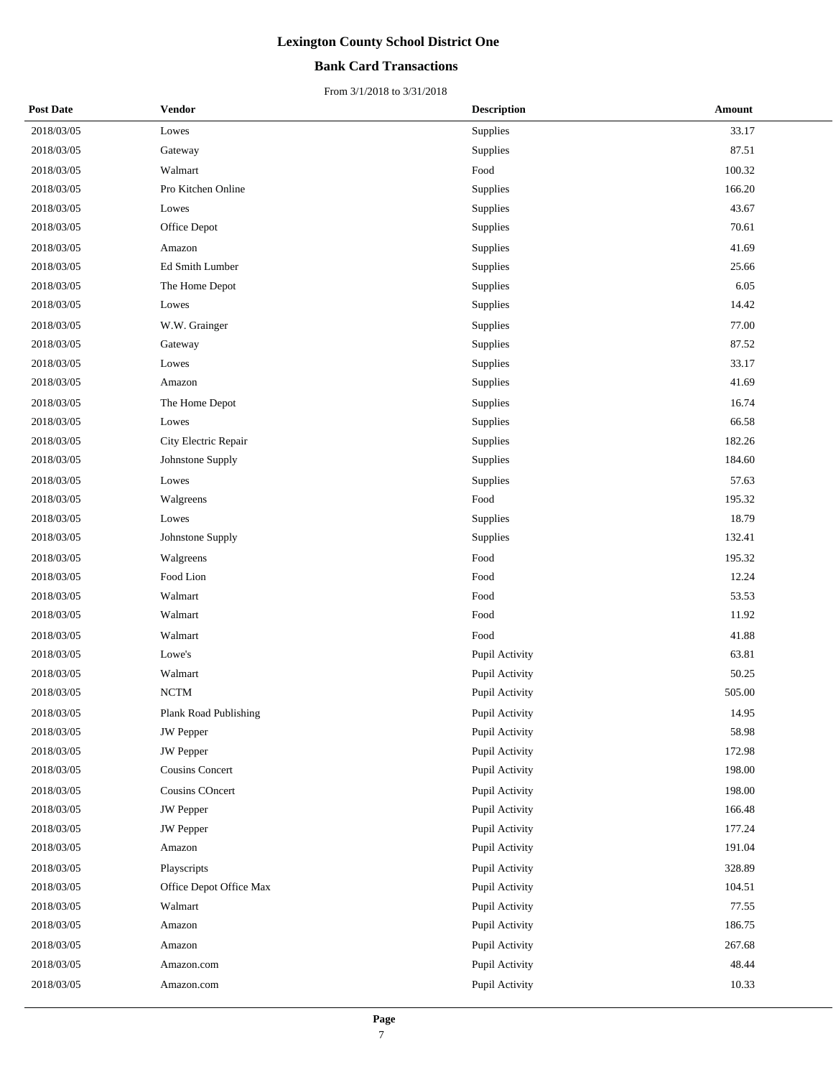### **Bank Card Transactions**

| <b>Post Date</b> | <b>Vendor</b>           | <b>Description</b> | Amount |
|------------------|-------------------------|--------------------|--------|
| 2018/03/05       | Lowes                   | Supplies           | 33.17  |
| 2018/03/05       | Gateway                 | Supplies           | 87.51  |
| 2018/03/05       | Walmart                 | Food               | 100.32 |
| 2018/03/05       | Pro Kitchen Online      | Supplies           | 166.20 |
| 2018/03/05       | Lowes                   | Supplies           | 43.67  |
| 2018/03/05       | Office Depot            | Supplies           | 70.61  |
| 2018/03/05       | Amazon                  | Supplies           | 41.69  |
| 2018/03/05       | Ed Smith Lumber         | Supplies           | 25.66  |
| 2018/03/05       | The Home Depot          | Supplies           | 6.05   |
| 2018/03/05       | Lowes                   | Supplies           | 14.42  |
| 2018/03/05       | W.W. Grainger           | Supplies           | 77.00  |
| 2018/03/05       | Gateway                 | Supplies           | 87.52  |
| 2018/03/05       | Lowes                   | Supplies           | 33.17  |
| 2018/03/05       | Amazon                  | Supplies           | 41.69  |
| 2018/03/05       | The Home Depot          | Supplies           | 16.74  |
| 2018/03/05       | Lowes                   | Supplies           | 66.58  |
| 2018/03/05       | City Electric Repair    | Supplies           | 182.26 |
| 2018/03/05       | Johnstone Supply        | Supplies           | 184.60 |
| 2018/03/05       | Lowes                   | Supplies           | 57.63  |
| 2018/03/05       | Walgreens               | Food               | 195.32 |
| 2018/03/05       | Lowes                   | Supplies           | 18.79  |
| 2018/03/05       | Johnstone Supply        | Supplies           | 132.41 |
| 2018/03/05       | Walgreens               | Food               | 195.32 |
| 2018/03/05       | Food Lion               | Food               | 12.24  |
| 2018/03/05       | Walmart                 | Food               | 53.53  |
| 2018/03/05       | Walmart                 | Food               | 11.92  |
| 2018/03/05       | Walmart                 | Food               | 41.88  |
| 2018/03/05       | Lowe's                  | Pupil Activity     | 63.81  |
| 2018/03/05       | Walmart                 | Pupil Activity     | 50.25  |
| 2018/03/05       | <b>NCTM</b>             | Pupil Activity     | 505.00 |
| 2018/03/05       | Plank Road Publishing   | Pupil Activity     | 14.95  |
| 2018/03/05       | <b>JW</b> Pepper        | Pupil Activity     | 58.98  |
| 2018/03/05       | JW Pepper               | Pupil Activity     | 172.98 |
| 2018/03/05       | <b>Cousins Concert</b>  | Pupil Activity     | 198.00 |
| 2018/03/05       | Cousins COncert         | Pupil Activity     | 198.00 |
| 2018/03/05       | <b>JW</b> Pepper        | Pupil Activity     | 166.48 |
| 2018/03/05       | <b>JW</b> Pepper        | Pupil Activity     | 177.24 |
| 2018/03/05       | Amazon                  | Pupil Activity     | 191.04 |
| 2018/03/05       | Playscripts             | Pupil Activity     | 328.89 |
| 2018/03/05       | Office Depot Office Max | Pupil Activity     | 104.51 |
| 2018/03/05       | Walmart                 | Pupil Activity     | 77.55  |
| 2018/03/05       | Amazon                  | Pupil Activity     | 186.75 |
| 2018/03/05       | Amazon                  | Pupil Activity     | 267.68 |
| 2018/03/05       | Amazon.com              | Pupil Activity     | 48.44  |
| 2018/03/05       | Amazon.com              | Pupil Activity     | 10.33  |
|                  |                         |                    |        |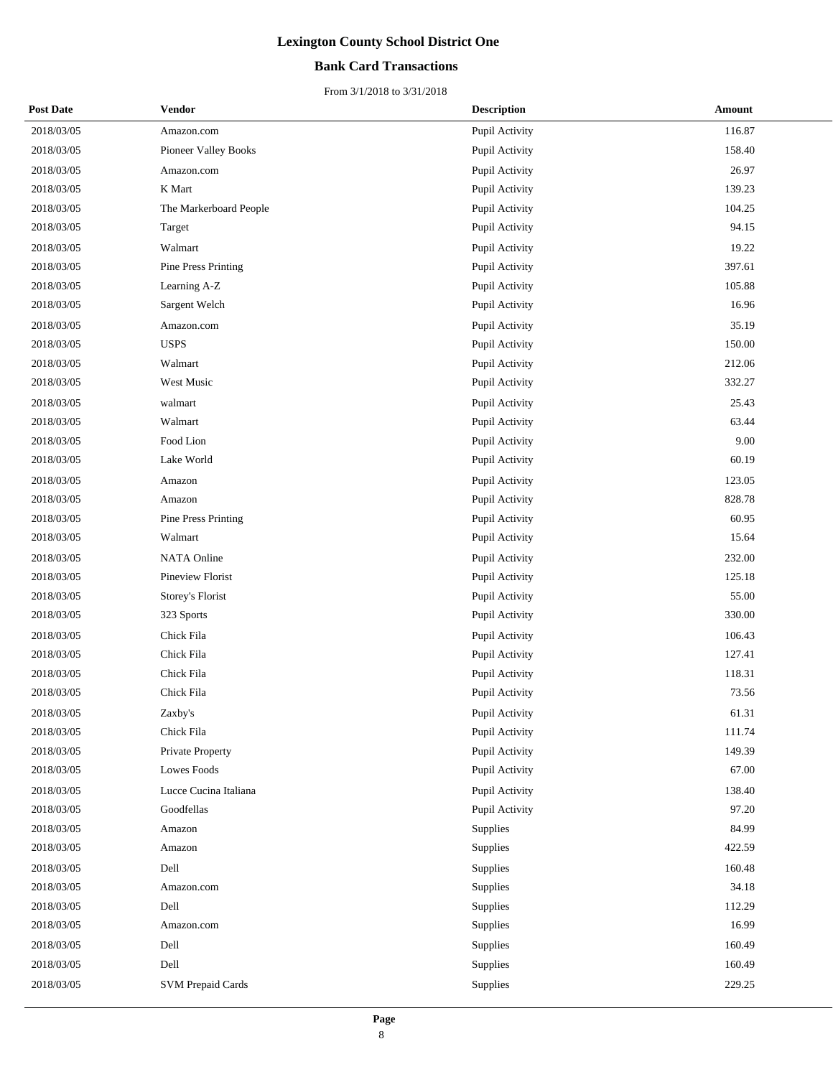### **Bank Card Transactions**

| <b>Post Date</b> | <b>Vendor</b>            | <b>Description</b> | Amount |
|------------------|--------------------------|--------------------|--------|
| 2018/03/05       | Amazon.com               | Pupil Activity     | 116.87 |
| 2018/03/05       | Pioneer Valley Books     | Pupil Activity     | 158.40 |
| 2018/03/05       | Amazon.com               | Pupil Activity     | 26.97  |
| 2018/03/05       | K Mart                   | Pupil Activity     | 139.23 |
| 2018/03/05       | The Markerboard People   | Pupil Activity     | 104.25 |
| 2018/03/05       | Target                   | Pupil Activity     | 94.15  |
| 2018/03/05       | Walmart                  | Pupil Activity     | 19.22  |
| 2018/03/05       | Pine Press Printing      | Pupil Activity     | 397.61 |
| 2018/03/05       | Learning A-Z             | Pupil Activity     | 105.88 |
| 2018/03/05       | Sargent Welch            | Pupil Activity     | 16.96  |
| 2018/03/05       | Amazon.com               | Pupil Activity     | 35.19  |
| 2018/03/05       | <b>USPS</b>              | Pupil Activity     | 150.00 |
| 2018/03/05       | Walmart                  | Pupil Activity     | 212.06 |
| 2018/03/05       | West Music               | Pupil Activity     | 332.27 |
| 2018/03/05       | walmart                  | Pupil Activity     | 25.43  |
| 2018/03/05       | Walmart                  | Pupil Activity     | 63.44  |
| 2018/03/05       | Food Lion                | Pupil Activity     | 9.00   |
| 2018/03/05       | Lake World               | Pupil Activity     | 60.19  |
| 2018/03/05       | Amazon                   | Pupil Activity     | 123.05 |
| 2018/03/05       | Amazon                   | Pupil Activity     | 828.78 |
| 2018/03/05       | Pine Press Printing      | Pupil Activity     | 60.95  |
| 2018/03/05       | Walmart                  | Pupil Activity     | 15.64  |
| 2018/03/05       | NATA Online              | Pupil Activity     | 232.00 |
| 2018/03/05       | Pineview Florist         | Pupil Activity     | 125.18 |
| 2018/03/05       | Storey's Florist         | Pupil Activity     | 55.00  |
| 2018/03/05       | 323 Sports               | Pupil Activity     | 330.00 |
| 2018/03/05       | Chick Fila               | Pupil Activity     | 106.43 |
| 2018/03/05       | Chick Fila               | Pupil Activity     | 127.41 |
| 2018/03/05       | Chick Fila               | Pupil Activity     | 118.31 |
| 2018/03/05       | Chick Fila               | Pupil Activity     | 73.56  |
| 2018/03/05       | Zaxby's                  | Pupil Activity     | 61.31  |
| 2018/03/05       | Chick Fila               | Pupil Activity     | 111.74 |
| 2018/03/05       | Private Property         | Pupil Activity     | 149.39 |
| 2018/03/05       | Lowes Foods              | Pupil Activity     | 67.00  |
| 2018/03/05       | Lucce Cucina Italiana    | Pupil Activity     | 138.40 |
| 2018/03/05       | Goodfellas               | Pupil Activity     | 97.20  |
| 2018/03/05       | Amazon                   | Supplies           | 84.99  |
| 2018/03/05       | Amazon                   | Supplies           | 422.59 |
| 2018/03/05       | Dell                     | Supplies           | 160.48 |
| 2018/03/05       | Amazon.com               | Supplies           | 34.18  |
| 2018/03/05       | Dell                     | Supplies           | 112.29 |
| 2018/03/05       | Amazon.com               | Supplies           | 16.99  |
| 2018/03/05       | Dell                     | Supplies           | 160.49 |
| 2018/03/05       | Dell                     | Supplies           | 160.49 |
| 2018/03/05       | <b>SVM Prepaid Cards</b> | Supplies           | 229.25 |
|                  |                          |                    |        |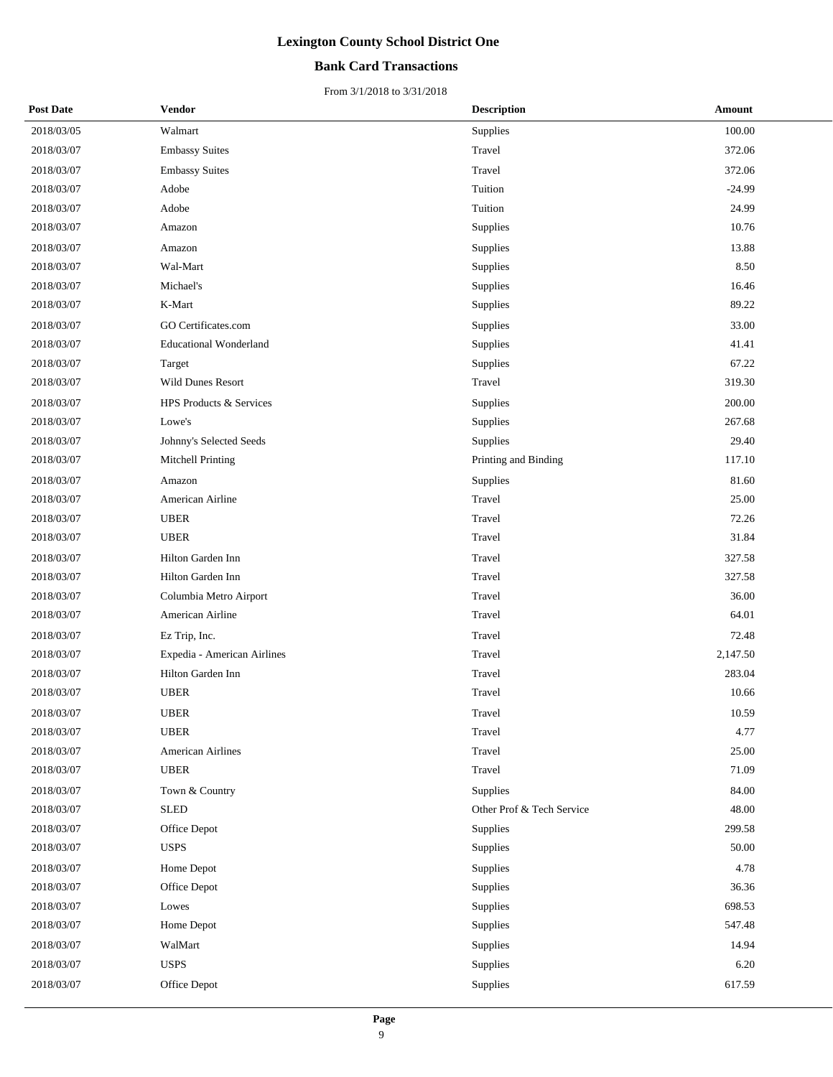### **Bank Card Transactions**

| <b>Post Date</b> | <b>Vendor</b>                 | <b>Description</b>        | Amount   |
|------------------|-------------------------------|---------------------------|----------|
| 2018/03/05       | Walmart                       | Supplies                  | 100.00   |
| 2018/03/07       | <b>Embassy Suites</b>         | Travel                    | 372.06   |
| 2018/03/07       | <b>Embassy Suites</b>         | Travel                    | 372.06   |
| 2018/03/07       | Adobe                         | Tuition                   | $-24.99$ |
| 2018/03/07       | Adobe                         | Tuition                   | 24.99    |
| 2018/03/07       | Amazon                        | Supplies                  | 10.76    |
| 2018/03/07       | Amazon                        | Supplies                  | 13.88    |
| 2018/03/07       | Wal-Mart                      | Supplies                  | 8.50     |
| 2018/03/07       | Michael's                     | Supplies                  | 16.46    |
| 2018/03/07       | K-Mart                        | Supplies                  | 89.22    |
| 2018/03/07       | GO Certificates.com           | Supplies                  | 33.00    |
| 2018/03/07       | <b>Educational Wonderland</b> | Supplies                  | 41.41    |
| 2018/03/07       | Target                        | Supplies                  | 67.22    |
| 2018/03/07       | <b>Wild Dunes Resort</b>      | Travel                    | 319.30   |
| 2018/03/07       | HPS Products & Services       | Supplies                  | 200.00   |
| 2018/03/07       | Lowe's                        | Supplies                  | 267.68   |
| 2018/03/07       | Johnny's Selected Seeds       | Supplies                  | 29.40    |
| 2018/03/07       | Mitchell Printing             | Printing and Binding      | 117.10   |
| 2018/03/07       | Amazon                        | Supplies                  | 81.60    |
| 2018/03/07       | American Airline              | Travel                    | 25.00    |
| 2018/03/07       | <b>UBER</b>                   | Travel                    | 72.26    |
| 2018/03/07       | <b>UBER</b>                   | Travel                    | 31.84    |
| 2018/03/07       | Hilton Garden Inn             | Travel                    | 327.58   |
| 2018/03/07       | Hilton Garden Inn             | Travel                    | 327.58   |
| 2018/03/07       | Columbia Metro Airport        | Travel                    | 36.00    |
| 2018/03/07       | American Airline              | Travel                    | 64.01    |
| 2018/03/07       | Ez Trip, Inc.                 | Travel                    | 72.48    |
| 2018/03/07       | Expedia - American Airlines   | Travel                    | 2,147.50 |
| 2018/03/07       | Hilton Garden Inn             | Travel                    | 283.04   |
| 2018/03/07       | <b>UBER</b>                   | Travel                    | 10.66    |
| 2018/03/07       | <b>UBER</b>                   | Travel                    | 10.59    |
| 2018/03/07       | <b>UBER</b>                   | Travel                    | 4.77     |
| 2018/03/07       | American Airlines             | Travel                    | 25.00    |
| 2018/03/07       | <b>UBER</b>                   | Travel                    | 71.09    |
| 2018/03/07       | Town & Country                | Supplies                  | 84.00    |
| 2018/03/07       | <b>SLED</b>                   | Other Prof & Tech Service | 48.00    |
| 2018/03/07       | Office Depot                  | Supplies                  | 299.58   |
| 2018/03/07       | <b>USPS</b>                   | Supplies                  | 50.00    |
| 2018/03/07       | Home Depot                    | Supplies                  | 4.78     |
| 2018/03/07       | Office Depot                  | Supplies                  | 36.36    |
| 2018/03/07       | Lowes                         | Supplies                  | 698.53   |
| 2018/03/07       | Home Depot                    | Supplies                  | 547.48   |
| 2018/03/07       | WalMart                       | Supplies                  | 14.94    |
| 2018/03/07       | <b>USPS</b>                   | Supplies                  | 6.20     |
| 2018/03/07       | Office Depot                  | Supplies                  | 617.59   |
|                  |                               |                           |          |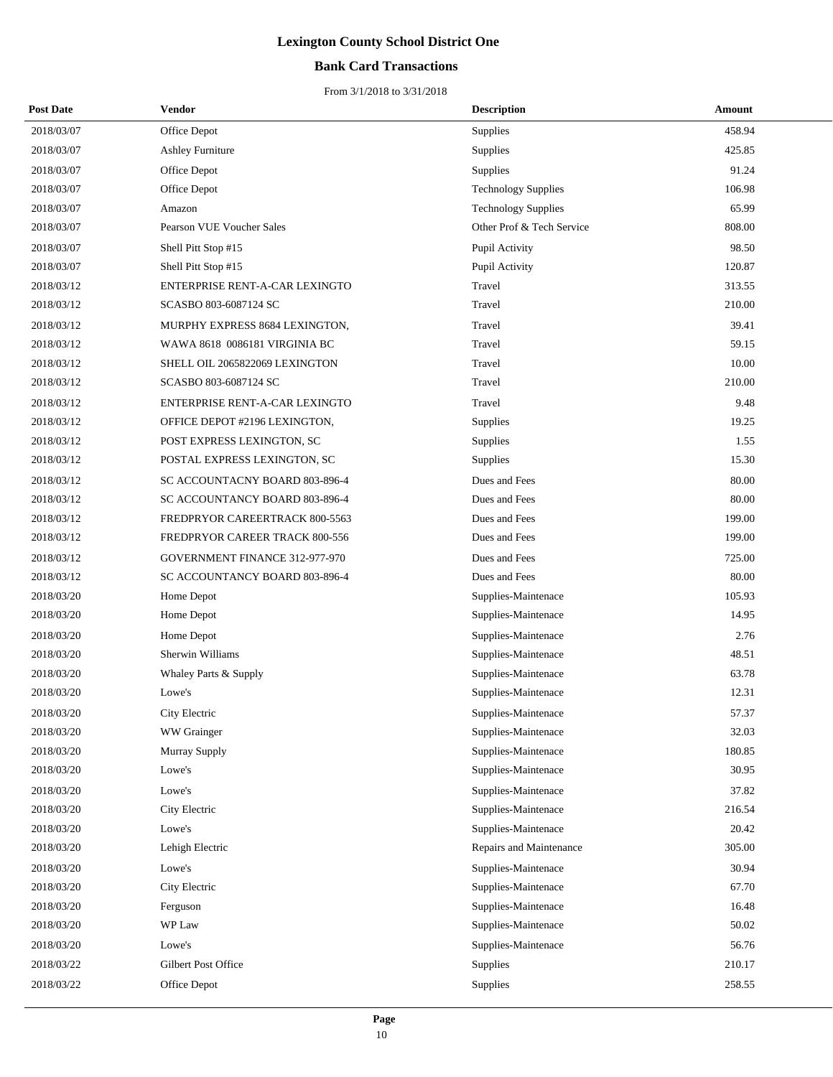### **Bank Card Transactions**

| <b>Post Date</b> | Vendor                         | <b>Description</b>         | <b>Amount</b> |
|------------------|--------------------------------|----------------------------|---------------|
| 2018/03/07       | Office Depot                   | Supplies                   | 458.94        |
| 2018/03/07       | <b>Ashley Furniture</b>        | Supplies                   | 425.85        |
| 2018/03/07       | Office Depot                   | Supplies                   | 91.24         |
| 2018/03/07       | Office Depot                   | <b>Technology Supplies</b> | 106.98        |
| 2018/03/07       | Amazon                         | <b>Technology Supplies</b> | 65.99         |
| 2018/03/07       | Pearson VUE Voucher Sales      | Other Prof & Tech Service  | 808.00        |
| 2018/03/07       | Shell Pitt Stop #15            | Pupil Activity             | 98.50         |
| 2018/03/07       | Shell Pitt Stop #15            | Pupil Activity             | 120.87        |
| 2018/03/12       | ENTERPRISE RENT-A-CAR LEXINGTO | Travel                     | 313.55        |
| 2018/03/12       | SCASBO 803-6087124 SC          | Travel                     | 210.00        |
| 2018/03/12       | MURPHY EXPRESS 8684 LEXINGTON, | Travel                     | 39.41         |
| 2018/03/12       | WAWA 8618 0086181 VIRGINIA BC  | Travel                     | 59.15         |
| 2018/03/12       | SHELL OIL 2065822069 LEXINGTON | Travel                     | 10.00         |
| 2018/03/12       | SCASBO 803-6087124 SC          | Travel                     | 210.00        |
| 2018/03/12       | ENTERPRISE RENT-A-CAR LEXINGTO | Travel                     | 9.48          |
| 2018/03/12       | OFFICE DEPOT #2196 LEXINGTON,  | Supplies                   | 19.25         |
| 2018/03/12       | POST EXPRESS LEXINGTON, SC     | Supplies                   | 1.55          |
| 2018/03/12       | POSTAL EXPRESS LEXINGTON, SC   | Supplies                   | 15.30         |
| 2018/03/12       | SC ACCOUNTACNY BOARD 803-896-4 | Dues and Fees              | 80.00         |
| 2018/03/12       | SC ACCOUNTANCY BOARD 803-896-4 | Dues and Fees              | 80.00         |
| 2018/03/12       | FREDPRYOR CAREERTRACK 800-5563 | Dues and Fees              | 199.00        |
| 2018/03/12       | FREDPRYOR CAREER TRACK 800-556 | Dues and Fees              | 199.00        |
| 2018/03/12       | GOVERNMENT FINANCE 312-977-970 | Dues and Fees              | 725.00        |
| 2018/03/12       | SC ACCOUNTANCY BOARD 803-896-4 | Dues and Fees              | 80.00         |
| 2018/03/20       | Home Depot                     | Supplies-Maintenace        | 105.93        |
| 2018/03/20       | Home Depot                     | Supplies-Maintenace        | 14.95         |
| 2018/03/20       | Home Depot                     | Supplies-Maintenace        | 2.76          |
| 2018/03/20       | Sherwin Williams               | Supplies-Maintenace        | 48.51         |
| 2018/03/20       | Whaley Parts & Supply          | Supplies-Maintenace        | 63.78         |
| 2018/03/20       | Lowe's                         | Supplies-Maintenace        | 12.31         |
| 2018/03/20       | City Electric                  | Supplies-Maintenace        | 57.37         |
| 2018/03/20       | WW Grainger                    | Supplies-Maintenace        | 32.03         |
| 2018/03/20       | Murray Supply                  | Supplies-Maintenace        | 180.85        |
| 2018/03/20       | Lowe's                         | Supplies-Maintenace        | 30.95         |
| 2018/03/20       | Lowe's                         | Supplies-Maintenace        | 37.82         |
| 2018/03/20       | City Electric                  | Supplies-Maintenace        | 216.54        |
| 2018/03/20       | Lowe's                         | Supplies-Maintenace        | 20.42         |
| 2018/03/20       | Lehigh Electric                | Repairs and Maintenance    | 305.00        |
| 2018/03/20       | Lowe's                         | Supplies-Maintenace        | 30.94         |
| 2018/03/20       | City Electric                  | Supplies-Maintenace        | 67.70         |
| 2018/03/20       | Ferguson                       | Supplies-Maintenace        | 16.48         |
| 2018/03/20       | WP Law                         | Supplies-Maintenace        | 50.02         |
| 2018/03/20       | Lowe's                         | Supplies-Maintenace        | 56.76         |
| 2018/03/22       | Gilbert Post Office            | Supplies                   | 210.17        |
| 2018/03/22       | Office Depot                   | Supplies                   | 258.55        |
|                  |                                |                            |               |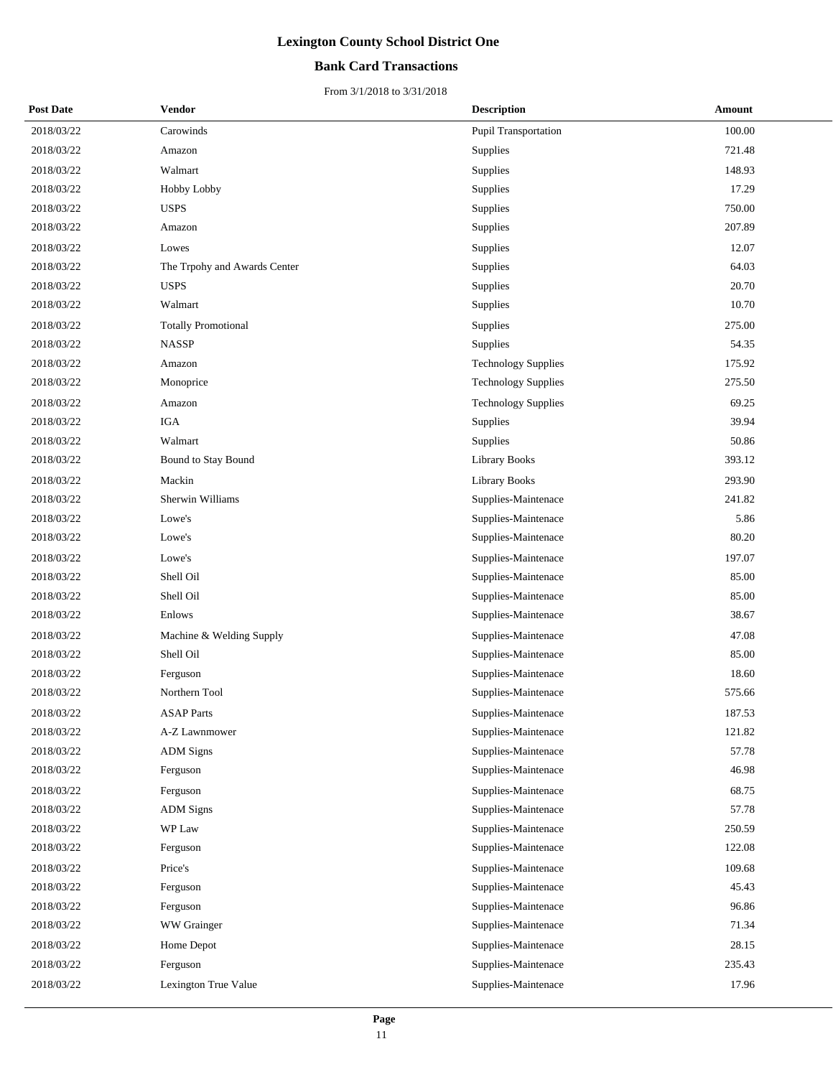### **Bank Card Transactions**

| <b>Post Date</b> | <b>Vendor</b>                | <b>Description</b>          | Amount |
|------------------|------------------------------|-----------------------------|--------|
| 2018/03/22       | Carowinds                    | <b>Pupil Transportation</b> | 100.00 |
| 2018/03/22       | Amazon                       | Supplies                    | 721.48 |
| 2018/03/22       | Walmart                      | Supplies                    | 148.93 |
| 2018/03/22       | Hobby Lobby                  | Supplies                    | 17.29  |
| 2018/03/22       | <b>USPS</b>                  | Supplies                    | 750.00 |
| 2018/03/22       | Amazon                       | Supplies                    | 207.89 |
| 2018/03/22       | Lowes                        | Supplies                    | 12.07  |
| 2018/03/22       | The Trpohy and Awards Center | Supplies                    | 64.03  |
| 2018/03/22       | <b>USPS</b>                  | Supplies                    | 20.70  |
| 2018/03/22       | Walmart                      | Supplies                    | 10.70  |
| 2018/03/22       | <b>Totally Promotional</b>   | Supplies                    | 275.00 |
| 2018/03/22       | <b>NASSP</b>                 | Supplies                    | 54.35  |
| 2018/03/22       | Amazon                       | <b>Technology Supplies</b>  | 175.92 |
| 2018/03/22       | Monoprice                    | <b>Technology Supplies</b>  | 275.50 |
| 2018/03/22       | Amazon                       | <b>Technology Supplies</b>  | 69.25  |
| 2018/03/22       | <b>IGA</b>                   | Supplies                    | 39.94  |
| 2018/03/22       | Walmart                      | Supplies                    | 50.86  |
| 2018/03/22       | <b>Bound to Stay Bound</b>   | <b>Library Books</b>        | 393.12 |
| 2018/03/22       | Mackin                       | <b>Library Books</b>        | 293.90 |
| 2018/03/22       | Sherwin Williams             | Supplies-Maintenace         | 241.82 |
| 2018/03/22       | Lowe's                       | Supplies-Maintenace         | 5.86   |
| 2018/03/22       | Lowe's                       | Supplies-Maintenace         | 80.20  |
| 2018/03/22       | Lowe's                       | Supplies-Maintenace         | 197.07 |
| 2018/03/22       | Shell Oil                    | Supplies-Maintenace         | 85.00  |
| 2018/03/22       | Shell Oil                    | Supplies-Maintenace         | 85.00  |
| 2018/03/22       | Enlows                       | Supplies-Maintenace         | 38.67  |
| 2018/03/22       | Machine & Welding Supply     | Supplies-Maintenace         | 47.08  |
| 2018/03/22       | Shell Oil                    | Supplies-Maintenace         | 85.00  |
| 2018/03/22       | Ferguson                     | Supplies-Maintenace         | 18.60  |
| 2018/03/22       | Northern Tool                | Supplies-Maintenace         | 575.66 |
| 2018/03/22       | <b>ASAP</b> Parts            | Supplies-Maintenace         | 187.53 |
| 2018/03/22       | A-Z Lawnmower                | Supplies-Maintenace         | 121.82 |
| 2018/03/22       | <b>ADM</b> Signs             | Supplies-Maintenace         | 57.78  |
| 2018/03/22       | Ferguson                     | Supplies-Maintenace         | 46.98  |
| 2018/03/22       | Ferguson                     | Supplies-Maintenace         | 68.75  |
| 2018/03/22       | <b>ADM</b> Signs             | Supplies-Maintenace         | 57.78  |
| 2018/03/22       | WP Law                       | Supplies-Maintenace         | 250.59 |
| 2018/03/22       | Ferguson                     | Supplies-Maintenace         | 122.08 |
| 2018/03/22       | Price's                      | Supplies-Maintenace         | 109.68 |
| 2018/03/22       | Ferguson                     | Supplies-Maintenace         | 45.43  |
| 2018/03/22       | Ferguson                     | Supplies-Maintenace         | 96.86  |
| 2018/03/22       | WW Grainger                  | Supplies-Maintenace         | 71.34  |
| 2018/03/22       | Home Depot                   | Supplies-Maintenace         | 28.15  |
| 2018/03/22       | Ferguson                     | Supplies-Maintenace         | 235.43 |
| 2018/03/22       | Lexington True Value         | Supplies-Maintenace         | 17.96  |
|                  |                              |                             |        |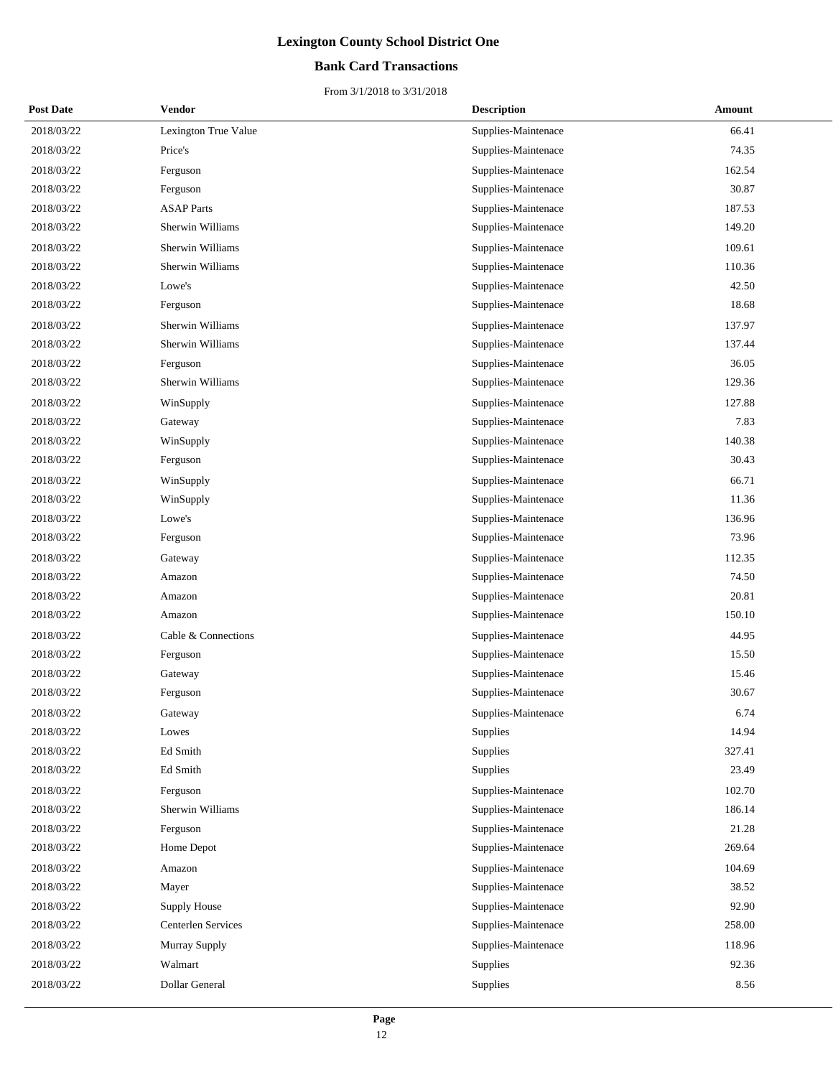### **Bank Card Transactions**

| <b>Post Date</b> | Vendor               | <b>Description</b> | <b>Amount</b>                 |  |
|------------------|----------------------|--------------------|-------------------------------|--|
| 2018/03/22       | Lexington True Value |                    | 66.41<br>Supplies-Maintenace  |  |
| 2018/03/22       | Price's              |                    | 74.35<br>Supplies-Maintenace  |  |
| 2018/03/22       | Ferguson             |                    | Supplies-Maintenace<br>162.54 |  |
| 2018/03/22       | Ferguson             |                    | Supplies-Maintenace<br>30.87  |  |
| 2018/03/22       | <b>ASAP</b> Parts    |                    | 187.53<br>Supplies-Maintenace |  |
| 2018/03/22       | Sherwin Williams     |                    | 149.20<br>Supplies-Maintenace |  |
| 2018/03/22       | Sherwin Williams     |                    | 109.61<br>Supplies-Maintenace |  |
| 2018/03/22       | Sherwin Williams     |                    | 110.36<br>Supplies-Maintenace |  |
| 2018/03/22       | Lowe's               |                    | 42.50<br>Supplies-Maintenace  |  |
| 2018/03/22       | Ferguson             |                    | 18.68<br>Supplies-Maintenace  |  |
| 2018/03/22       | Sherwin Williams     |                    | 137.97<br>Supplies-Maintenace |  |
| 2018/03/22       | Sherwin Williams     |                    | Supplies-Maintenace<br>137.44 |  |
| 2018/03/22       | Ferguson             |                    | 36.05<br>Supplies-Maintenace  |  |
| 2018/03/22       | Sherwin Williams     |                    | Supplies-Maintenace<br>129.36 |  |
| 2018/03/22       | WinSupply            |                    | Supplies-Maintenace<br>127.88 |  |
| 2018/03/22       | Gateway              |                    | 7.83<br>Supplies-Maintenace   |  |
| 2018/03/22       | WinSupply            |                    | 140.38<br>Supplies-Maintenace |  |
| 2018/03/22       | Ferguson             |                    | 30.43<br>Supplies-Maintenace  |  |
| 2018/03/22       | WinSupply            |                    | 66.71<br>Supplies-Maintenace  |  |
| 2018/03/22       | WinSupply            |                    | Supplies-Maintenace<br>11.36  |  |
| 2018/03/22       | Lowe's               |                    | 136.96<br>Supplies-Maintenace |  |
| 2018/03/22       | Ferguson             |                    | 73.96<br>Supplies-Maintenace  |  |
| 2018/03/22       | Gateway              |                    | Supplies-Maintenace<br>112.35 |  |
| 2018/03/22       | Amazon               |                    | 74.50<br>Supplies-Maintenace  |  |
| 2018/03/22       | Amazon               |                    | 20.81<br>Supplies-Maintenace  |  |
| 2018/03/22       | Amazon               |                    | 150.10<br>Supplies-Maintenace |  |
| 2018/03/22       | Cable & Connections  |                    | 44.95<br>Supplies-Maintenace  |  |
| 2018/03/22       | Ferguson             |                    | Supplies-Maintenace<br>15.50  |  |
| 2018/03/22       | Gateway              |                    | Supplies-Maintenace<br>15.46  |  |
| 2018/03/22       | Ferguson             |                    | 30.67<br>Supplies-Maintenace  |  |
| 2018/03/22       | Gateway              |                    | 6.74<br>Supplies-Maintenace   |  |
| 2018/03/22       | Lowes                | <b>Supplies</b>    | 14.94                         |  |
| 2018/03/22       | Ed Smith             | Supplies           | 327.41                        |  |
| 2018/03/22       | Ed Smith             | Supplies           | 23.49                         |  |
| 2018/03/22       | Ferguson             |                    | 102.70<br>Supplies-Maintenace |  |
| 2018/03/22       | Sherwin Williams     |                    | Supplies-Maintenace<br>186.14 |  |
| 2018/03/22       | Ferguson             |                    | 21.28<br>Supplies-Maintenace  |  |
| 2018/03/22       | Home Depot           |                    | 269.64<br>Supplies-Maintenace |  |
| 2018/03/22       | Amazon               |                    | Supplies-Maintenace<br>104.69 |  |
| 2018/03/22       | Mayer                |                    | Supplies-Maintenace<br>38.52  |  |
| 2018/03/22       | Supply House         |                    | 92.90<br>Supplies-Maintenace  |  |
| 2018/03/22       | Centerlen Services   |                    | 258.00<br>Supplies-Maintenace |  |
| 2018/03/22       | Murray Supply        |                    | 118.96<br>Supplies-Maintenace |  |
| 2018/03/22       | Walmart              | Supplies           | 92.36                         |  |
| 2018/03/22       | Dollar General       | Supplies           | 8.56                          |  |
|                  |                      |                    |                               |  |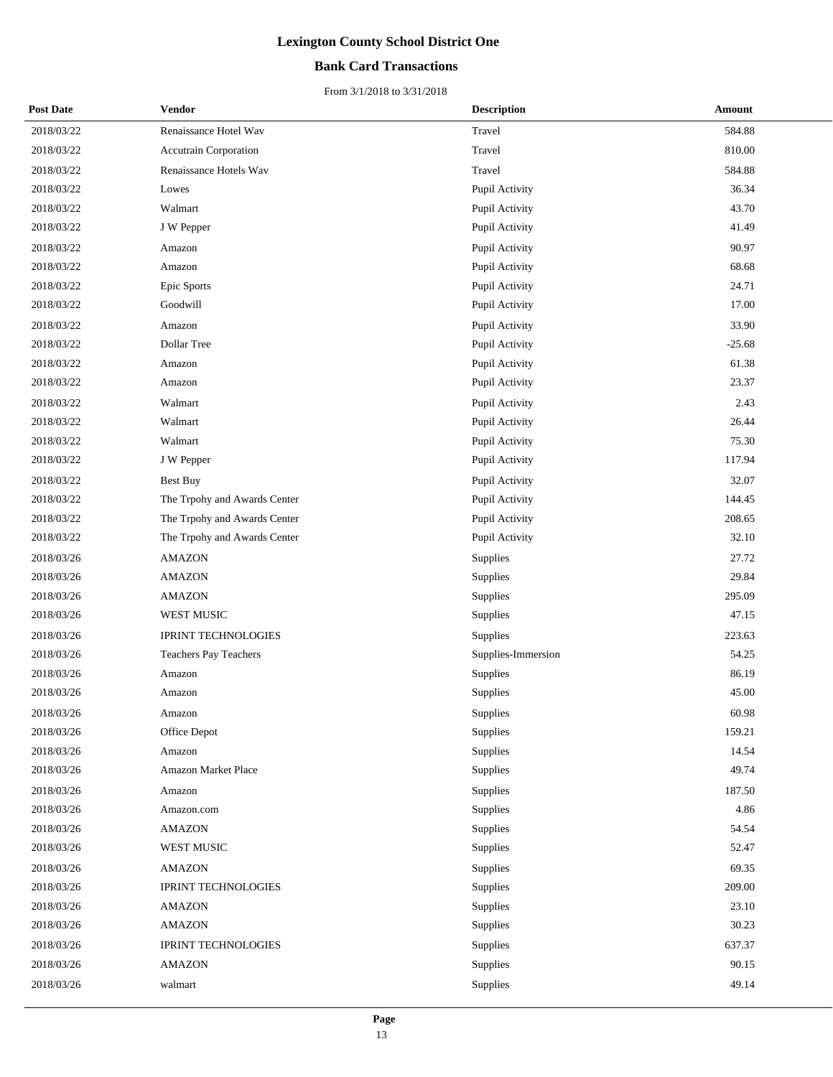### **Bank Card Transactions**

| <b>Post Date</b> | <b>Vendor</b>                | <b>Description</b> | <b>Amount</b> |
|------------------|------------------------------|--------------------|---------------|
| 2018/03/22       | Renaissance Hotel Wav        | Travel             | 584.88        |
| 2018/03/22       | Accutrain Corporation        | Travel             | 810.00        |
| 2018/03/22       | Renaissance Hotels Wav       | Travel             | 584.88        |
| 2018/03/22       | Lowes                        | Pupil Activity     | 36.34         |
| 2018/03/22       | Walmart                      | Pupil Activity     | 43.70         |
| 2018/03/22       | J W Pepper                   | Pupil Activity     | 41.49         |
| 2018/03/22       | Amazon                       | Pupil Activity     | 90.97         |
| 2018/03/22       | Amazon                       | Pupil Activity     | 68.68         |
| 2018/03/22       | Epic Sports                  | Pupil Activity     | 24.71         |
| 2018/03/22       | Goodwill                     | Pupil Activity     | 17.00         |
| 2018/03/22       | Amazon                       | Pupil Activity     | 33.90         |
| 2018/03/22       | Dollar Tree                  | Pupil Activity     | $-25.68$      |
| 2018/03/22       | Amazon                       | Pupil Activity     | 61.38         |
| 2018/03/22       | Amazon                       | Pupil Activity     | 23.37         |
| 2018/03/22       | Walmart                      | Pupil Activity     | 2.43          |
| 2018/03/22       | Walmart                      | Pupil Activity     | 26.44         |
| 2018/03/22       | Walmart                      | Pupil Activity     | 75.30         |
| 2018/03/22       | J W Pepper                   | Pupil Activity     | 117.94        |
| 2018/03/22       | Best Buy                     | Pupil Activity     | 32.07         |
| 2018/03/22       | The Trpohy and Awards Center | Pupil Activity     | 144.45        |
| 2018/03/22       | The Trpohy and Awards Center | Pupil Activity     | 208.65        |
| 2018/03/22       | The Trpohy and Awards Center | Pupil Activity     | 32.10         |
| 2018/03/26       | <b>AMAZON</b>                | Supplies           | 27.72         |
| 2018/03/26       | <b>AMAZON</b>                | Supplies           | 29.84         |
| 2018/03/26       | <b>AMAZON</b>                | Supplies           | 295.09        |
| 2018/03/26       | WEST MUSIC                   | Supplies           | 47.15         |
| 2018/03/26       | <b>IPRINT TECHNOLOGIES</b>   | Supplies           | 223.63        |
| 2018/03/26       | <b>Teachers Pay Teachers</b> | Supplies-Immersion | 54.25         |
| 2018/03/26       | Amazon                       | Supplies           | 86.19         |
| 2018/03/26       | Amazon                       | Supplies           | 45.00         |
| 2018/03/26       | Amazon                       | Supplies           | 60.98         |
| 2018/03/26       | Office Depot                 | Supplies           | 159.21        |
| 2018/03/26       | Amazon                       | Supplies           | 14.54         |
| 2018/03/26       | Amazon Market Place          | Supplies           | 49.74         |
| 2018/03/26       | Amazon                       | Supplies           | 187.50        |
| 2018/03/26       | Amazon.com                   | Supplies           | 4.86          |
| 2018/03/26       | <b>AMAZON</b>                | Supplies           | 54.54         |
| 2018/03/26       | WEST MUSIC                   | Supplies           | 52.47         |
| 2018/03/26       | AMAZON                       | Supplies           | 69.35         |
| 2018/03/26       | <b>IPRINT TECHNOLOGIES</b>   | Supplies           | 209.00        |
| 2018/03/26       | <b>AMAZON</b>                | Supplies           | 23.10         |
| 2018/03/26       | <b>AMAZON</b>                | Supplies           | 30.23         |
| 2018/03/26       | <b>IPRINT TECHNOLOGIES</b>   | Supplies           | 637.37        |
| 2018/03/26       | <b>AMAZON</b>                | Supplies           | 90.15         |
| 2018/03/26       | walmart                      | Supplies           | 49.14         |
|                  |                              |                    |               |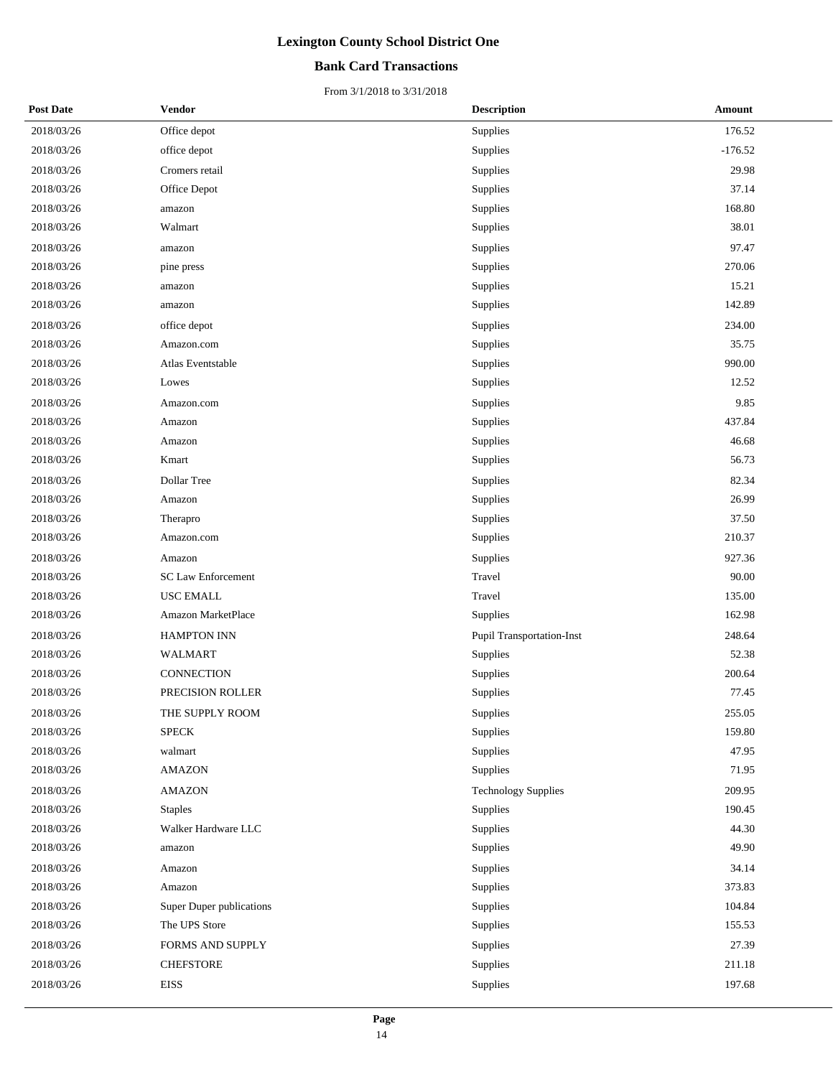### **Bank Card Transactions**

| <b>Post Date</b> | <b>Vendor</b>             | <b>Description</b>               | Amount    |
|------------------|---------------------------|----------------------------------|-----------|
| 2018/03/26       | Office depot              | Supplies                         | 176.52    |
| 2018/03/26       | office depot              | Supplies                         | $-176.52$ |
| 2018/03/26       | Cromers retail            | Supplies                         | 29.98     |
| 2018/03/26       | Office Depot              | Supplies                         | 37.14     |
| 2018/03/26       | amazon                    | Supplies                         | 168.80    |
| 2018/03/26       | Walmart                   | Supplies                         | 38.01     |
| 2018/03/26       | amazon                    | Supplies                         | 97.47     |
| 2018/03/26       | pine press                | Supplies                         | 270.06    |
| 2018/03/26       | amazon                    | Supplies                         | 15.21     |
| 2018/03/26       | amazon                    | Supplies                         | 142.89    |
| 2018/03/26       | office depot              | Supplies                         | 234.00    |
| 2018/03/26       | Amazon.com                | Supplies                         | 35.75     |
| 2018/03/26       | Atlas Eventstable         | Supplies                         | 990.00    |
| 2018/03/26       | Lowes                     | Supplies                         | 12.52     |
| 2018/03/26       | Amazon.com                | Supplies                         | 9.85      |
| 2018/03/26       | Amazon                    | Supplies                         | 437.84    |
| 2018/03/26       | Amazon                    | Supplies                         | 46.68     |
| 2018/03/26       | Kmart                     | Supplies                         | 56.73     |
| 2018/03/26       | Dollar Tree               | Supplies                         | 82.34     |
| 2018/03/26       | Amazon                    | Supplies                         | 26.99     |
| 2018/03/26       | Therapro                  | Supplies                         | 37.50     |
| 2018/03/26       | Amazon.com                | Supplies                         | 210.37    |
| 2018/03/26       | Amazon                    | Supplies                         | 927.36    |
| 2018/03/26       | <b>SC Law Enforcement</b> | Travel                           | 90.00     |
| 2018/03/26       | <b>USC EMALL</b>          | Travel                           | 135.00    |
| 2018/03/26       | Amazon MarketPlace        | Supplies                         | 162.98    |
| 2018/03/26       | <b>HAMPTON INN</b>        | <b>Pupil Transportation-Inst</b> | 248.64    |
| 2018/03/26       | <b>WALMART</b>            | Supplies                         | 52.38     |
| 2018/03/26       | CONNECTION                | Supplies                         | 200.64    |
| 2018/03/26       | PRECISION ROLLER          | Supplies                         | 77.45     |
| 2018/03/26       | THE SUPPLY ROOM           | Supplies                         | 255.05    |
| 2018/03/26       | <b>SPECK</b>              | Supplies                         | 159.80    |
| 2018/03/26       | walmart                   | Supplies                         | 47.95     |
| 2018/03/26       | <b>AMAZON</b>             | Supplies                         | 71.95     |
| 2018/03/26       | <b>AMAZON</b>             | <b>Technology Supplies</b>       | 209.95    |
| 2018/03/26       | <b>Staples</b>            | Supplies                         | 190.45    |
| 2018/03/26       | Walker Hardware LLC       | Supplies                         | 44.30     |
| 2018/03/26       | amazon                    | Supplies                         | 49.90     |
| 2018/03/26       | Amazon                    | Supplies                         | 34.14     |
| 2018/03/26       | Amazon                    | Supplies                         | 373.83    |
| 2018/03/26       | Super Duper publications  | Supplies                         | 104.84    |
| 2018/03/26       | The UPS Store             | Supplies                         | 155.53    |
| 2018/03/26       | FORMS AND SUPPLY          | Supplies                         | 27.39     |
| 2018/03/26       | <b>CHEFSTORE</b>          | Supplies                         | 211.18    |
| 2018/03/26       | <b>EISS</b>               | Supplies                         | 197.68    |
|                  |                           |                                  |           |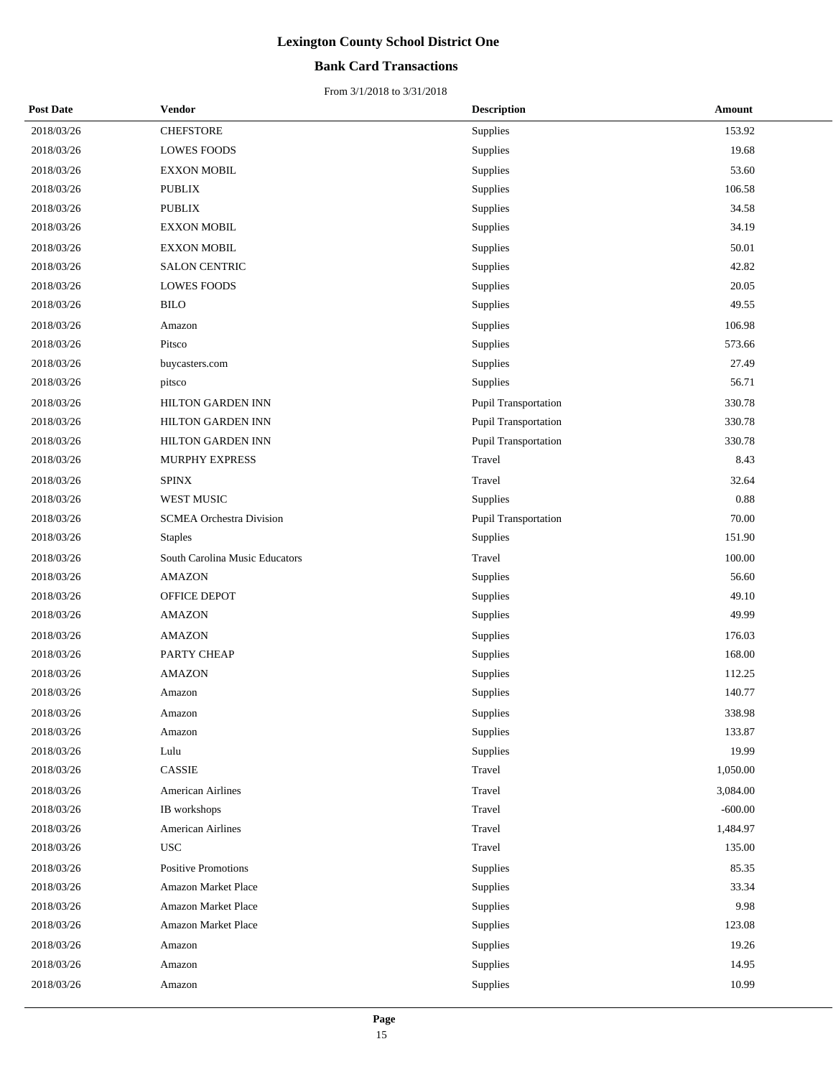### **Bank Card Transactions**

| <b>Post Date</b> | Vendor                          | <b>Description</b>          | Amount    |
|------------------|---------------------------------|-----------------------------|-----------|
| 2018/03/26       | <b>CHEFSTORE</b>                | Supplies                    | 153.92    |
| 2018/03/26       | <b>LOWES FOODS</b>              | Supplies                    | 19.68     |
| 2018/03/26       | <b>EXXON MOBIL</b>              | Supplies                    | 53.60     |
| 2018/03/26       | <b>PUBLIX</b>                   | Supplies                    | 106.58    |
| 2018/03/26       | <b>PUBLIX</b>                   | Supplies                    | 34.58     |
| 2018/03/26       | <b>EXXON MOBIL</b>              | Supplies                    | 34.19     |
| 2018/03/26       | <b>EXXON MOBIL</b>              | Supplies                    | 50.01     |
| 2018/03/26       | <b>SALON CENTRIC</b>            | Supplies                    | 42.82     |
| 2018/03/26       | <b>LOWES FOODS</b>              | Supplies                    | 20.05     |
| 2018/03/26       | <b>BILO</b>                     | Supplies                    | 49.55     |
| 2018/03/26       | Amazon                          | Supplies                    | 106.98    |
| 2018/03/26       | Pitsco                          | Supplies                    | 573.66    |
| 2018/03/26       | buycasters.com                  | Supplies                    | 27.49     |
| 2018/03/26       | pitsco                          | Supplies                    | 56.71     |
| 2018/03/26       | <b>HILTON GARDEN INN</b>        | Pupil Transportation        | 330.78    |
| 2018/03/26       | HILTON GARDEN INN               | <b>Pupil Transportation</b> | 330.78    |
| 2018/03/26       | HILTON GARDEN INN               | Pupil Transportation        | 330.78    |
| 2018/03/26       | MURPHY EXPRESS                  | Travel                      | 8.43      |
| 2018/03/26       | <b>SPINX</b>                    | Travel                      | 32.64     |
| 2018/03/26       | WEST MUSIC                      | Supplies                    | 0.88      |
| 2018/03/26       | <b>SCMEA Orchestra Division</b> | Pupil Transportation        | 70.00     |
| 2018/03/26       | <b>Staples</b>                  | Supplies                    | 151.90    |
| 2018/03/26       | South Carolina Music Educators  | Travel                      | 100.00    |
| 2018/03/26       | <b>AMAZON</b>                   | Supplies                    | 56.60     |
| 2018/03/26       | OFFICE DEPOT                    | Supplies                    | 49.10     |
| 2018/03/26       | <b>AMAZON</b>                   | Supplies                    | 49.99     |
| 2018/03/26       | <b>AMAZON</b>                   | Supplies                    | 176.03    |
| 2018/03/26       | PARTY CHEAP                     | Supplies                    | 168.00    |
| 2018/03/26       | <b>AMAZON</b>                   | Supplies                    | 112.25    |
| 2018/03/26       | Amazon                          | Supplies                    | 140.77    |
| 2018/03/26       | Amazon                          | Supplies                    | 338.98    |
| 2018/03/26       | Amazon                          | Supplies                    | 133.87    |
| 2018/03/26       | Lulu                            | Supplies                    | 19.99     |
| 2018/03/26       | <b>CASSIE</b>                   | Travel                      | 1,050.00  |
| 2018/03/26       | <b>American Airlines</b>        | Travel                      | 3,084.00  |
| 2018/03/26       | IB workshops                    | Travel                      | $-600.00$ |
| 2018/03/26       | <b>American Airlines</b>        | Travel                      | 1,484.97  |
| 2018/03/26       | <b>USC</b>                      | Travel                      | 135.00    |
| 2018/03/26       | Positive Promotions             | Supplies                    | 85.35     |
| 2018/03/26       | Amazon Market Place             | Supplies                    | 33.34     |
| 2018/03/26       | <b>Amazon Market Place</b>      | Supplies                    | 9.98      |
| 2018/03/26       | Amazon Market Place             | Supplies                    | 123.08    |
| 2018/03/26       | Amazon                          | Supplies                    | 19.26     |
| 2018/03/26       | Amazon                          | Supplies                    | 14.95     |
| 2018/03/26       | Amazon                          | Supplies                    | 10.99     |
|                  |                                 |                             |           |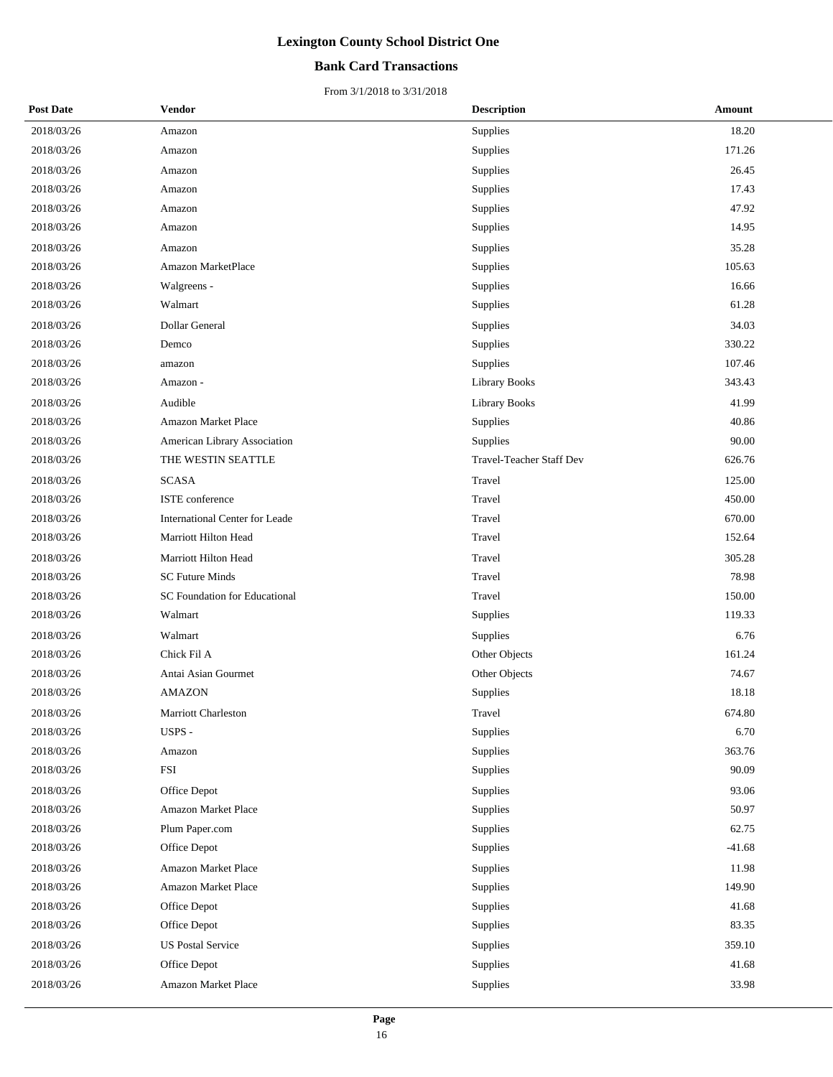### **Bank Card Transactions**

| <b>Post Date</b> | Vendor                               | <b>Description</b>              | Amount   |
|------------------|--------------------------------------|---------------------------------|----------|
| 2018/03/26       | Amazon                               | Supplies                        | 18.20    |
| 2018/03/26       | Amazon                               | Supplies                        | 171.26   |
| 2018/03/26       | Amazon                               | Supplies                        | 26.45    |
| 2018/03/26       | Amazon                               | Supplies                        | 17.43    |
| 2018/03/26       | Amazon                               | Supplies                        | 47.92    |
| 2018/03/26       | Amazon                               | Supplies                        | 14.95    |
| 2018/03/26       | Amazon                               | Supplies                        | 35.28    |
| 2018/03/26       | <b>Amazon MarketPlace</b>            | Supplies                        | 105.63   |
| 2018/03/26       | Walgreens -                          | Supplies                        | 16.66    |
| 2018/03/26       | Walmart                              | Supplies                        | 61.28    |
| 2018/03/26       | Dollar General                       | Supplies                        | 34.03    |
| 2018/03/26       | Demco                                | Supplies                        | 330.22   |
| 2018/03/26       | amazon                               | Supplies                        | 107.46   |
| 2018/03/26       | Amazon -                             | Library Books                   | 343.43   |
| 2018/03/26       | Audible                              | <b>Library Books</b>            | 41.99    |
| 2018/03/26       | Amazon Market Place                  | Supplies                        | 40.86    |
| 2018/03/26       | American Library Association         | Supplies                        | 90.00    |
| 2018/03/26       | THE WESTIN SEATTLE                   | <b>Travel-Teacher Staff Dev</b> | 626.76   |
| 2018/03/26       | <b>SCASA</b>                         | Travel                          | 125.00   |
| 2018/03/26       | ISTE conference                      | Travel                          | 450.00   |
| 2018/03/26       | International Center for Leade       | Travel                          | 670.00   |
| 2018/03/26       | Marriott Hilton Head                 | Travel                          | 152.64   |
| 2018/03/26       | Marriott Hilton Head                 | Travel                          | 305.28   |
| 2018/03/26       | <b>SC Future Minds</b>               | Travel                          | 78.98    |
| 2018/03/26       | <b>SC Foundation for Educational</b> | Travel                          | 150.00   |
| 2018/03/26       | Walmart                              | Supplies                        | 119.33   |
| 2018/03/26       | Walmart                              | Supplies                        | 6.76     |
| 2018/03/26       | Chick Fil A                          | Other Objects                   | 161.24   |
| 2018/03/26       | Antai Asian Gourmet                  | Other Objects                   | 74.67    |
| 2018/03/26       | <b>AMAZON</b>                        | Supplies                        | 18.18    |
| 2018/03/26       | Marriott Charleston                  | Travel                          | 674.80   |
| 2018/03/26       | USPS -                               | Supplies                        | 6.70     |
| 2018/03/26       | Amazon                               | Supplies                        | 363.76   |
| 2018/03/26       | <b>FSI</b>                           | Supplies                        | 90.09    |
| 2018/03/26       | Office Depot                         | Supplies                        | 93.06    |
| 2018/03/26       | Amazon Market Place                  | Supplies                        | 50.97    |
| 2018/03/26       | Plum Paper.com                       | Supplies                        | 62.75    |
| 2018/03/26       | Office Depot                         | Supplies                        | $-41.68$ |
| 2018/03/26       | Amazon Market Place                  | Supplies                        | 11.98    |
| 2018/03/26       | <b>Amazon Market Place</b>           | Supplies                        | 149.90   |
| 2018/03/26       | Office Depot                         | Supplies                        | 41.68    |
| 2018/03/26       | Office Depot                         | Supplies                        | 83.35    |
| 2018/03/26       | <b>US Postal Service</b>             | Supplies                        | 359.10   |
| 2018/03/26       | Office Depot                         | Supplies                        | 41.68    |
| 2018/03/26       | Amazon Market Place                  | Supplies                        | 33.98    |
|                  |                                      |                                 |          |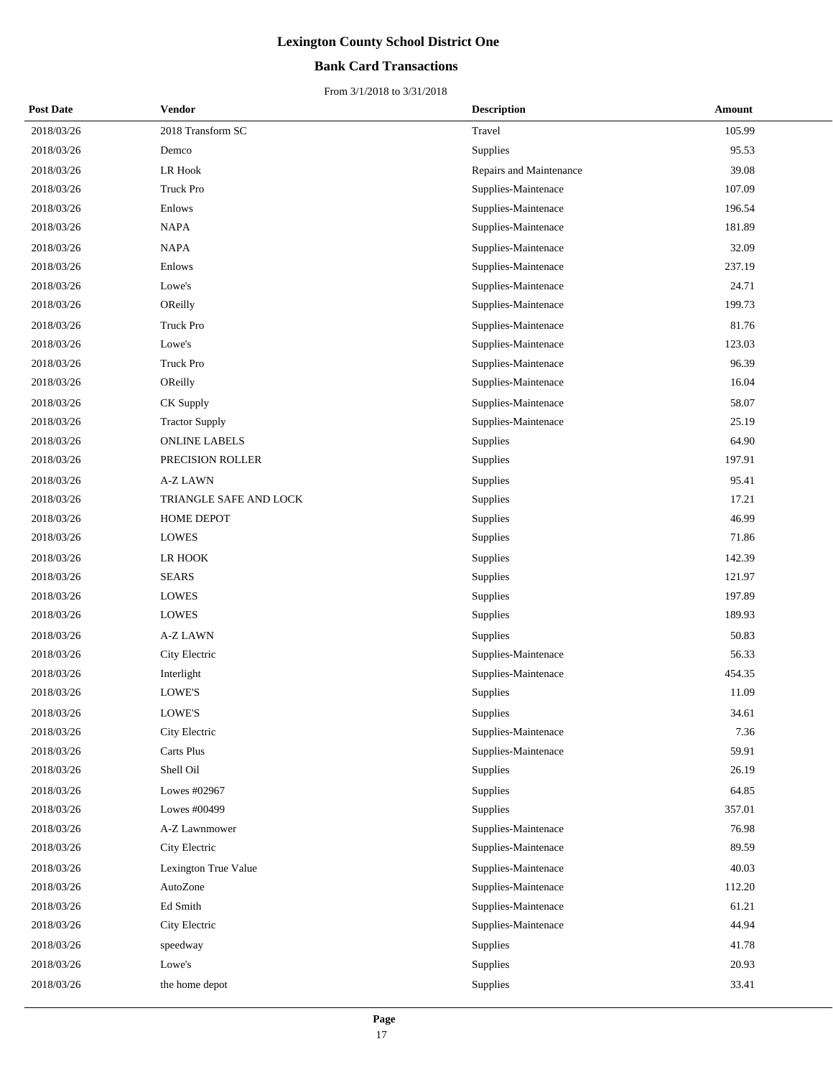### **Bank Card Transactions**

| <b>Post Date</b> | Vendor                 | <b>Description</b>      | Amount |
|------------------|------------------------|-------------------------|--------|
| 2018/03/26       | 2018 Transform SC      | Travel                  | 105.99 |
| 2018/03/26       | Demco                  | Supplies                | 95.53  |
| 2018/03/26       | LR Hook                | Repairs and Maintenance | 39.08  |
| 2018/03/26       | Truck Pro              | Supplies-Maintenace     | 107.09 |
| 2018/03/26       | Enlows                 | Supplies-Maintenace     | 196.54 |
| 2018/03/26       | NAPA                   | Supplies-Maintenace     | 181.89 |
| 2018/03/26       | <b>NAPA</b>            | Supplies-Maintenace     | 32.09  |
| 2018/03/26       | Enlows                 | Supplies-Maintenace     | 237.19 |
| 2018/03/26       | Lowe's                 | Supplies-Maintenace     | 24.71  |
| 2018/03/26       | OReilly                | Supplies-Maintenace     | 199.73 |
| 2018/03/26       | Truck Pro              | Supplies-Maintenace     | 81.76  |
| 2018/03/26       | Lowe's                 | Supplies-Maintenace     | 123.03 |
| 2018/03/26       | Truck Pro              | Supplies-Maintenace     | 96.39  |
| 2018/03/26       | OReilly                | Supplies-Maintenace     | 16.04  |
| 2018/03/26       | CK Supply              | Supplies-Maintenace     | 58.07  |
| 2018/03/26       | <b>Tractor Supply</b>  | Supplies-Maintenace     | 25.19  |
| 2018/03/26       | <b>ONLINE LABELS</b>   | Supplies                | 64.90  |
| 2018/03/26       | PRECISION ROLLER       | Supplies                | 197.91 |
| 2018/03/26       | A-Z LAWN               | Supplies                | 95.41  |
| 2018/03/26       | TRIANGLE SAFE AND LOCK | Supplies                | 17.21  |
| 2018/03/26       | HOME DEPOT             | Supplies                | 46.99  |
| 2018/03/26       | <b>LOWES</b>           | Supplies                | 71.86  |
| 2018/03/26       | LR HOOK                | Supplies                | 142.39 |
| 2018/03/26       | <b>SEARS</b>           | Supplies                | 121.97 |
| 2018/03/26       | <b>LOWES</b>           | Supplies                | 197.89 |
| 2018/03/26       | <b>LOWES</b>           | Supplies                | 189.93 |
| 2018/03/26       | A-Z LAWN               | Supplies                | 50.83  |
| 2018/03/26       | City Electric          | Supplies-Maintenace     | 56.33  |
| 2018/03/26       | Interlight             | Supplies-Maintenace     | 454.35 |
| 2018/03/26       | LOWE'S                 | Supplies                | 11.09  |
| 2018/03/26       | <b>LOWE'S</b>          | Supplies                | 34.61  |
| 2018/03/26       | City Electric          | Supplies-Maintenace     | 7.36   |
| 2018/03/26       | Carts Plus             | Supplies-Maintenace     | 59.91  |
| 2018/03/26       | Shell Oil              | Supplies                | 26.19  |
| 2018/03/26       | Lowes #02967           | Supplies                | 64.85  |
| 2018/03/26       | Lowes #00499           | Supplies                | 357.01 |
| 2018/03/26       | A-Z Lawnmower          | Supplies-Maintenace     | 76.98  |
| 2018/03/26       | City Electric          | Supplies-Maintenace     | 89.59  |
| 2018/03/26       | Lexington True Value   | Supplies-Maintenace     | 40.03  |
| 2018/03/26       | AutoZone               | Supplies-Maintenace     | 112.20 |
| 2018/03/26       | Ed Smith               | Supplies-Maintenace     | 61.21  |
| 2018/03/26       | City Electric          | Supplies-Maintenace     | 44.94  |
| 2018/03/26       | speedway               | Supplies                | 41.78  |
| 2018/03/26       | Lowe's                 | Supplies                | 20.93  |
| 2018/03/26       | the home depot         | Supplies                | 33.41  |
|                  |                        |                         |        |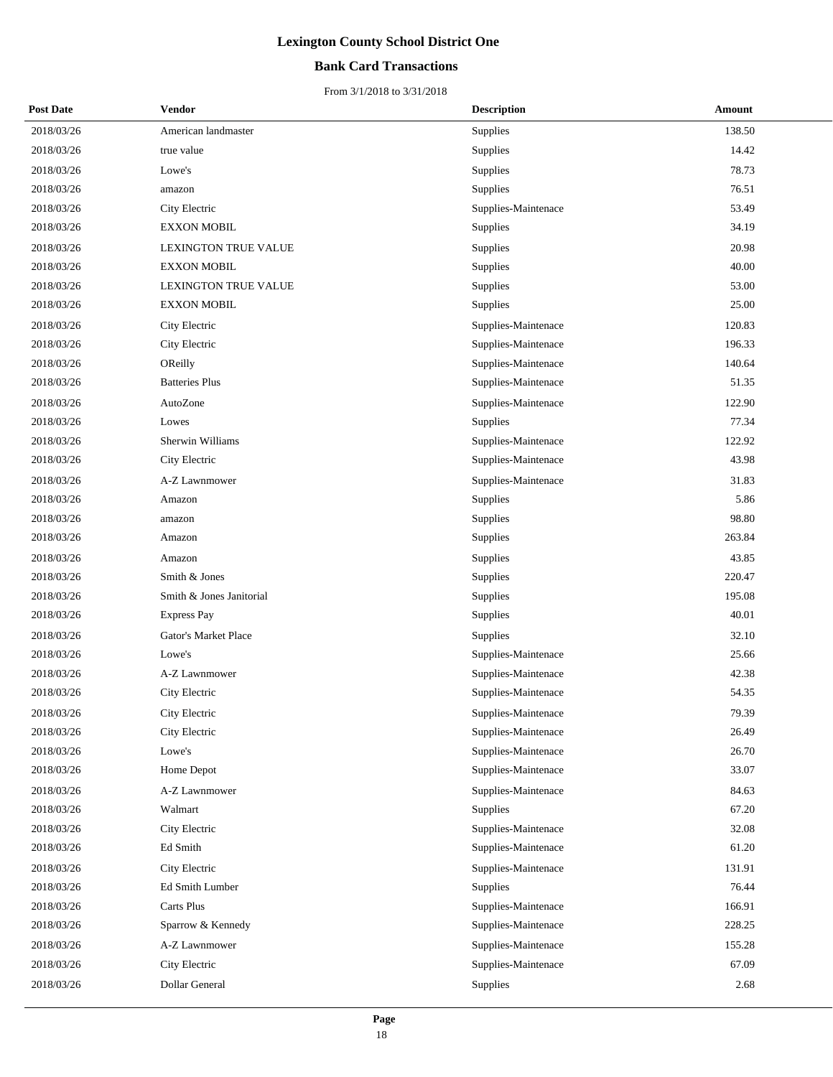### **Bank Card Transactions**

| <b>Post Date</b> | Vendor                      | <b>Description</b>  | <b>Amount</b> |
|------------------|-----------------------------|---------------------|---------------|
| 2018/03/26       | American landmaster         | Supplies            | 138.50        |
| 2018/03/26       | true value                  | Supplies            | 14.42         |
| 2018/03/26       | Lowe's                      | Supplies            | 78.73         |
| 2018/03/26       | amazon                      | Supplies            | 76.51         |
| 2018/03/26       | City Electric               | Supplies-Maintenace | 53.49         |
| 2018/03/26       | <b>EXXON MOBIL</b>          | Supplies            | 34.19         |
| 2018/03/26       | <b>LEXINGTON TRUE VALUE</b> | Supplies            | 20.98         |
| 2018/03/26       | <b>EXXON MOBIL</b>          | Supplies            | 40.00         |
| 2018/03/26       | LEXINGTON TRUE VALUE        | Supplies            | 53.00         |
| 2018/03/26       | <b>EXXON MOBIL</b>          | Supplies            | 25.00         |
| 2018/03/26       | City Electric               | Supplies-Maintenace | 120.83        |
| 2018/03/26       | City Electric               | Supplies-Maintenace | 196.33        |
| 2018/03/26       | OReilly                     | Supplies-Maintenace | 140.64        |
| 2018/03/26       | <b>Batteries Plus</b>       | Supplies-Maintenace | 51.35         |
| 2018/03/26       | AutoZone                    | Supplies-Maintenace | 122.90        |
| 2018/03/26       | Lowes                       | Supplies            | 77.34         |
| 2018/03/26       | Sherwin Williams            | Supplies-Maintenace | 122.92        |
| 2018/03/26       | City Electric               | Supplies-Maintenace | 43.98         |
| 2018/03/26       | A-Z Lawnmower               | Supplies-Maintenace | 31.83         |
| 2018/03/26       | Amazon                      | Supplies            | 5.86          |
| 2018/03/26       | amazon                      | Supplies            | 98.80         |
| 2018/03/26       | Amazon                      | Supplies            | 263.84        |
| 2018/03/26       | Amazon                      | Supplies            | 43.85         |
| 2018/03/26       | Smith & Jones               | Supplies            | 220.47        |
| 2018/03/26       | Smith & Jones Janitorial    | Supplies            | 195.08        |
| 2018/03/26       | <b>Express Pay</b>          | Supplies            | 40.01         |
| 2018/03/26       | Gator's Market Place        | <b>Supplies</b>     | 32.10         |
| 2018/03/26       | Lowe's                      | Supplies-Maintenace | 25.66         |
| 2018/03/26       | A-Z Lawnmower               | Supplies-Maintenace | 42.38         |
| 2018/03/26       | City Electric               | Supplies-Maintenace | 54.35         |
| 2018/03/26       | City Electric               | Supplies-Maintenace | 79.39         |
| 2018/03/26       | City Electric               | Supplies-Maintenace | 26.49         |
| 2018/03/26       | Lowe's                      | Supplies-Maintenace | 26.70         |
| 2018/03/26       | Home Depot                  | Supplies-Maintenace | 33.07         |
| 2018/03/26       | A-Z Lawnmower               | Supplies-Maintenace | 84.63         |
| 2018/03/26       | Walmart                     | <b>Supplies</b>     | 67.20         |
| 2018/03/26       | City Electric               | Supplies-Maintenace | 32.08         |
| 2018/03/26       | Ed Smith                    | Supplies-Maintenace | 61.20         |
| 2018/03/26       | City Electric               | Supplies-Maintenace | 131.91        |
| 2018/03/26       | Ed Smith Lumber             | <b>Supplies</b>     | 76.44         |
| 2018/03/26       | Carts Plus                  | Supplies-Maintenace | 166.91        |
| 2018/03/26       | Sparrow & Kennedy           | Supplies-Maintenace | 228.25        |
| 2018/03/26       | A-Z Lawnmower               | Supplies-Maintenace | 155.28        |
| 2018/03/26       | City Electric               | Supplies-Maintenace | 67.09         |
| 2018/03/26       | Dollar General              | Supplies            | 2.68          |
|                  |                             |                     |               |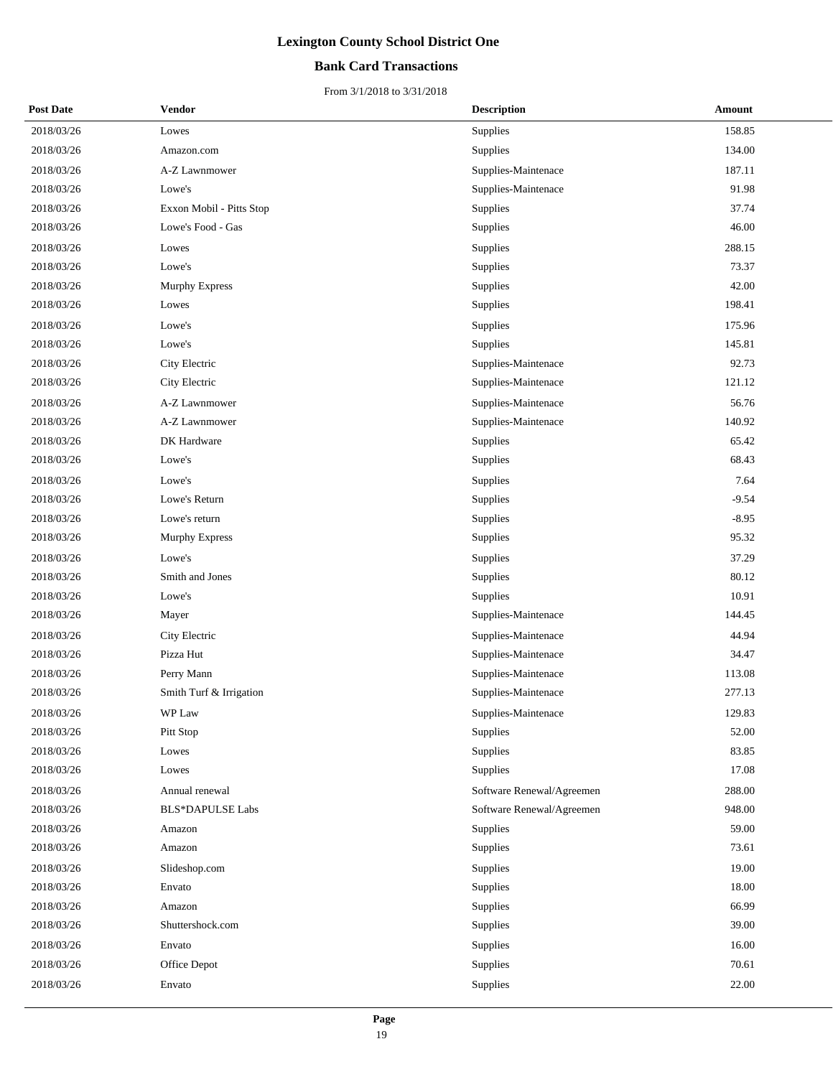### **Bank Card Transactions**

| <b>Post Date</b> | <b>Vendor</b>            | <b>Description</b>        | Amount  |
|------------------|--------------------------|---------------------------|---------|
| 2018/03/26       | Lowes                    | Supplies                  | 158.85  |
| 2018/03/26       | Amazon.com               | Supplies                  | 134.00  |
| 2018/03/26       | A-Z Lawnmower            | Supplies-Maintenace       | 187.11  |
| 2018/03/26       | Lowe's                   | Supplies-Maintenace       | 91.98   |
| 2018/03/26       | Exxon Mobil - Pitts Stop | Supplies                  | 37.74   |
| 2018/03/26       | Lowe's Food - Gas        | Supplies                  | 46.00   |
| 2018/03/26       | Lowes                    | Supplies                  | 288.15  |
| 2018/03/26       | Lowe's                   | Supplies                  | 73.37   |
| 2018/03/26       | Murphy Express           | Supplies                  | 42.00   |
| 2018/03/26       | Lowes                    | Supplies                  | 198.41  |
| 2018/03/26       | Lowe's                   | Supplies                  | 175.96  |
| 2018/03/26       | Lowe's                   | Supplies                  | 145.81  |
| 2018/03/26       | City Electric            | Supplies-Maintenace       | 92.73   |
| 2018/03/26       | City Electric            | Supplies-Maintenace       | 121.12  |
| 2018/03/26       | A-Z Lawnmower            | Supplies-Maintenace       | 56.76   |
| 2018/03/26       | A-Z Lawnmower            | Supplies-Maintenace       | 140.92  |
| 2018/03/26       | DK Hardware              | Supplies                  | 65.42   |
| 2018/03/26       | Lowe's                   | Supplies                  | 68.43   |
| 2018/03/26       | Lowe's                   | Supplies                  | 7.64    |
| 2018/03/26       | Lowe's Return            | Supplies                  | $-9.54$ |
| 2018/03/26       | Lowe's return            | Supplies                  | $-8.95$ |
| 2018/03/26       | Murphy Express           | Supplies                  | 95.32   |
| 2018/03/26       | Lowe's                   | Supplies                  | 37.29   |
| 2018/03/26       | Smith and Jones          | Supplies                  | 80.12   |
| 2018/03/26       | Lowe's                   | Supplies                  | 10.91   |
| 2018/03/26       | Mayer                    | Supplies-Maintenace       | 144.45  |
| 2018/03/26       | City Electric            | Supplies-Maintenace       | 44.94   |
| 2018/03/26       | Pizza Hut                | Supplies-Maintenace       | 34.47   |
| 2018/03/26       | Perry Mann               | Supplies-Maintenace       | 113.08  |
| 2018/03/26       | Smith Turf & Irrigation  | Supplies-Maintenace       | 277.13  |
| 2018/03/26       | WP Law                   | Supplies-Maintenace       | 129.83  |
| 2018/03/26       | Pitt Stop                | Supplies                  | 52.00   |
| 2018/03/26       | Lowes                    | Supplies                  | 83.85   |
| 2018/03/26       | Lowes                    | Supplies                  | 17.08   |
| 2018/03/26       | Annual renewal           | Software Renewal/Agreemen | 288.00  |
| 2018/03/26       | <b>BLS*DAPULSE Labs</b>  | Software Renewal/Agreemen | 948.00  |
| 2018/03/26       | Amazon                   | Supplies                  | 59.00   |
| 2018/03/26       | Amazon                   | Supplies                  | 73.61   |
| 2018/03/26       | Slideshop.com            | Supplies                  | 19.00   |
| 2018/03/26       | Envato                   | Supplies                  | 18.00   |
| 2018/03/26       | Amazon                   | Supplies                  | 66.99   |
| 2018/03/26       | Shuttershock.com         | Supplies                  | 39.00   |
| 2018/03/26       | Envato                   | Supplies                  | 16.00   |
| 2018/03/26       | Office Depot             | Supplies                  | 70.61   |
| 2018/03/26       | Envato                   | Supplies                  | 22.00   |
|                  |                          |                           |         |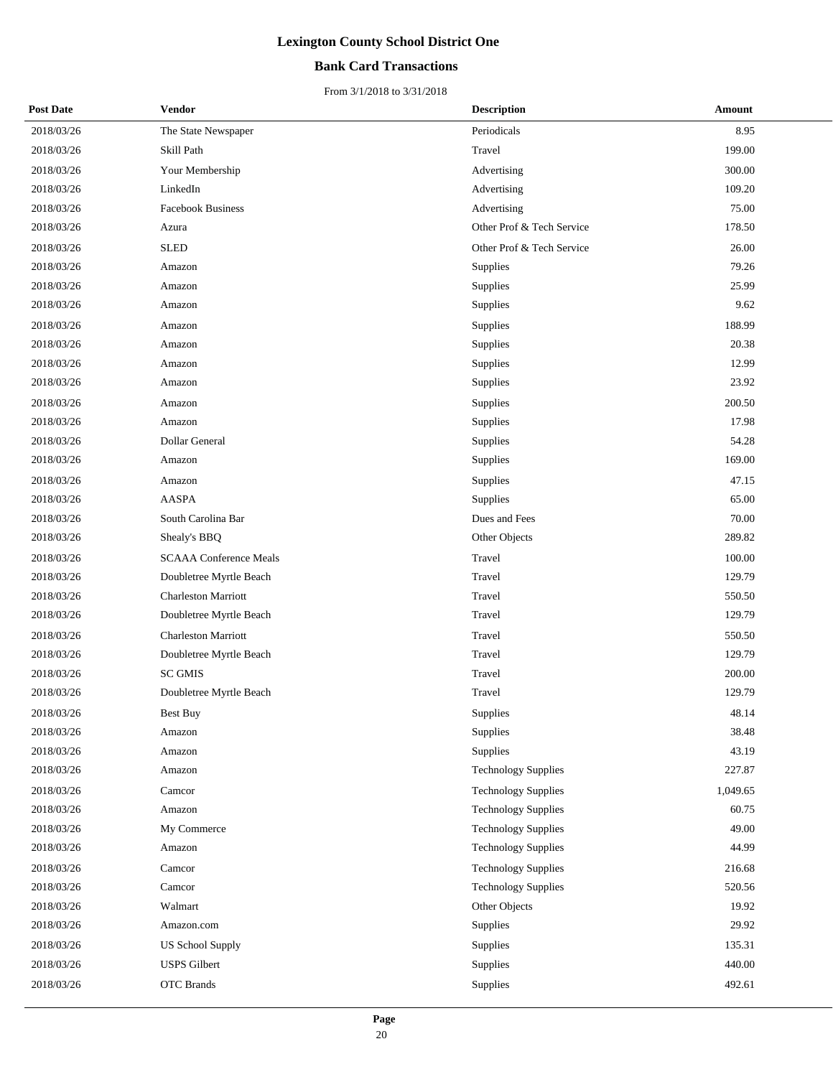### **Bank Card Transactions**

| <b>Post Date</b> | Vendor                        | <b>Description</b>         | <b>Amount</b> |
|------------------|-------------------------------|----------------------------|---------------|
| 2018/03/26       | The State Newspaper           | Periodicals                | 8.95          |
| 2018/03/26       | Skill Path                    | Travel                     | 199.00        |
| 2018/03/26       | Your Membership               | Advertising                | 300.00        |
| 2018/03/26       | LinkedIn                      | Advertising                | 109.20        |
| 2018/03/26       | <b>Facebook Business</b>      | Advertising                | 75.00         |
| 2018/03/26       | Azura                         | Other Prof & Tech Service  | 178.50        |
| 2018/03/26       | <b>SLED</b>                   | Other Prof & Tech Service  | 26.00         |
| 2018/03/26       | Amazon                        | Supplies                   | 79.26         |
| 2018/03/26       | Amazon                        | Supplies                   | 25.99         |
| 2018/03/26       | Amazon                        | Supplies                   | 9.62          |
| 2018/03/26       | Amazon                        | Supplies                   | 188.99        |
| 2018/03/26       | Amazon                        | Supplies                   | 20.38         |
| 2018/03/26       | Amazon                        | Supplies                   | 12.99         |
| 2018/03/26       | Amazon                        | Supplies                   | 23.92         |
| 2018/03/26       | Amazon                        | Supplies                   | 200.50        |
| 2018/03/26       | Amazon                        | Supplies                   | 17.98         |
| 2018/03/26       | Dollar General                | Supplies                   | 54.28         |
| 2018/03/26       | Amazon                        | Supplies                   | 169.00        |
| 2018/03/26       | Amazon                        | Supplies                   | 47.15         |
| 2018/03/26       | <b>AASPA</b>                  | Supplies                   | 65.00         |
| 2018/03/26       | South Carolina Bar            | Dues and Fees              | 70.00         |
| 2018/03/26       | Shealy's BBQ                  | Other Objects              | 289.82        |
| 2018/03/26       | <b>SCAAA Conference Meals</b> | Travel                     | 100.00        |
| 2018/03/26       | Doubletree Myrtle Beach       | Travel                     | 129.79        |
| 2018/03/26       | <b>Charleston Marriott</b>    | Travel                     | 550.50        |
| 2018/03/26       | Doubletree Myrtle Beach       | Travel                     | 129.79        |
| 2018/03/26       | <b>Charleston Marriott</b>    | Travel                     | 550.50        |
| 2018/03/26       | Doubletree Myrtle Beach       | Travel                     | 129.79        |
| 2018/03/26       | <b>SC GMIS</b>                | Travel                     | 200.00        |
| 2018/03/26       | Doubletree Myrtle Beach       | Travel                     | 129.79        |
| 2018/03/26       | Best Buy                      | Supplies                   | 48.14         |
| 2018/03/26       | Amazon                        | Supplies                   | 38.48         |
| 2018/03/26       | Amazon                        | Supplies                   | 43.19         |
| 2018/03/26       | Amazon                        | <b>Technology Supplies</b> | 227.87        |
| 2018/03/26       | Camcor                        | <b>Technology Supplies</b> | 1,049.65      |
| 2018/03/26       | Amazon                        | <b>Technology Supplies</b> | 60.75         |
| 2018/03/26       | My Commerce                   | <b>Technology Supplies</b> | 49.00         |
| 2018/03/26       | Amazon                        | <b>Technology Supplies</b> | 44.99         |
| 2018/03/26       | Camcor                        | <b>Technology Supplies</b> | 216.68        |
| 2018/03/26       | Camcor                        | <b>Technology Supplies</b> | 520.56        |
| 2018/03/26       | Walmart                       | Other Objects              | 19.92         |
| 2018/03/26       | Amazon.com                    | Supplies                   | 29.92         |
| 2018/03/26       | <b>US School Supply</b>       | Supplies                   | 135.31        |
| 2018/03/26       | <b>USPS</b> Gilbert           | Supplies                   | 440.00        |
| 2018/03/26       | <b>OTC</b> Brands             | Supplies                   | 492.61        |
|                  |                               |                            |               |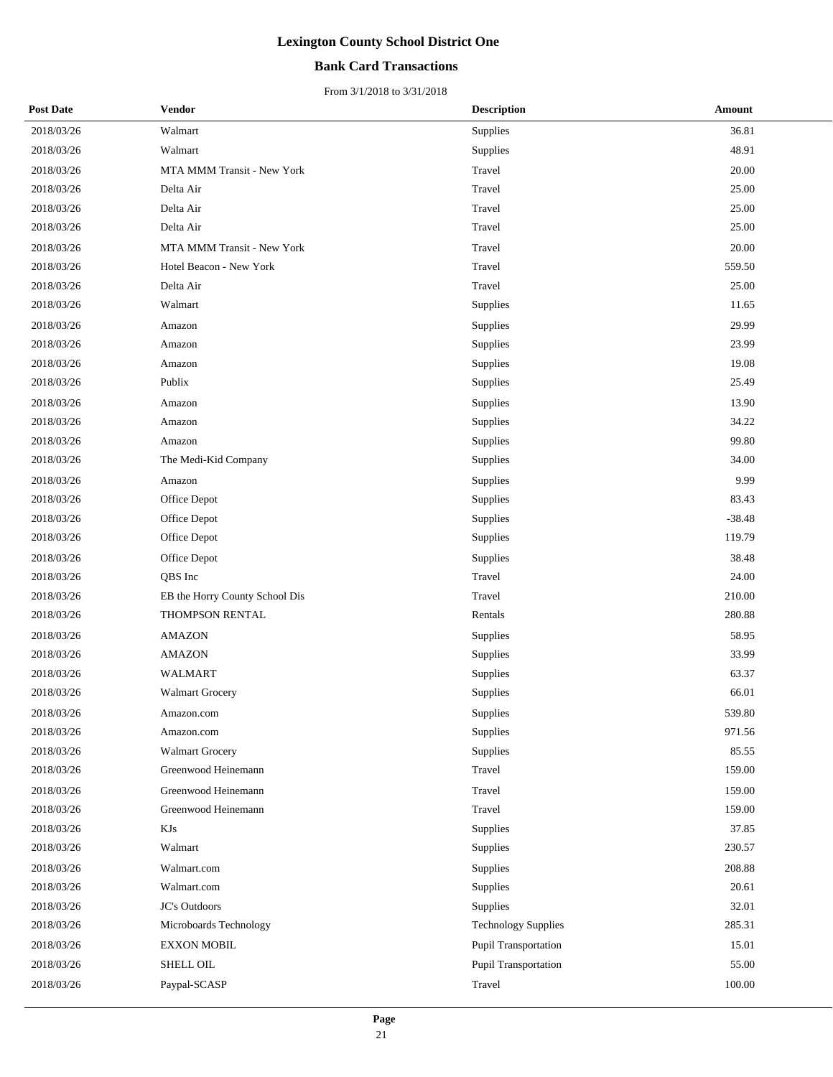### **Bank Card Transactions**

| <b>Post Date</b> | Vendor                         | <b>Description</b>          | Amount   |
|------------------|--------------------------------|-----------------------------|----------|
| 2018/03/26       | Walmart                        | Supplies                    | 36.81    |
| 2018/03/26       | Walmart                        | Supplies                    | 48.91    |
| 2018/03/26       | MTA MMM Transit - New York     | Travel                      | 20.00    |
| 2018/03/26       | Delta Air                      | Travel                      | 25.00    |
| 2018/03/26       | Delta Air                      | Travel                      | 25.00    |
| 2018/03/26       | Delta Air                      | Travel                      | 25.00    |
| 2018/03/26       | MTA MMM Transit - New York     | Travel                      | 20.00    |
| 2018/03/26       | Hotel Beacon - New York        | Travel                      | 559.50   |
| 2018/03/26       | Delta Air                      | Travel                      | 25.00    |
| 2018/03/26       | Walmart                        | Supplies                    | 11.65    |
| 2018/03/26       | Amazon                         | Supplies                    | 29.99    |
| 2018/03/26       | Amazon                         | Supplies                    | 23.99    |
| 2018/03/26       | Amazon                         | Supplies                    | 19.08    |
| 2018/03/26       | Publix                         | Supplies                    | 25.49    |
| 2018/03/26       | Amazon                         | Supplies                    | 13.90    |
| 2018/03/26       | Amazon                         | Supplies                    | 34.22    |
| 2018/03/26       | Amazon                         | Supplies                    | 99.80    |
| 2018/03/26       | The Medi-Kid Company           | Supplies                    | 34.00    |
| 2018/03/26       | Amazon                         | Supplies                    | 9.99     |
| 2018/03/26       | Office Depot                   | Supplies                    | 83.43    |
| 2018/03/26       | Office Depot                   | Supplies                    | $-38.48$ |
| 2018/03/26       | Office Depot                   | Supplies                    | 119.79   |
| 2018/03/26       | Office Depot                   | Supplies                    | 38.48    |
| 2018/03/26       | QBS Inc                        | Travel                      | 24.00    |
| 2018/03/26       | EB the Horry County School Dis | Travel                      | 210.00   |
| 2018/03/26       | <b>THOMPSON RENTAL</b>         | Rentals                     | 280.88   |
| 2018/03/26       | <b>AMAZON</b>                  | Supplies                    | 58.95    |
| 2018/03/26       | <b>AMAZON</b>                  | Supplies                    | 33.99    |
| 2018/03/26       | WALMART                        | Supplies                    | 63.37    |
| 2018/03/26       | <b>Walmart Grocery</b>         | Supplies                    | 66.01    |
| 2018/03/26       | Amazon.com                     | Supplies                    | 539.80   |
| 2018/03/26       | Amazon.com                     | Supplies                    | 971.56   |
| 2018/03/26       | Walmart Grocery                | Supplies                    | 85.55    |
| 2018/03/26       | Greenwood Heinemann            | Travel                      | 159.00   |
| 2018/03/26       | Greenwood Heinemann            | Travel                      | 159.00   |
| 2018/03/26       | Greenwood Heinemann            | Travel                      | 159.00   |
| 2018/03/26       | KJs                            | Supplies                    | 37.85    |
| 2018/03/26       | Walmart                        | Supplies                    | 230.57   |
| 2018/03/26       | Walmart.com                    | Supplies                    | 208.88   |
| 2018/03/26       | Walmart.com                    | Supplies                    | 20.61    |
| 2018/03/26       | JC's Outdoors                  | Supplies                    | 32.01    |
| 2018/03/26       | Microboards Technology         | <b>Technology Supplies</b>  | 285.31   |
| 2018/03/26       | <b>EXXON MOBIL</b>             | <b>Pupil Transportation</b> | 15.01    |
| 2018/03/26       | <b>SHELL OIL</b>               | Pupil Transportation        | 55.00    |
| 2018/03/26       | Paypal-SCASP                   | Travel                      | 100.00   |
|                  |                                |                             |          |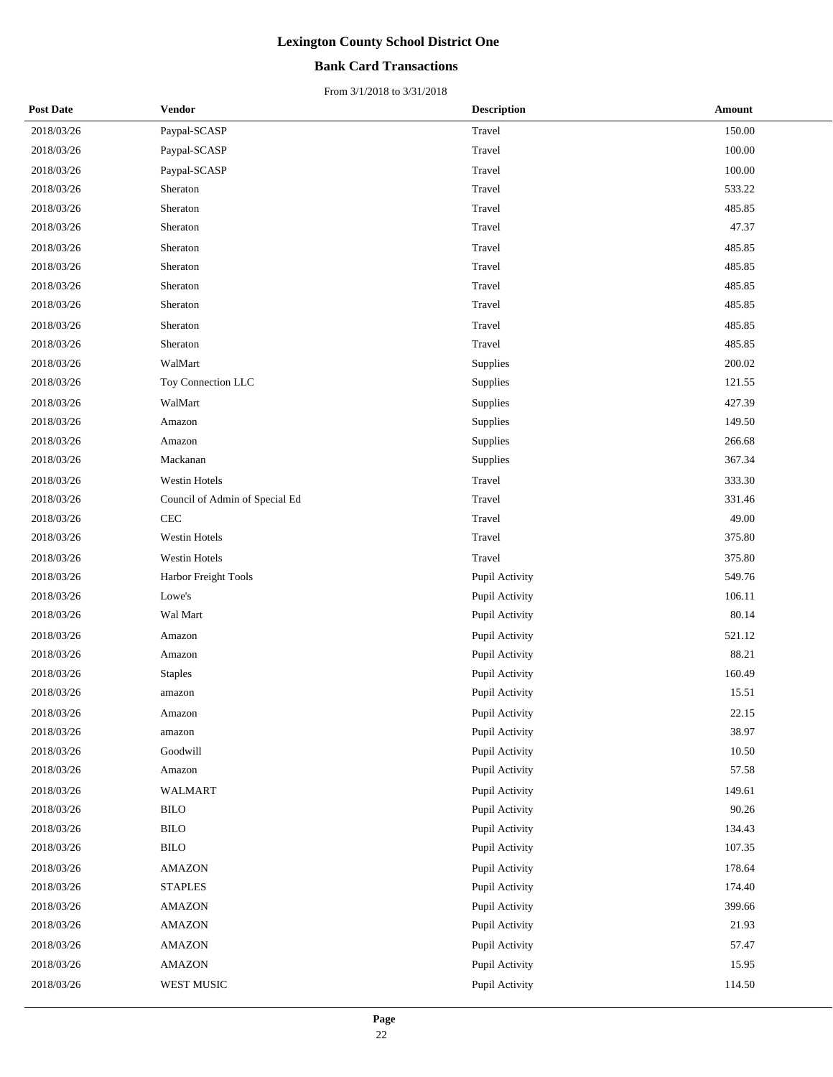### **Bank Card Transactions**

| <b>Post Date</b> | <b>Vendor</b>                  | <b>Description</b> | <b>Amount</b> |
|------------------|--------------------------------|--------------------|---------------|
| 2018/03/26       | Paypal-SCASP                   | Travel             | 150.00        |
| 2018/03/26       | Paypal-SCASP                   | Travel             | 100.00        |
| 2018/03/26       | Paypal-SCASP                   | Travel             | 100.00        |
| 2018/03/26       | Sheraton                       | Travel             | 533.22        |
| 2018/03/26       | Sheraton                       | Travel             | 485.85        |
| 2018/03/26       | Sheraton                       | Travel             | 47.37         |
| 2018/03/26       | Sheraton                       | Travel             | 485.85        |
| 2018/03/26       | Sheraton                       | Travel             | 485.85        |
| 2018/03/26       | Sheraton                       | Travel             | 485.85        |
| 2018/03/26       | Sheraton                       | Travel             | 485.85        |
| 2018/03/26       | Sheraton                       | Travel             | 485.85        |
| 2018/03/26       | Sheraton                       | Travel             | 485.85        |
| 2018/03/26       | WalMart                        | Supplies           | 200.02        |
| 2018/03/26       | Toy Connection LLC             | Supplies           | 121.55        |
| 2018/03/26       | WalMart                        | Supplies           | 427.39        |
| 2018/03/26       | Amazon                         | Supplies           | 149.50        |
| 2018/03/26       | Amazon                         | Supplies           | 266.68        |
| 2018/03/26       | Mackanan                       | Supplies           | 367.34        |
| 2018/03/26       | Westin Hotels                  | Travel             | 333.30        |
| 2018/03/26       | Council of Admin of Special Ed | Travel             | 331.46        |
| 2018/03/26       | $\rm CEC$                      | Travel             | 49.00         |
| 2018/03/26       | Westin Hotels                  | Travel             | 375.80        |
| 2018/03/26       | Westin Hotels                  | Travel             | 375.80        |
| 2018/03/26       | Harbor Freight Tools           | Pupil Activity     | 549.76        |
| 2018/03/26       | Lowe's                         | Pupil Activity     | 106.11        |
| 2018/03/26       | Wal Mart                       | Pupil Activity     | 80.14         |
| 2018/03/26       | Amazon                         | Pupil Activity     | 521.12        |
| 2018/03/26       | Amazon                         | Pupil Activity     | 88.21         |
| 2018/03/26       | <b>Staples</b>                 | Pupil Activity     | 160.49        |
| 2018/03/26       | amazon                         | Pupil Activity     | 15.51         |
| 2018/03/26       | Amazon                         | Pupil Activity     | 22.15         |
| 2018/03/26       | amazon                         | Pupil Activity     | 38.97         |
| 2018/03/26       | Goodwill                       | Pupil Activity     | 10.50         |
| 2018/03/26       | Amazon                         | Pupil Activity     | 57.58         |
| 2018/03/26       | <b>WALMART</b>                 | Pupil Activity     | 149.61        |
| 2018/03/26       | BILO                           | Pupil Activity     | 90.26         |
| 2018/03/26       | <b>BILO</b>                    | Pupil Activity     | 134.43        |
| 2018/03/26       | <b>BILO</b>                    | Pupil Activity     | 107.35        |
| 2018/03/26       | <b>AMAZON</b>                  | Pupil Activity     | 178.64        |
| 2018/03/26       | <b>STAPLES</b>                 | Pupil Activity     | 174.40        |
| 2018/03/26       | <b>AMAZON</b>                  | Pupil Activity     | 399.66        |
| 2018/03/26       | <b>AMAZON</b>                  | Pupil Activity     | 21.93         |
| 2018/03/26       | <b>AMAZON</b>                  | Pupil Activity     | 57.47         |
| 2018/03/26       | <b>AMAZON</b>                  | Pupil Activity     | 15.95         |
| 2018/03/26       | WEST MUSIC                     | Pupil Activity     | 114.50        |
|                  |                                |                    |               |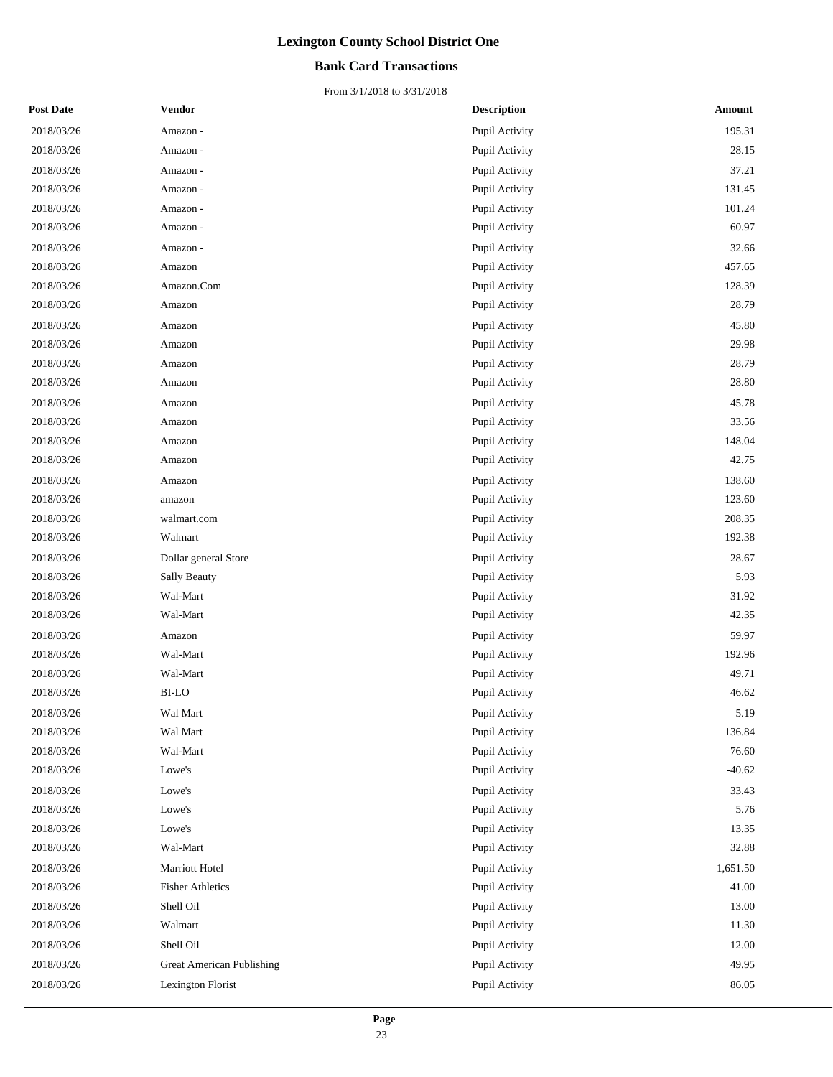### **Bank Card Transactions**

| <b>Post Date</b> | Vendor                           | <b>Description</b> | <b>Amount</b> |
|------------------|----------------------------------|--------------------|---------------|
| 2018/03/26       | Amazon -                         | Pupil Activity     | 195.31        |
| 2018/03/26       | Amazon -                         | Pupil Activity     | 28.15         |
| 2018/03/26       | Amazon -                         | Pupil Activity     | 37.21         |
| 2018/03/26       | Amazon -                         | Pupil Activity     | 131.45        |
| 2018/03/26       | Amazon -                         | Pupil Activity     | 101.24        |
| 2018/03/26       | Amazon -                         | Pupil Activity     | 60.97         |
| 2018/03/26       | Amazon -                         | Pupil Activity     | 32.66         |
| 2018/03/26       | Amazon                           | Pupil Activity     | 457.65        |
| 2018/03/26       | Amazon.Com                       | Pupil Activity     | 128.39        |
| 2018/03/26       | Amazon                           | Pupil Activity     | 28.79         |
| 2018/03/26       | Amazon                           | Pupil Activity     | 45.80         |
| 2018/03/26       | Amazon                           | Pupil Activity     | 29.98         |
| 2018/03/26       | Amazon                           | Pupil Activity     | 28.79         |
| 2018/03/26       | Amazon                           | Pupil Activity     | 28.80         |
| 2018/03/26       | Amazon                           | Pupil Activity     | 45.78         |
| 2018/03/26       | Amazon                           | Pupil Activity     | 33.56         |
| 2018/03/26       | Amazon                           | Pupil Activity     | 148.04        |
| 2018/03/26       | Amazon                           | Pupil Activity     | 42.75         |
| 2018/03/26       | Amazon                           | Pupil Activity     | 138.60        |
| 2018/03/26       | amazon                           | Pupil Activity     | 123.60        |
| 2018/03/26       | walmart.com                      | Pupil Activity     | 208.35        |
| 2018/03/26       | Walmart                          | Pupil Activity     | 192.38        |
| 2018/03/26       | Dollar general Store             | Pupil Activity     | 28.67         |
| 2018/03/26       | <b>Sally Beauty</b>              | Pupil Activity     | 5.93          |
| 2018/03/26       | Wal-Mart                         | Pupil Activity     | 31.92         |
| 2018/03/26       | Wal-Mart                         | Pupil Activity     | 42.35         |
| 2018/03/26       | Amazon                           | Pupil Activity     | 59.97         |
| 2018/03/26       | Wal-Mart                         | Pupil Activity     | 192.96        |
| 2018/03/26       | Wal-Mart                         | Pupil Activity     | 49.71         |
| 2018/03/26       | <b>BI-LO</b>                     | Pupil Activity     | 46.62         |
| 2018/03/26       | Wal Mart                         | Pupil Activity     | 5.19          |
| 2018/03/26       | Wal Mart                         | Pupil Activity     | 136.84        |
| 2018/03/26       | Wal-Mart                         | Pupil Activity     | 76.60         |
| 2018/03/26       | Lowe's                           | Pupil Activity     | $-40.62$      |
| 2018/03/26       | Lowe's                           | Pupil Activity     | 33.43         |
| 2018/03/26       | Lowe's                           | Pupil Activity     | 5.76          |
| 2018/03/26       | Lowe's                           | Pupil Activity     | 13.35         |
| 2018/03/26       | Wal-Mart                         | Pupil Activity     | 32.88         |
| 2018/03/26       | Marriott Hotel                   | Pupil Activity     | 1,651.50      |
| 2018/03/26       | <b>Fisher Athletics</b>          | Pupil Activity     | 41.00         |
| 2018/03/26       | Shell Oil                        | Pupil Activity     | 13.00         |
| 2018/03/26       | Walmart                          | Pupil Activity     | 11.30         |
| 2018/03/26       | Shell Oil                        | Pupil Activity     | 12.00         |
| 2018/03/26       | <b>Great American Publishing</b> | Pupil Activity     | 49.95         |
| 2018/03/26       | Lexington Florist                | Pupil Activity     | 86.05         |
|                  |                                  |                    |               |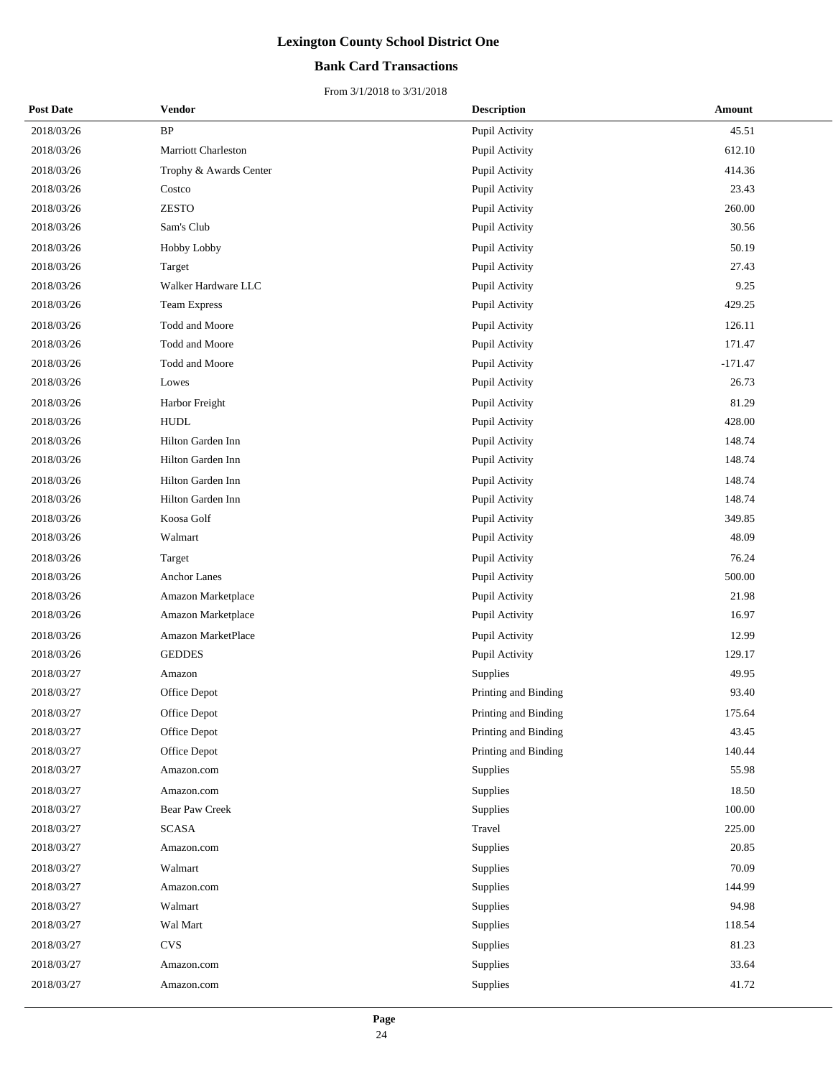### **Bank Card Transactions**

| <b>Post Date</b> | Vendor                 | <b>Description</b>   | <b>Amount</b> |
|------------------|------------------------|----------------------|---------------|
| 2018/03/26       | <b>BP</b>              | Pupil Activity       | 45.51         |
| 2018/03/26       | Marriott Charleston    | Pupil Activity       | 612.10        |
| 2018/03/26       | Trophy & Awards Center | Pupil Activity       | 414.36        |
| 2018/03/26       | Costco                 | Pupil Activity       | 23.43         |
| 2018/03/26       | <b>ZESTO</b>           | Pupil Activity       | 260.00        |
| 2018/03/26       | Sam's Club             | Pupil Activity       | 30.56         |
| 2018/03/26       | Hobby Lobby            | Pupil Activity       | 50.19         |
| 2018/03/26       | Target                 | Pupil Activity       | 27.43         |
| 2018/03/26       | Walker Hardware LLC    | Pupil Activity       | 9.25          |
| 2018/03/26       | <b>Team Express</b>    | Pupil Activity       | 429.25        |
| 2018/03/26       | Todd and Moore         | Pupil Activity       | 126.11        |
| 2018/03/26       | <b>Todd and Moore</b>  | Pupil Activity       | 171.47        |
| 2018/03/26       | Todd and Moore         | Pupil Activity       | $-171.47$     |
| 2018/03/26       | Lowes                  | Pupil Activity       | 26.73         |
| 2018/03/26       | Harbor Freight         | Pupil Activity       | 81.29         |
| 2018/03/26       | <b>HUDL</b>            | Pupil Activity       | 428.00        |
| 2018/03/26       | Hilton Garden Inn      | Pupil Activity       | 148.74        |
| 2018/03/26       | Hilton Garden Inn      | Pupil Activity       | 148.74        |
| 2018/03/26       | Hilton Garden Inn      | Pupil Activity       | 148.74        |
| 2018/03/26       | Hilton Garden Inn      | Pupil Activity       | 148.74        |
| 2018/03/26       | Koosa Golf             | Pupil Activity       | 349.85        |
| 2018/03/26       | Walmart                | Pupil Activity       | 48.09         |
| 2018/03/26       | Target                 | Pupil Activity       | 76.24         |
| 2018/03/26       | <b>Anchor Lanes</b>    | Pupil Activity       | 500.00        |
| 2018/03/26       | Amazon Marketplace     | Pupil Activity       | 21.98         |
| 2018/03/26       | Amazon Marketplace     | Pupil Activity       | 16.97         |
| 2018/03/26       | Amazon MarketPlace     | Pupil Activity       | 12.99         |
| 2018/03/26       | <b>GEDDES</b>          | Pupil Activity       | 129.17        |
| 2018/03/27       | Amazon                 | Supplies             | 49.95         |
| 2018/03/27       | Office Depot           | Printing and Binding | 93.40         |
| 2018/03/27       | Office Depot           | Printing and Binding | 175.64        |
| 2018/03/27       | Office Depot           | Printing and Binding | 43.45         |
| 2018/03/27       | Office Depot           | Printing and Binding | 140.44        |
| 2018/03/27       | Amazon.com             | Supplies             | 55.98         |
| 2018/03/27       | Amazon.com             | Supplies             | 18.50         |
| 2018/03/27       | Bear Paw Creek         | Supplies             | 100.00        |
| 2018/03/27       | <b>SCASA</b>           | Travel               | 225.00        |
| 2018/03/27       | Amazon.com             | Supplies             | 20.85         |
| 2018/03/27       | Walmart                | Supplies             | 70.09         |
| 2018/03/27       | Amazon.com             | Supplies             | 144.99        |
| 2018/03/27       | Walmart                | Supplies             | 94.98         |
| 2018/03/27       | Wal Mart               | Supplies             | 118.54        |
| 2018/03/27       | <b>CVS</b>             | Supplies             | 81.23         |
| 2018/03/27       | Amazon.com             | Supplies             | 33.64         |
| 2018/03/27       | Amazon.com             | Supplies             | 41.72         |
|                  |                        |                      |               |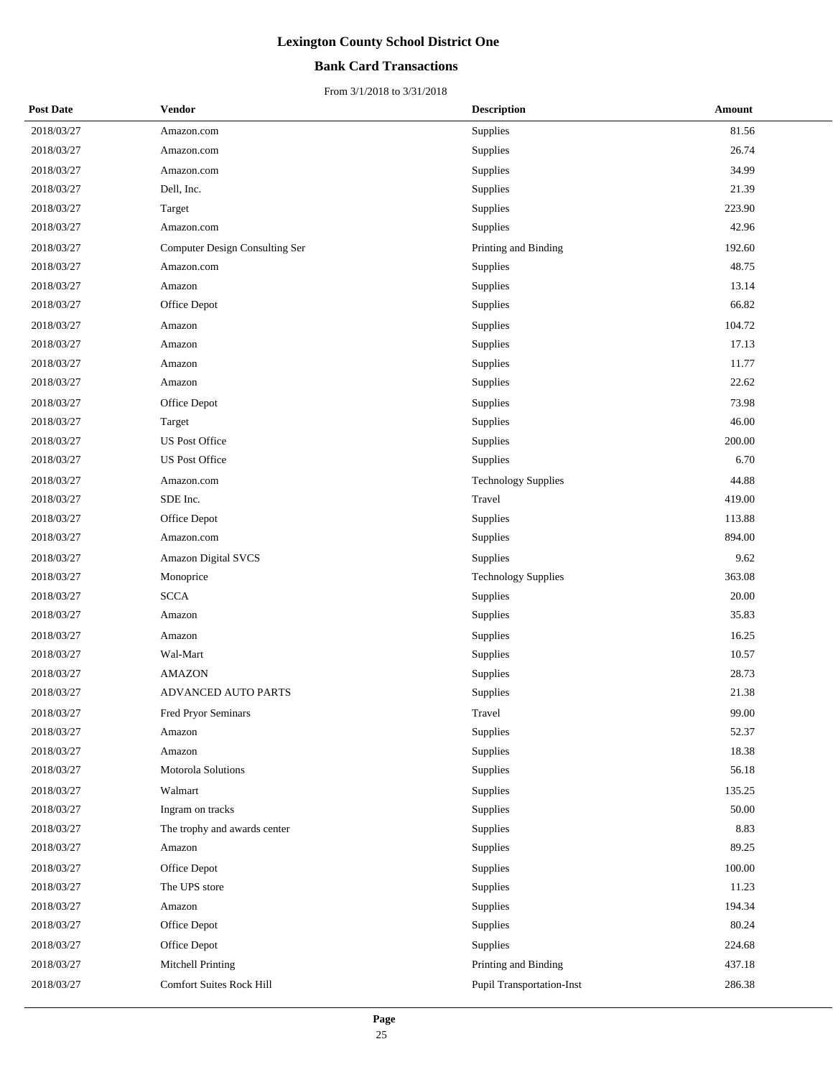### **Bank Card Transactions**

| <b>Post Date</b> | Vendor                          | <b>Description</b>               | Amount |
|------------------|---------------------------------|----------------------------------|--------|
| 2018/03/27       | Amazon.com                      | Supplies                         | 81.56  |
| 2018/03/27       | Amazon.com                      | Supplies                         | 26.74  |
| 2018/03/27       | Amazon.com                      | Supplies                         | 34.99  |
| 2018/03/27       | Dell, Inc.                      | Supplies                         | 21.39  |
| 2018/03/27       | Target                          | Supplies                         | 223.90 |
| 2018/03/27       | Amazon.com                      | Supplies                         | 42.96  |
| 2018/03/27       | Computer Design Consulting Ser  | Printing and Binding             | 192.60 |
| 2018/03/27       | Amazon.com                      | Supplies                         | 48.75  |
| 2018/03/27       | Amazon                          | Supplies                         | 13.14  |
| 2018/03/27       | Office Depot                    | Supplies                         | 66.82  |
| 2018/03/27       | Amazon                          | Supplies                         | 104.72 |
| 2018/03/27       | Amazon                          | Supplies                         | 17.13  |
| 2018/03/27       | Amazon                          | Supplies                         | 11.77  |
| 2018/03/27       | Amazon                          | Supplies                         | 22.62  |
| 2018/03/27       | Office Depot                    | Supplies                         | 73.98  |
| 2018/03/27       | Target                          | Supplies                         | 46.00  |
| 2018/03/27       | <b>US Post Office</b>           | Supplies                         | 200.00 |
| 2018/03/27       | <b>US Post Office</b>           | Supplies                         | 6.70   |
| 2018/03/27       | Amazon.com                      | <b>Technology Supplies</b>       | 44.88  |
| 2018/03/27       | SDE Inc.                        | Travel                           | 419.00 |
| 2018/03/27       | Office Depot                    | Supplies                         | 113.88 |
| 2018/03/27       | Amazon.com                      | Supplies                         | 894.00 |
| 2018/03/27       | Amazon Digital SVCS             | Supplies                         | 9.62   |
| 2018/03/27       | Monoprice                       | <b>Technology Supplies</b>       | 363.08 |
| 2018/03/27       | <b>SCCA</b>                     | Supplies                         | 20.00  |
| 2018/03/27       | Amazon                          | Supplies                         | 35.83  |
| 2018/03/27       | Amazon                          | Supplies                         | 16.25  |
| 2018/03/27       | Wal-Mart                        | Supplies                         | 10.57  |
| 2018/03/27       | <b>AMAZON</b>                   | Supplies                         | 28.73  |
| 2018/03/27       | <b>ADVANCED AUTO PARTS</b>      | Supplies                         | 21.38  |
| 2018/03/27       | Fred Pryor Seminars             | Travel                           | 99.00  |
| 2018/03/27       | Amazon                          | Supplies                         | 52.37  |
| 2018/03/27       | Amazon                          | Supplies                         | 18.38  |
| 2018/03/27       | Motorola Solutions              | Supplies                         | 56.18  |
| 2018/03/27       | Walmart                         | Supplies                         | 135.25 |
| 2018/03/27       | Ingram on tracks                | Supplies                         | 50.00  |
| 2018/03/27       | The trophy and awards center    | Supplies                         | 8.83   |
| 2018/03/27       | Amazon                          | Supplies                         | 89.25  |
| 2018/03/27       | Office Depot                    | Supplies                         | 100.00 |
| 2018/03/27       | The UPS store                   | Supplies                         | 11.23  |
| 2018/03/27       | Amazon                          | Supplies                         | 194.34 |
| 2018/03/27       | Office Depot                    | Supplies                         | 80.24  |
| 2018/03/27       | Office Depot                    | Supplies                         | 224.68 |
| 2018/03/27       | Mitchell Printing               | Printing and Binding             | 437.18 |
| 2018/03/27       | <b>Comfort Suites Rock Hill</b> | <b>Pupil Transportation-Inst</b> | 286.38 |
|                  |                                 |                                  |        |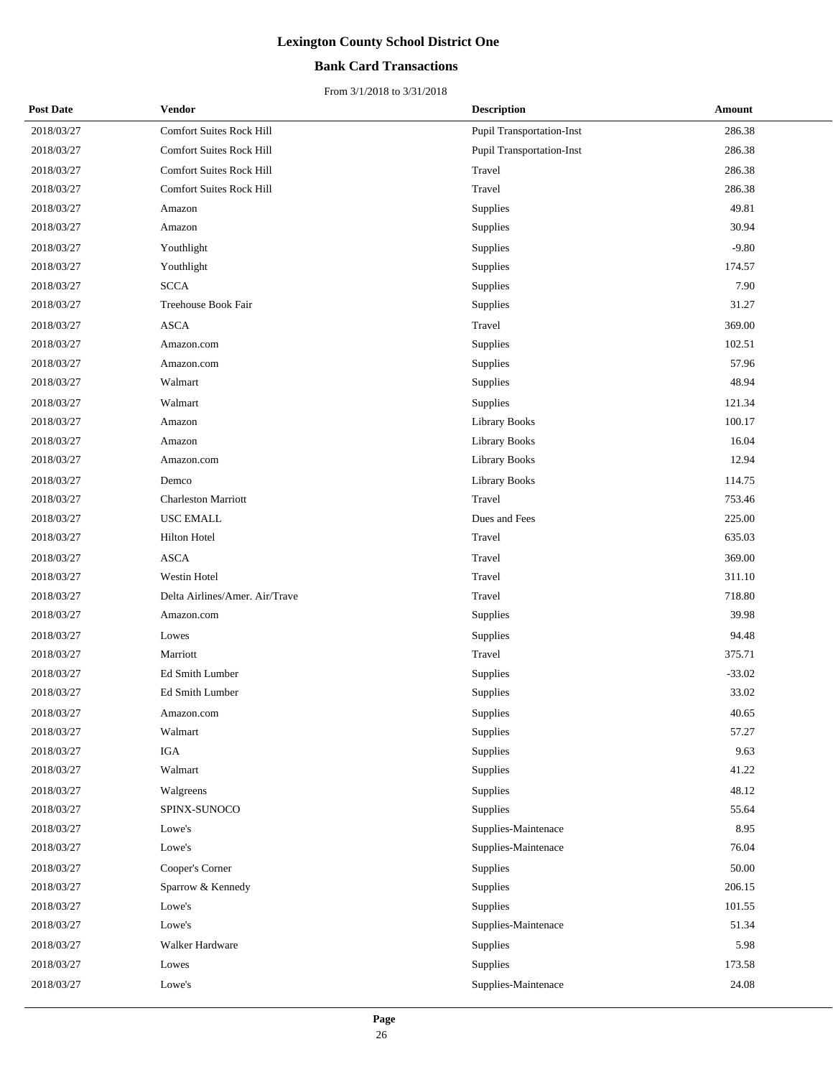### **Bank Card Transactions**

| <b>Post Date</b> | Vendor                          | <b>Description</b>               | <b>Amount</b> |
|------------------|---------------------------------|----------------------------------|---------------|
| 2018/03/27       | <b>Comfort Suites Rock Hill</b> | <b>Pupil Transportation-Inst</b> | 286.38        |
| 2018/03/27       | <b>Comfort Suites Rock Hill</b> | <b>Pupil Transportation-Inst</b> | 286.38        |
| 2018/03/27       | <b>Comfort Suites Rock Hill</b> | Travel                           | 286.38        |
| 2018/03/27       | <b>Comfort Suites Rock Hill</b> | Travel                           | 286.38        |
| 2018/03/27       | Amazon                          | Supplies                         | 49.81         |
| 2018/03/27       | Amazon                          | Supplies                         | 30.94         |
| 2018/03/27       | Youthlight                      | Supplies                         | $-9.80$       |
| 2018/03/27       | Youthlight                      | Supplies                         | 174.57        |
| 2018/03/27       | <b>SCCA</b>                     | Supplies                         | 7.90          |
| 2018/03/27       | Treehouse Book Fair             | Supplies                         | 31.27         |
| 2018/03/27       | <b>ASCA</b>                     | Travel                           | 369.00        |
| 2018/03/27       | Amazon.com                      | Supplies                         | 102.51        |
| 2018/03/27       | Amazon.com                      | Supplies                         | 57.96         |
| 2018/03/27       | Walmart                         | Supplies                         | 48.94         |
| 2018/03/27       | Walmart                         | Supplies                         | 121.34        |
| 2018/03/27       | Amazon                          | <b>Library Books</b>             | 100.17        |
| 2018/03/27       | Amazon                          | <b>Library Books</b>             | 16.04         |
| 2018/03/27       | Amazon.com                      | <b>Library Books</b>             | 12.94         |
| 2018/03/27       | Demco                           | <b>Library Books</b>             | 114.75        |
| 2018/03/27       | <b>Charleston Marriott</b>      | Travel                           | 753.46        |
| 2018/03/27       | <b>USC EMALL</b>                | Dues and Fees                    | 225.00        |
| 2018/03/27       | <b>Hilton Hotel</b>             | Travel                           | 635.03        |
| 2018/03/27       | <b>ASCA</b>                     | Travel                           | 369.00        |
| 2018/03/27       | Westin Hotel                    | Travel                           | 311.10        |
| 2018/03/27       | Delta Airlines/Amer. Air/Trave  | Travel                           | 718.80        |
| 2018/03/27       | Amazon.com                      | Supplies                         | 39.98         |
| 2018/03/27       | Lowes                           | Supplies                         | 94.48         |
| 2018/03/27       | Marriott                        | Travel                           | 375.71        |
| 2018/03/27       | Ed Smith Lumber                 | Supplies                         | $-33.02$      |
| 2018/03/27       | Ed Smith Lumber                 | Supplies                         | 33.02         |
| 2018/03/27       | Amazon.com                      | Supplies                         | 40.65         |
| 2018/03/27       | Walmart                         | Supplies                         | 57.27         |
| 2018/03/27       | IGA                             | Supplies                         | 9.63          |
| 2018/03/27       | Walmart                         | Supplies                         | 41.22         |
| 2018/03/27       | Walgreens                       | Supplies                         | 48.12         |
| 2018/03/27       | SPINX-SUNOCO                    | Supplies                         | 55.64         |
| 2018/03/27       | Lowe's                          | Supplies-Maintenace              | 8.95          |
| 2018/03/27       | Lowe's                          | Supplies-Maintenace              | 76.04         |
| 2018/03/27       | Cooper's Corner                 | Supplies                         | 50.00         |
| 2018/03/27       | Sparrow & Kennedy               | Supplies                         | 206.15        |
| 2018/03/27       | Lowe's                          | Supplies                         | 101.55        |
| 2018/03/27       | Lowe's                          | Supplies-Maintenace              | 51.34         |
| 2018/03/27       | Walker Hardware                 | Supplies                         | 5.98          |
| 2018/03/27       | Lowes                           | Supplies                         | 173.58        |
| 2018/03/27       | Lowe's                          | Supplies-Maintenace              | 24.08         |
|                  |                                 |                                  |               |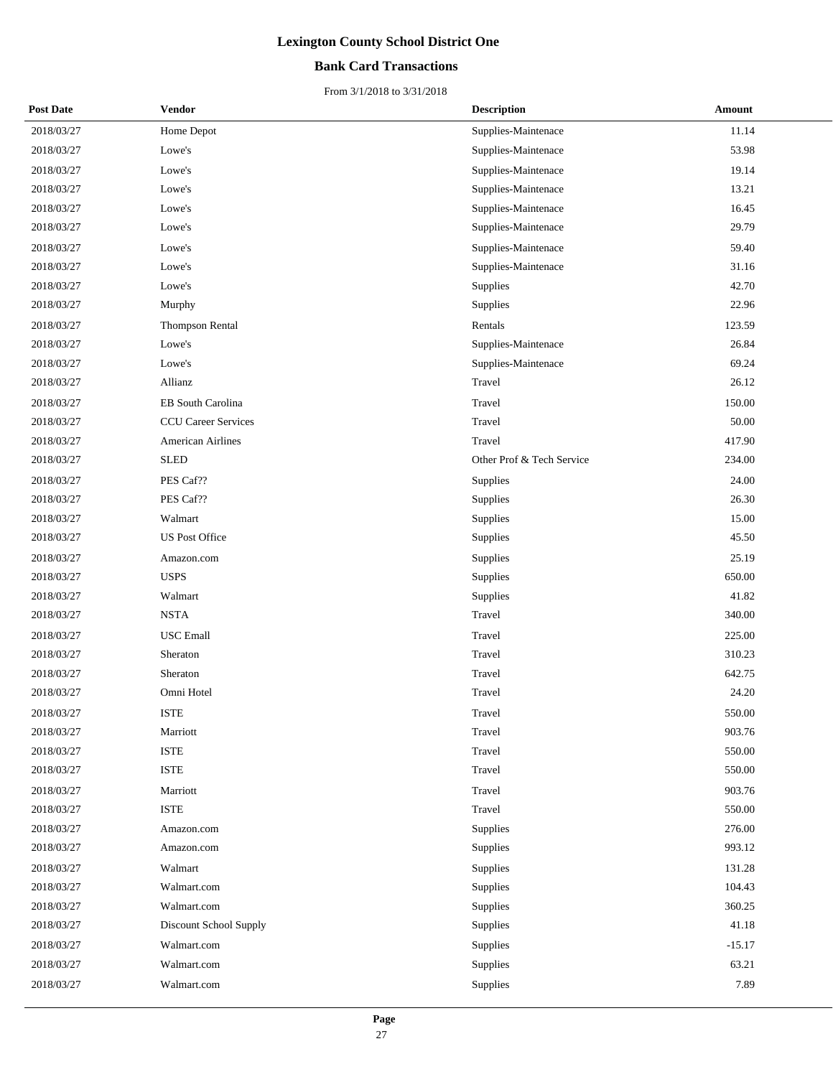### **Bank Card Transactions**

| <b>Post Date</b> | <b>Vendor</b>              | <b>Description</b>        | Amount   |
|------------------|----------------------------|---------------------------|----------|
| 2018/03/27       | Home Depot                 | Supplies-Maintenace       | 11.14    |
| 2018/03/27       | Lowe's                     | Supplies-Maintenace       | 53.98    |
| 2018/03/27       | Lowe's                     | Supplies-Maintenace       | 19.14    |
| 2018/03/27       | Lowe's                     | Supplies-Maintenace       | 13.21    |
| 2018/03/27       | Lowe's                     | Supplies-Maintenace       | 16.45    |
| 2018/03/27       | Lowe's                     | Supplies-Maintenace       | 29.79    |
| 2018/03/27       | Lowe's                     | Supplies-Maintenace       | 59.40    |
| 2018/03/27       | Lowe's                     | Supplies-Maintenace       | 31.16    |
| 2018/03/27       | Lowe's                     | Supplies                  | 42.70    |
| 2018/03/27       | Murphy                     | Supplies                  | 22.96    |
| 2018/03/27       | <b>Thompson Rental</b>     | Rentals                   | 123.59   |
| 2018/03/27       | Lowe's                     | Supplies-Maintenace       | 26.84    |
| 2018/03/27       | Lowe's                     | Supplies-Maintenace       | 69.24    |
| 2018/03/27       | Allianz                    | Travel                    | 26.12    |
| 2018/03/27       | EB South Carolina          | Travel                    | 150.00   |
| 2018/03/27       | <b>CCU Career Services</b> | Travel                    | 50.00    |
| 2018/03/27       | American Airlines          | Travel                    | 417.90   |
| 2018/03/27       | <b>SLED</b>                | Other Prof & Tech Service | 234.00   |
| 2018/03/27       | PES Caf??                  | Supplies                  | 24.00    |
| 2018/03/27       | PES Caf??                  | Supplies                  | 26.30    |
| 2018/03/27       | Walmart                    | Supplies                  | 15.00    |
| 2018/03/27       | <b>US Post Office</b>      | Supplies                  | 45.50    |
| 2018/03/27       | Amazon.com                 | Supplies                  | 25.19    |
| 2018/03/27       | <b>USPS</b>                | Supplies                  | 650.00   |
| 2018/03/27       | Walmart                    | Supplies                  | 41.82    |
| 2018/03/27       | <b>NSTA</b>                | Travel                    | 340.00   |
| 2018/03/27       | <b>USC</b> Emall           | Travel                    | 225.00   |
| 2018/03/27       | Sheraton                   | Travel                    | 310.23   |
| 2018/03/27       | Sheraton                   | Travel                    | 642.75   |
| 2018/03/27       | Omni Hotel                 | Travel                    | 24.20    |
| 2018/03/27       | <b>ISTE</b>                | Travel                    | 550.00   |
| 2018/03/27       | Marriott                   | Travel                    | 903.76   |
| 2018/03/27       | <b>ISTE</b>                | Travel                    | 550.00   |
| 2018/03/27       | <b>ISTE</b>                | Travel                    | 550.00   |
| 2018/03/27       | Marriott                   | Travel                    | 903.76   |
| 2018/03/27       | <b>ISTE</b>                | Travel                    | 550.00   |
| 2018/03/27       | Amazon.com                 | Supplies                  | 276.00   |
| 2018/03/27       | Amazon.com                 | Supplies                  | 993.12   |
| 2018/03/27       | Walmart                    | Supplies                  | 131.28   |
| 2018/03/27       | Walmart.com                | Supplies                  | 104.43   |
| 2018/03/27       | Walmart.com                | Supplies                  | 360.25   |
| 2018/03/27       | Discount School Supply     | Supplies                  | 41.18    |
| 2018/03/27       | Walmart.com                | Supplies                  | $-15.17$ |
| 2018/03/27       | Walmart.com                | Supplies                  | 63.21    |
| 2018/03/27       | Walmart.com                | Supplies                  | 7.89     |
|                  |                            |                           |          |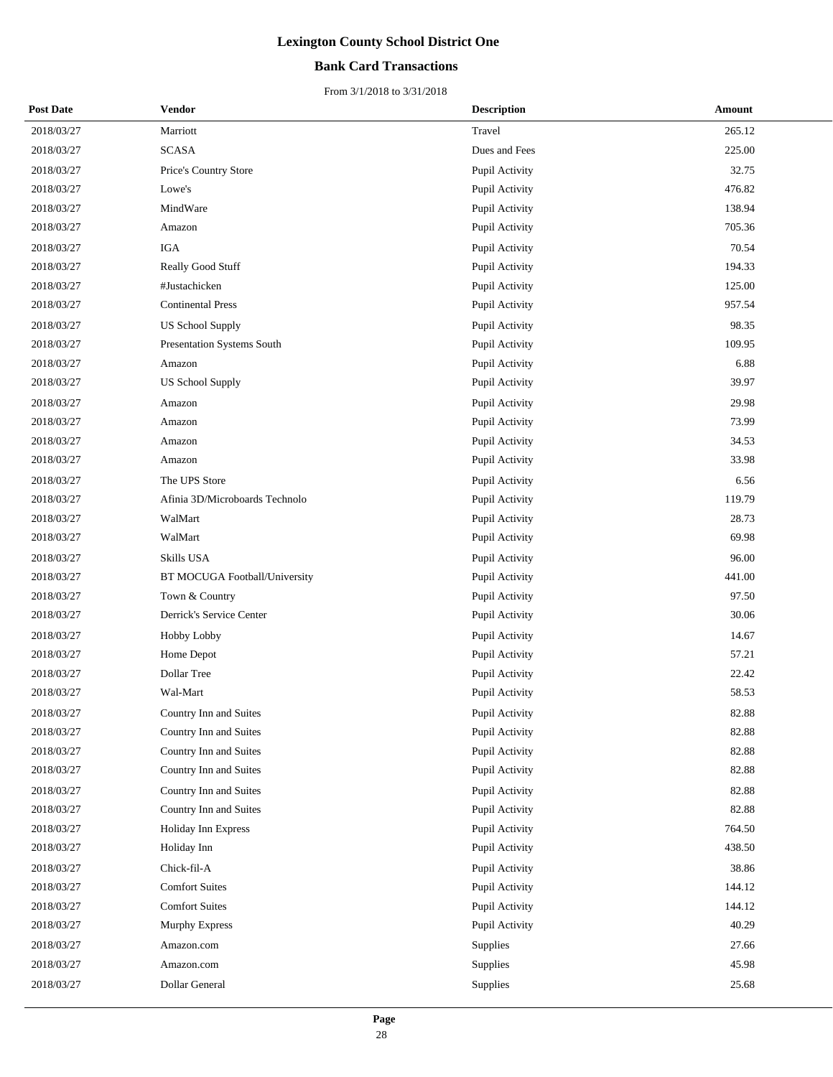### **Bank Card Transactions**

| <b>Post Date</b> | <b>Vendor</b>                  | <b>Description</b> | <b>Amount</b> |
|------------------|--------------------------------|--------------------|---------------|
| 2018/03/27       | Marriott                       | Travel             | 265.12        |
| 2018/03/27       | <b>SCASA</b>                   | Dues and Fees      | 225.00        |
| 2018/03/27       | Price's Country Store          | Pupil Activity     | 32.75         |
| 2018/03/27       | Lowe's                         | Pupil Activity     | 476.82        |
| 2018/03/27       | MindWare                       | Pupil Activity     | 138.94        |
| 2018/03/27       | Amazon                         | Pupil Activity     | 705.36        |
| 2018/03/27       | IGA                            | Pupil Activity     | 70.54         |
| 2018/03/27       | Really Good Stuff              | Pupil Activity     | 194.33        |
| 2018/03/27       | #Justachicken                  | Pupil Activity     | 125.00        |
| 2018/03/27       | <b>Continental Press</b>       | Pupil Activity     | 957.54        |
| 2018/03/27       | <b>US School Supply</b>        | Pupil Activity     | 98.35         |
| 2018/03/27       | Presentation Systems South     | Pupil Activity     | 109.95        |
| 2018/03/27       | Amazon                         | Pupil Activity     | 6.88          |
| 2018/03/27       | <b>US School Supply</b>        | Pupil Activity     | 39.97         |
| 2018/03/27       | Amazon                         | Pupil Activity     | 29.98         |
| 2018/03/27       | Amazon                         | Pupil Activity     | 73.99         |
| 2018/03/27       | Amazon                         | Pupil Activity     | 34.53         |
| 2018/03/27       | Amazon                         | Pupil Activity     | 33.98         |
| 2018/03/27       | The UPS Store                  | Pupil Activity     | 6.56          |
| 2018/03/27       | Afinia 3D/Microboards Technolo | Pupil Activity     | 119.79        |
| 2018/03/27       | WalMart                        | Pupil Activity     | 28.73         |
| 2018/03/27       | WalMart                        | Pupil Activity     | 69.98         |
| 2018/03/27       | Skills USA                     | Pupil Activity     | 96.00         |
| 2018/03/27       | BT MOCUGA Football/University  | Pupil Activity     | 441.00        |
| 2018/03/27       | Town & Country                 | Pupil Activity     | 97.50         |
| 2018/03/27       | Derrick's Service Center       | Pupil Activity     | 30.06         |
| 2018/03/27       | Hobby Lobby                    | Pupil Activity     | 14.67         |
| 2018/03/27       | Home Depot                     | Pupil Activity     | 57.21         |
| 2018/03/27       | Dollar Tree                    | Pupil Activity     | 22.42         |
| 2018/03/27       | Wal-Mart                       | Pupil Activity     | 58.53         |
| 2018/03/27       | Country Inn and Suites         | Pupil Activity     | 82.88         |
| 2018/03/27       | Country Inn and Suites         | Pupil Activity     | 82.88         |
| 2018/03/27       | Country Inn and Suites         | Pupil Activity     | 82.88         |
| 2018/03/27       | Country Inn and Suites         | Pupil Activity     | 82.88         |
| 2018/03/27       | Country Inn and Suites         | Pupil Activity     | 82.88         |
| 2018/03/27       | Country Inn and Suites         | Pupil Activity     | 82.88         |
| 2018/03/27       | Holiday Inn Express            | Pupil Activity     | 764.50        |
| 2018/03/27       | Holiday Inn                    | Pupil Activity     | 438.50        |
| 2018/03/27       | Chick-fil-A                    | Pupil Activity     | 38.86         |
| 2018/03/27       | <b>Comfort Suites</b>          | Pupil Activity     | 144.12        |
| 2018/03/27       | <b>Comfort Suites</b>          | Pupil Activity     | 144.12        |
| 2018/03/27       | <b>Murphy Express</b>          | Pupil Activity     | 40.29         |
| 2018/03/27       | Amazon.com                     | Supplies           | 27.66         |
| 2018/03/27       | Amazon.com                     | Supplies           | 45.98         |
| 2018/03/27       | Dollar General                 | Supplies           | 25.68         |
|                  |                                |                    |               |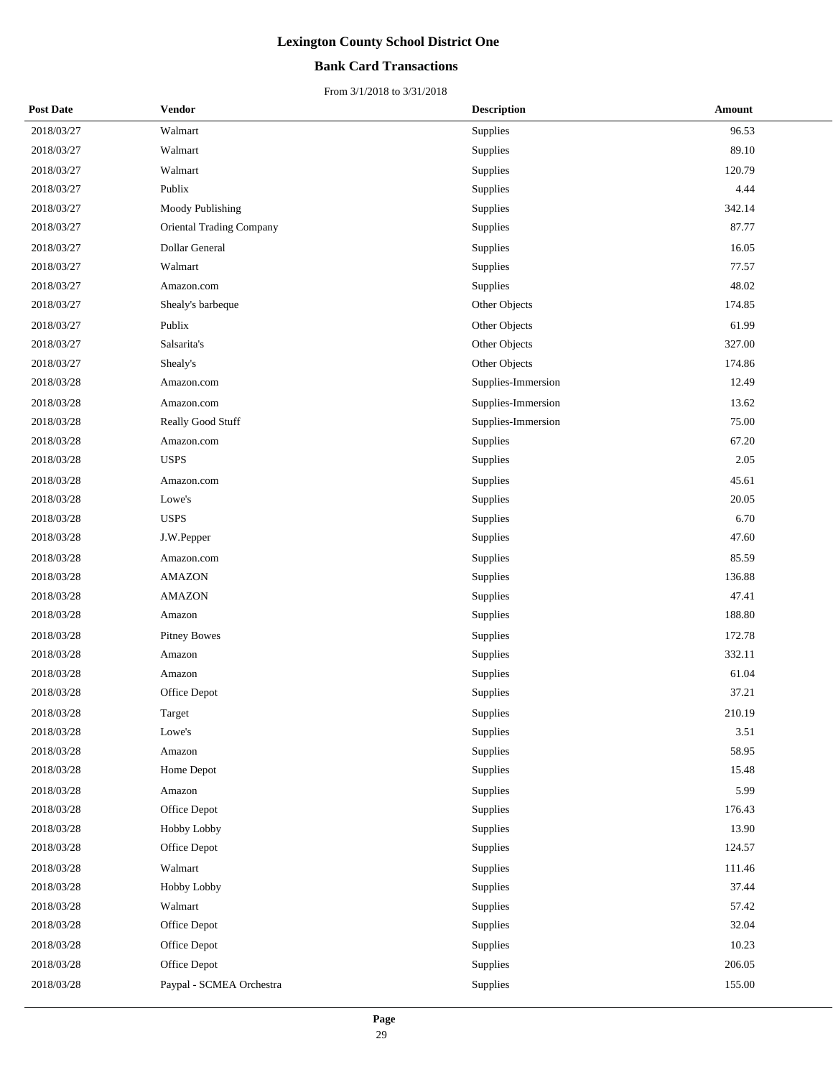### **Bank Card Transactions**

| <b>Post Date</b> | <b>Vendor</b>            | <b>Description</b> | Amount |
|------------------|--------------------------|--------------------|--------|
| 2018/03/27       | Walmart                  | Supplies           | 96.53  |
| 2018/03/27       | Walmart                  | Supplies           | 89.10  |
| 2018/03/27       | Walmart                  | Supplies           | 120.79 |
| 2018/03/27       | Publix                   | Supplies           | 4.44   |
| 2018/03/27       | Moody Publishing         | Supplies           | 342.14 |
| 2018/03/27       | Oriental Trading Company | Supplies           | 87.77  |
| 2018/03/27       | Dollar General           | Supplies           | 16.05  |
| 2018/03/27       | Walmart                  | Supplies           | 77.57  |
| 2018/03/27       | Amazon.com               | Supplies           | 48.02  |
| 2018/03/27       | Shealy's barbeque        | Other Objects      | 174.85 |
| 2018/03/27       | Publix                   | Other Objects      | 61.99  |
| 2018/03/27       | Salsarita's              | Other Objects      | 327.00 |
| 2018/03/27       | Shealy's                 | Other Objects      | 174.86 |
| 2018/03/28       | Amazon.com               | Supplies-Immersion | 12.49  |
| 2018/03/28       | Amazon.com               | Supplies-Immersion | 13.62  |
| 2018/03/28       | Really Good Stuff        | Supplies-Immersion | 75.00  |
| 2018/03/28       | Amazon.com               | Supplies           | 67.20  |
| 2018/03/28       | <b>USPS</b>              | Supplies           | 2.05   |
| 2018/03/28       | Amazon.com               | Supplies           | 45.61  |
| 2018/03/28       | Lowe's                   | Supplies           | 20.05  |
| 2018/03/28       | <b>USPS</b>              | Supplies           | 6.70   |
| 2018/03/28       | J.W.Pepper               | Supplies           | 47.60  |
| 2018/03/28       | Amazon.com               | Supplies           | 85.59  |
| 2018/03/28       | <b>AMAZON</b>            | Supplies           | 136.88 |
| 2018/03/28       | <b>AMAZON</b>            | Supplies           | 47.41  |
| 2018/03/28       | Amazon                   | Supplies           | 188.80 |
| 2018/03/28       | <b>Pitney Bowes</b>      | Supplies           | 172.78 |
| 2018/03/28       | Amazon                   | Supplies           | 332.11 |
| 2018/03/28       | Amazon                   | Supplies           | 61.04  |
| 2018/03/28       | Office Depot             | Supplies           | 37.21  |
| 2018/03/28       | Target                   | Supplies           | 210.19 |
| 2018/03/28       | Lowe's                   | Supplies           | 3.51   |
| 2018/03/28       | Amazon                   | Supplies           | 58.95  |
| 2018/03/28       | Home Depot               | Supplies           | 15.48  |
| 2018/03/28       | Amazon                   | Supplies           | 5.99   |
| 2018/03/28       | Office Depot             | Supplies           | 176.43 |
| 2018/03/28       | Hobby Lobby              | Supplies           | 13.90  |
| 2018/03/28       | Office Depot             | Supplies           | 124.57 |
| 2018/03/28       | Walmart                  | Supplies           | 111.46 |
| 2018/03/28       | Hobby Lobby              | Supplies           | 37.44  |
| 2018/03/28       | Walmart                  | Supplies           | 57.42  |
| 2018/03/28       | Office Depot             | Supplies           | 32.04  |
| 2018/03/28       | Office Depot             | Supplies           | 10.23  |
| 2018/03/28       | Office Depot             | Supplies           | 206.05 |
| 2018/03/28       | Paypal - SCMEA Orchestra | Supplies           | 155.00 |
|                  |                          |                    |        |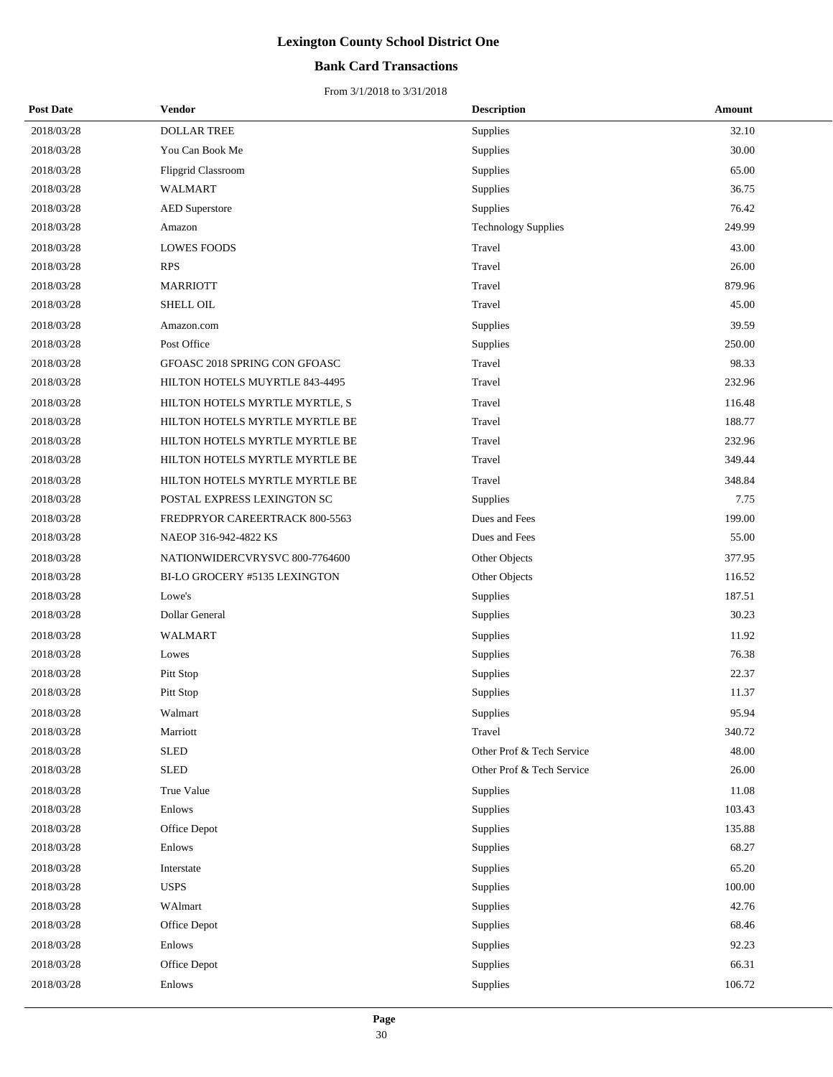### **Bank Card Transactions**

| <b>Post Date</b> | Vendor                         | <b>Description</b>         | Amount |
|------------------|--------------------------------|----------------------------|--------|
| 2018/03/28       | <b>DOLLAR TREE</b>             | Supplies                   | 32.10  |
| 2018/03/28       | You Can Book Me                | Supplies                   | 30.00  |
| 2018/03/28       | <b>Flipgrid Classroom</b>      | Supplies                   | 65.00  |
| 2018/03/28       | <b>WALMART</b>                 | Supplies                   | 36.75  |
| 2018/03/28       | <b>AED</b> Superstore          | Supplies                   | 76.42  |
| 2018/03/28       | Amazon                         | <b>Technology Supplies</b> | 249.99 |
| 2018/03/28       | <b>LOWES FOODS</b>             | Travel                     | 43.00  |
| 2018/03/28       | <b>RPS</b>                     | Travel                     | 26.00  |
| 2018/03/28       | <b>MARRIOTT</b>                | Travel                     | 879.96 |
| 2018/03/28       | <b>SHELL OIL</b>               | Travel                     | 45.00  |
| 2018/03/28       | Amazon.com                     | Supplies                   | 39.59  |
| 2018/03/28       | Post Office                    | Supplies                   | 250.00 |
| 2018/03/28       | GFOASC 2018 SPRING CON GFOASC  | Travel                     | 98.33  |
| 2018/03/28       | HILTON HOTELS MUYRTLE 843-4495 | Travel                     | 232.96 |
| 2018/03/28       | HILTON HOTELS MYRTLE MYRTLE, S | Travel                     | 116.48 |
| 2018/03/28       | HILTON HOTELS MYRTLE MYRTLE BE | Travel                     | 188.77 |
| 2018/03/28       | HILTON HOTELS MYRTLE MYRTLE BE | Travel                     | 232.96 |
| 2018/03/28       | HILTON HOTELS MYRTLE MYRTLE BE | Travel                     | 349.44 |
| 2018/03/28       | HILTON HOTELS MYRTLE MYRTLE BE | Travel                     | 348.84 |
| 2018/03/28       | POSTAL EXPRESS LEXINGTON SC    | Supplies                   | 7.75   |
| 2018/03/28       | FREDPRYOR CAREERTRACK 800-5563 | Dues and Fees              | 199.00 |
| 2018/03/28       | NAEOP 316-942-4822 KS          | Dues and Fees              | 55.00  |
| 2018/03/28       | NATIONWIDERCVRYSVC 800-7764600 | Other Objects              | 377.95 |
| 2018/03/28       | BI-LO GROCERY #5135 LEXINGTON  | Other Objects              | 116.52 |
| 2018/03/28       | Lowe's                         | Supplies                   | 187.51 |
| 2018/03/28       | Dollar General                 | Supplies                   | 30.23  |
| 2018/03/28       | <b>WALMART</b>                 | Supplies                   | 11.92  |
| 2018/03/28       | Lowes                          | Supplies                   | 76.38  |
| 2018/03/28       | Pitt Stop                      | Supplies                   | 22.37  |
| 2018/03/28       | Pitt Stop                      | Supplies                   | 11.37  |
| 2018/03/28       | Walmart                        | Supplies                   | 95.94  |
| 2018/03/28       | Marriott                       | Travel                     | 340.72 |
| 2018/03/28       | <b>SLED</b>                    | Other Prof & Tech Service  | 48.00  |
| 2018/03/28       | <b>SLED</b>                    | Other Prof & Tech Service  | 26.00  |
| 2018/03/28       | True Value                     | Supplies                   | 11.08  |
| 2018/03/28       | Enlows                         | Supplies                   | 103.43 |
| 2018/03/28       | Office Depot                   | Supplies                   | 135.88 |
| 2018/03/28       | Enlows                         | Supplies                   | 68.27  |
| 2018/03/28       | Interstate                     | Supplies                   | 65.20  |
| 2018/03/28       | <b>USPS</b>                    | Supplies                   | 100.00 |
| 2018/03/28       | WAlmart                        | Supplies                   | 42.76  |
| 2018/03/28       | Office Depot                   | Supplies                   | 68.46  |
| 2018/03/28       | Enlows                         | Supplies                   | 92.23  |
| 2018/03/28       | Office Depot                   | Supplies                   | 66.31  |
| 2018/03/28       | Enlows                         | Supplies                   | 106.72 |
|                  |                                |                            |        |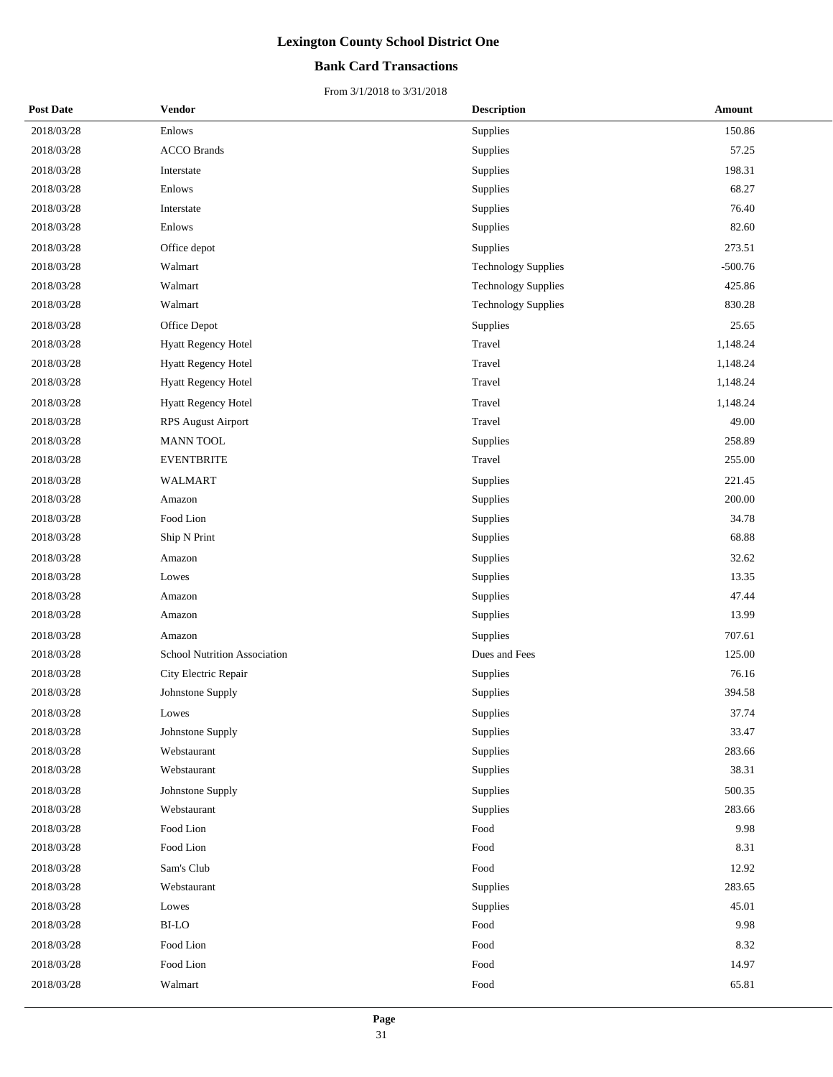### **Bank Card Transactions**

| <b>Post Date</b> | <b>Vendor</b>                | <b>Description</b>         | <b>Amount</b> |
|------------------|------------------------------|----------------------------|---------------|
| 2018/03/28       | Enlows                       | Supplies                   | 150.86        |
| 2018/03/28       | <b>ACCO Brands</b>           | Supplies                   | 57.25         |
| 2018/03/28       | Interstate                   | Supplies                   | 198.31        |
| 2018/03/28       | Enlows                       | Supplies                   | 68.27         |
| 2018/03/28       | Interstate                   | Supplies                   | 76.40         |
| 2018/03/28       | Enlows                       | Supplies                   | 82.60         |
| 2018/03/28       | Office depot                 | Supplies                   | 273.51        |
| 2018/03/28       | Walmart                      | <b>Technology Supplies</b> | $-500.76$     |
| 2018/03/28       | Walmart                      | <b>Technology Supplies</b> | 425.86        |
| 2018/03/28       | Walmart                      | <b>Technology Supplies</b> | 830.28        |
| 2018/03/28       | Office Depot                 | Supplies                   | 25.65         |
| 2018/03/28       | <b>Hyatt Regency Hotel</b>   | Travel                     | 1,148.24      |
| 2018/03/28       | Hyatt Regency Hotel          | Travel                     | 1,148.24      |
| 2018/03/28       | Hyatt Regency Hotel          | Travel                     | 1,148.24      |
| 2018/03/28       | <b>Hyatt Regency Hotel</b>   | Travel                     | 1,148.24      |
| 2018/03/28       | <b>RPS August Airport</b>    | Travel                     | 49.00         |
| 2018/03/28       | <b>MANN TOOL</b>             | Supplies                   | 258.89        |
| 2018/03/28       | <b>EVENTBRITE</b>            | Travel                     | 255.00        |
| 2018/03/28       | WALMART                      | Supplies                   | 221.45        |
| 2018/03/28       | Amazon                       | Supplies                   | 200.00        |
| 2018/03/28       | Food Lion                    | Supplies                   | 34.78         |
| 2018/03/28       | Ship N Print                 | Supplies                   | 68.88         |
| 2018/03/28       | Amazon                       | Supplies                   | 32.62         |
| 2018/03/28       | Lowes                        | Supplies                   | 13.35         |
| 2018/03/28       | Amazon                       | Supplies                   | 47.44         |
| 2018/03/28       | Amazon                       | Supplies                   | 13.99         |
| 2018/03/28       | Amazon                       | Supplies                   | 707.61        |
| 2018/03/28       | School Nutrition Association | Dues and Fees              | 125.00        |
| 2018/03/28       | City Electric Repair         | Supplies                   | 76.16         |
| 2018/03/28       | Johnstone Supply             | Supplies                   | 394.58        |
| 2018/03/28       | Lowes                        | Supplies                   | 37.74         |
| 2018/03/28       | Johnstone Supply             | Supplies                   | 33.47         |
| 2018/03/28       | Webstaurant                  | Supplies                   | 283.66        |
| 2018/03/28       | Webstaurant                  | Supplies                   | 38.31         |
| 2018/03/28       | Johnstone Supply             | Supplies                   | 500.35        |
| 2018/03/28       | Webstaurant                  | Supplies                   | 283.66        |
| 2018/03/28       | Food Lion                    | Food                       | 9.98          |
| 2018/03/28       | Food Lion                    | Food                       | 8.31          |
| 2018/03/28       | Sam's Club                   | Food                       | 12.92         |
| 2018/03/28       | Webstaurant                  | Supplies                   | 283.65        |
| 2018/03/28       | Lowes                        | Supplies                   | 45.01         |
| 2018/03/28       | BI-LO                        | Food                       | 9.98          |
| 2018/03/28       | Food Lion                    | Food                       | 8.32          |
| 2018/03/28       | Food Lion                    | Food                       | 14.97         |
| 2018/03/28       | Walmart                      | Food                       | 65.81         |
|                  |                              |                            |               |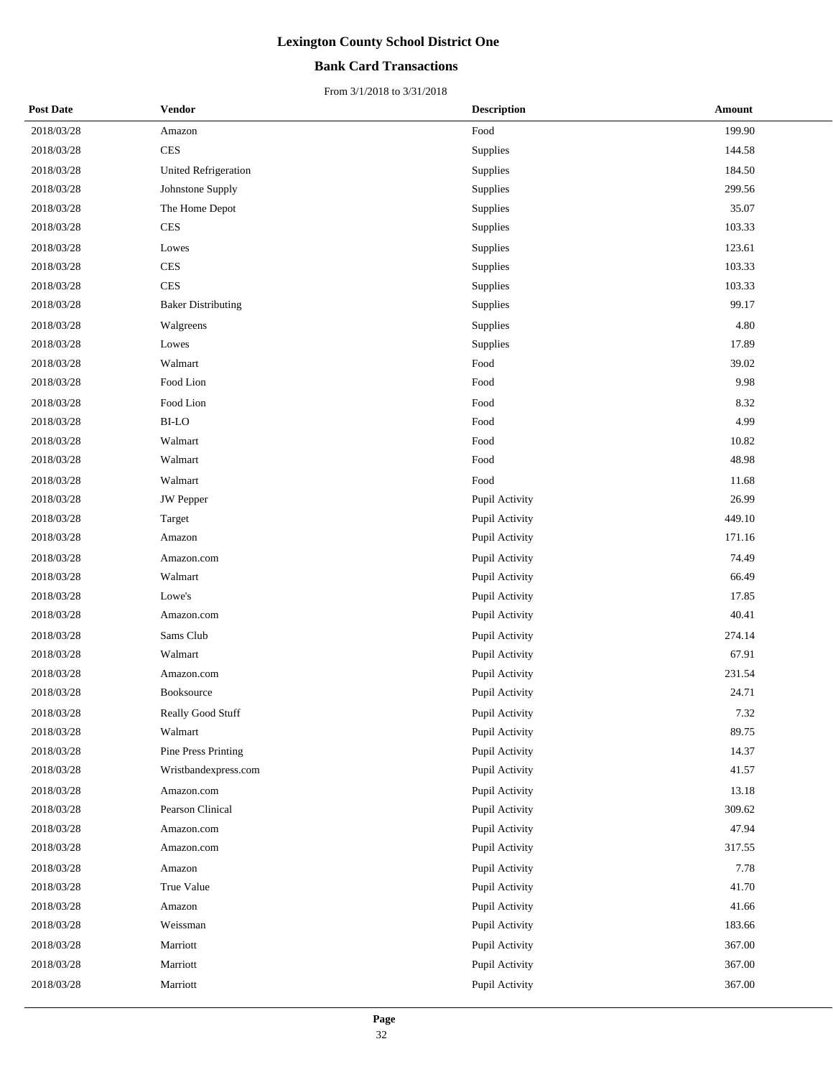### **Bank Card Transactions**

| <b>Post Date</b> | <b>Vendor</b>               | <b>Description</b> | <b>Amount</b> |
|------------------|-----------------------------|--------------------|---------------|
| 2018/03/28       | Amazon                      | Food               | 199.90        |
| 2018/03/28       | <b>CES</b>                  | Supplies           | 144.58        |
| 2018/03/28       | <b>United Refrigeration</b> | Supplies           | 184.50        |
| 2018/03/28       | Johnstone Supply            | Supplies           | 299.56        |
| 2018/03/28       | The Home Depot              | Supplies           | 35.07         |
| 2018/03/28       | <b>CES</b>                  | Supplies           | 103.33        |
| 2018/03/28       | Lowes                       | Supplies           | 123.61        |
| 2018/03/28       | <b>CES</b>                  | Supplies           | 103.33        |
| 2018/03/28       | <b>CES</b>                  | Supplies           | 103.33        |
| 2018/03/28       | <b>Baker Distributing</b>   | Supplies           | 99.17         |
| 2018/03/28       | Walgreens                   | Supplies           | 4.80          |
| 2018/03/28       | Lowes                       | Supplies           | 17.89         |
| 2018/03/28       | Walmart                     | Food               | 39.02         |
| 2018/03/28       | Food Lion                   | Food               | 9.98          |
| 2018/03/28       | Food Lion                   | Food               | 8.32          |
| 2018/03/28       | <b>BI-LO</b>                | Food               | 4.99          |
| 2018/03/28       | Walmart                     | Food               | 10.82         |
| 2018/03/28       | Walmart                     | Food               | 48.98         |
| 2018/03/28       | Walmart                     | Food               | 11.68         |
| 2018/03/28       | <b>JW</b> Pepper            | Pupil Activity     | 26.99         |
| 2018/03/28       | Target                      | Pupil Activity     | 449.10        |
| 2018/03/28       | Amazon                      | Pupil Activity     | 171.16        |
| 2018/03/28       | Amazon.com                  | Pupil Activity     | 74.49         |
| 2018/03/28       | Walmart                     | Pupil Activity     | 66.49         |
| 2018/03/28       | Lowe's                      | Pupil Activity     | 17.85         |
| 2018/03/28       | Amazon.com                  | Pupil Activity     | 40.41         |
| 2018/03/28       | Sams Club                   | Pupil Activity     | 274.14        |
| 2018/03/28       | Walmart                     | Pupil Activity     | 67.91         |
| 2018/03/28       | Amazon.com                  | Pupil Activity     | 231.54        |
| 2018/03/28       | Booksource                  | Pupil Activity     | 24.71         |
| 2018/03/28       | Really Good Stuff           | Pupil Activity     | 7.32          |
| 2018/03/28       | Walmart                     | Pupil Activity     | 89.75         |
| 2018/03/28       | Pine Press Printing         | Pupil Activity     | 14.37         |
| 2018/03/28       | Wristbandexpress.com        | Pupil Activity     | 41.57         |
| 2018/03/28       | Amazon.com                  | Pupil Activity     | 13.18         |
| 2018/03/28       | Pearson Clinical            | Pupil Activity     | 309.62        |
| 2018/03/28       | Amazon.com                  | Pupil Activity     | 47.94         |
| 2018/03/28       | Amazon.com                  | Pupil Activity     | 317.55        |
| 2018/03/28       | Amazon                      | Pupil Activity     | 7.78          |
| 2018/03/28       | True Value                  | Pupil Activity     | 41.70         |
| 2018/03/28       | Amazon                      | Pupil Activity     | 41.66         |
| 2018/03/28       | Weissman                    | Pupil Activity     | 183.66        |
| 2018/03/28       | Marriott                    | Pupil Activity     | 367.00        |
| 2018/03/28       | Marriott                    | Pupil Activity     | 367.00        |
| 2018/03/28       | Marriott                    | Pupil Activity     | 367.00        |
|                  |                             |                    |               |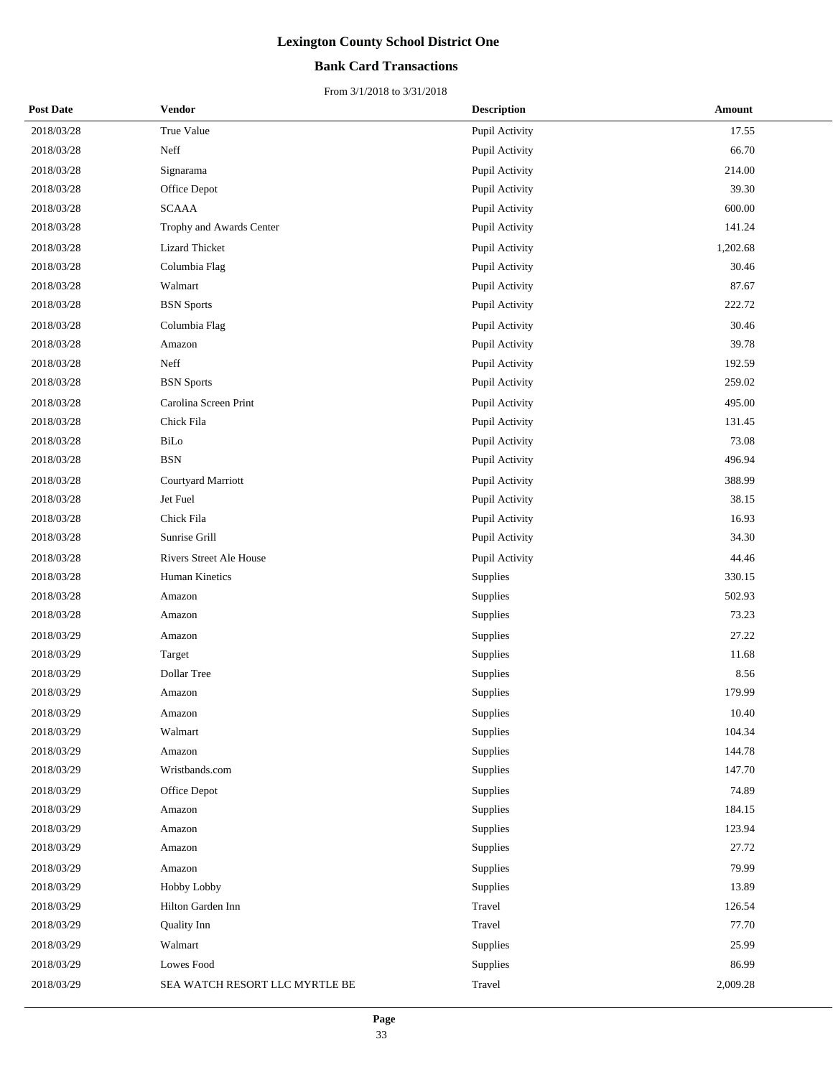### **Bank Card Transactions**

| <b>Post Date</b> | <b>Vendor</b>                  | <b>Description</b> | Amount   |
|------------------|--------------------------------|--------------------|----------|
| 2018/03/28       | True Value                     | Pupil Activity     | 17.55    |
| 2018/03/28       | Neff                           | Pupil Activity     | 66.70    |
| 2018/03/28       | Signarama                      | Pupil Activity     | 214.00   |
| 2018/03/28       | Office Depot                   | Pupil Activity     | 39.30    |
| 2018/03/28       | <b>SCAAA</b>                   | Pupil Activity     | 600.00   |
| 2018/03/28       | Trophy and Awards Center       | Pupil Activity     | 141.24   |
| 2018/03/28       | <b>Lizard Thicket</b>          | Pupil Activity     | 1,202.68 |
| 2018/03/28       | Columbia Flag                  | Pupil Activity     | 30.46    |
| 2018/03/28       | Walmart                        | Pupil Activity     | 87.67    |
| 2018/03/28       | <b>BSN</b> Sports              | Pupil Activity     | 222.72   |
| 2018/03/28       | Columbia Flag                  | Pupil Activity     | 30.46    |
| 2018/03/28       | Amazon                         | Pupil Activity     | 39.78    |
| 2018/03/28       | Neff                           | Pupil Activity     | 192.59   |
| 2018/03/28       | <b>BSN</b> Sports              | Pupil Activity     | 259.02   |
| 2018/03/28       | Carolina Screen Print          | Pupil Activity     | 495.00   |
| 2018/03/28       | Chick Fila                     | Pupil Activity     | 131.45   |
| 2018/03/28       | BiLo                           | Pupil Activity     | 73.08    |
| 2018/03/28       | <b>BSN</b>                     | Pupil Activity     | 496.94   |
| 2018/03/28       | Courtyard Marriott             | Pupil Activity     | 388.99   |
| 2018/03/28       | Jet Fuel                       | Pupil Activity     | 38.15    |
| 2018/03/28       | Chick Fila                     | Pupil Activity     | 16.93    |
| 2018/03/28       | Sunrise Grill                  | Pupil Activity     | 34.30    |
| 2018/03/28       | <b>Rivers Street Ale House</b> | Pupil Activity     | 44.46    |
| 2018/03/28       | Human Kinetics                 | Supplies           | 330.15   |
| 2018/03/28       | Amazon                         | Supplies           | 502.93   |
| 2018/03/28       | Amazon                         | Supplies           | 73.23    |
| 2018/03/29       | Amazon                         | Supplies           | 27.22    |
| 2018/03/29       | Target                         | Supplies           | 11.68    |
| 2018/03/29       | Dollar Tree                    | Supplies           | 8.56     |
| 2018/03/29       | Amazon                         | Supplies           | 179.99   |
| 2018/03/29       | Amazon                         | Supplies           | 10.40    |
| 2018/03/29       | Walmart                        | Supplies           | 104.34   |
| 2018/03/29       | Amazon                         | Supplies           | 144.78   |
| 2018/03/29       | Wristbands.com                 | Supplies           | 147.70   |
| 2018/03/29       | Office Depot                   | Supplies           | 74.89    |
| 2018/03/29       | Amazon                         | Supplies           | 184.15   |
| 2018/03/29       | Amazon                         | Supplies           | 123.94   |
| 2018/03/29       | Amazon                         | Supplies           | 27.72    |
| 2018/03/29       | Amazon                         | Supplies           | 79.99    |
| 2018/03/29       | Hobby Lobby                    | Supplies           | 13.89    |
| 2018/03/29       | Hilton Garden Inn              | Travel             | 126.54   |
| 2018/03/29       | Quality Inn                    | Travel             | 77.70    |
| 2018/03/29       | Walmart                        | Supplies           | 25.99    |
| 2018/03/29       | Lowes Food                     | Supplies           | 86.99    |
| 2018/03/29       | SEA WATCH RESORT LLC MYRTLE BE | Travel             | 2,009.28 |
|                  |                                |                    |          |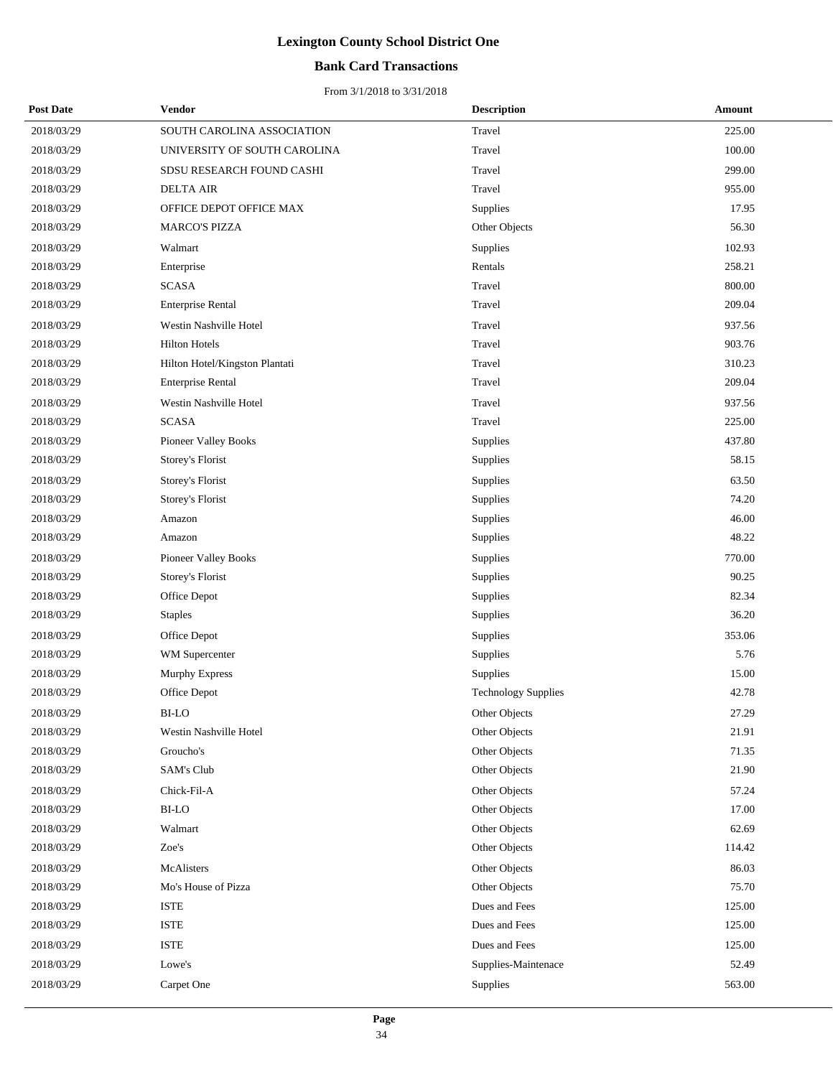### **Bank Card Transactions**

| <b>Post Date</b> | Vendor                         | <b>Description</b>         | Amount |
|------------------|--------------------------------|----------------------------|--------|
| 2018/03/29       | SOUTH CAROLINA ASSOCIATION     | Travel                     | 225.00 |
| 2018/03/29       | UNIVERSITY OF SOUTH CAROLINA   | Travel                     | 100.00 |
| 2018/03/29       | SDSU RESEARCH FOUND CASHI      | Travel                     | 299.00 |
| 2018/03/29       | <b>DELTA AIR</b>               | Travel                     | 955.00 |
| 2018/03/29       | OFFICE DEPOT OFFICE MAX        | Supplies                   | 17.95  |
| 2018/03/29       | <b>MARCO'S PIZZA</b>           | Other Objects              | 56.30  |
| 2018/03/29       | Walmart                        | Supplies                   | 102.93 |
| 2018/03/29       | Enterprise                     | Rentals                    | 258.21 |
| 2018/03/29       | <b>SCASA</b>                   | Travel                     | 800.00 |
| 2018/03/29       | <b>Enterprise Rental</b>       | Travel                     | 209.04 |
| 2018/03/29       | Westin Nashville Hotel         | Travel                     | 937.56 |
| 2018/03/29       | <b>Hilton Hotels</b>           | Travel                     | 903.76 |
| 2018/03/29       | Hilton Hotel/Kingston Plantati | Travel                     | 310.23 |
| 2018/03/29       | <b>Enterprise Rental</b>       | Travel                     | 209.04 |
| 2018/03/29       | Westin Nashville Hotel         | Travel                     | 937.56 |
| 2018/03/29       | <b>SCASA</b>                   | Travel                     | 225.00 |
| 2018/03/29       | Pioneer Valley Books           | Supplies                   | 437.80 |
| 2018/03/29       | Storey's Florist               | Supplies                   | 58.15  |
| 2018/03/29       | Storey's Florist               | Supplies                   | 63.50  |
| 2018/03/29       | Storey's Florist               | Supplies                   | 74.20  |
| 2018/03/29       | Amazon                         | Supplies                   | 46.00  |
| 2018/03/29       | Amazon                         | Supplies                   | 48.22  |
| 2018/03/29       | Pioneer Valley Books           | Supplies                   | 770.00 |
| 2018/03/29       | Storey's Florist               | Supplies                   | 90.25  |
| 2018/03/29       | Office Depot                   | Supplies                   | 82.34  |
| 2018/03/29       | <b>Staples</b>                 | Supplies                   | 36.20  |
| 2018/03/29       | Office Depot                   | Supplies                   | 353.06 |
| 2018/03/29       | WM Supercenter                 | Supplies                   | 5.76   |
| 2018/03/29       | <b>Murphy Express</b>          | Supplies                   | 15.00  |
| 2018/03/29       | Office Depot                   | <b>Technology Supplies</b> | 42.78  |
| 2018/03/29       | BI-LO                          | Other Objects              | 27.29  |
| 2018/03/29       | Westin Nashville Hotel         | Other Objects              | 21.91  |
| 2018/03/29       | Groucho's                      | Other Objects              | 71.35  |
| 2018/03/29       | SAM's Club                     | Other Objects              | 21.90  |
| 2018/03/29       | Chick-Fil-A                    | Other Objects              | 57.24  |
| 2018/03/29       | BI-LO                          | Other Objects              | 17.00  |
| 2018/03/29       | Walmart                        | Other Objects              | 62.69  |
| 2018/03/29       | Zoe's                          | Other Objects              | 114.42 |
| 2018/03/29       | McAlisters                     | Other Objects              | 86.03  |
| 2018/03/29       | Mo's House of Pizza            | Other Objects              | 75.70  |
| 2018/03/29       | <b>ISTE</b>                    | Dues and Fees              | 125.00 |
| 2018/03/29       | <b>ISTE</b>                    | Dues and Fees              | 125.00 |
| 2018/03/29       | ISTE                           | Dues and Fees              | 125.00 |
| 2018/03/29       | Lowe's                         | Supplies-Maintenace        | 52.49  |
| 2018/03/29       | Carpet One                     | Supplies                   | 563.00 |
|                  |                                |                            |        |